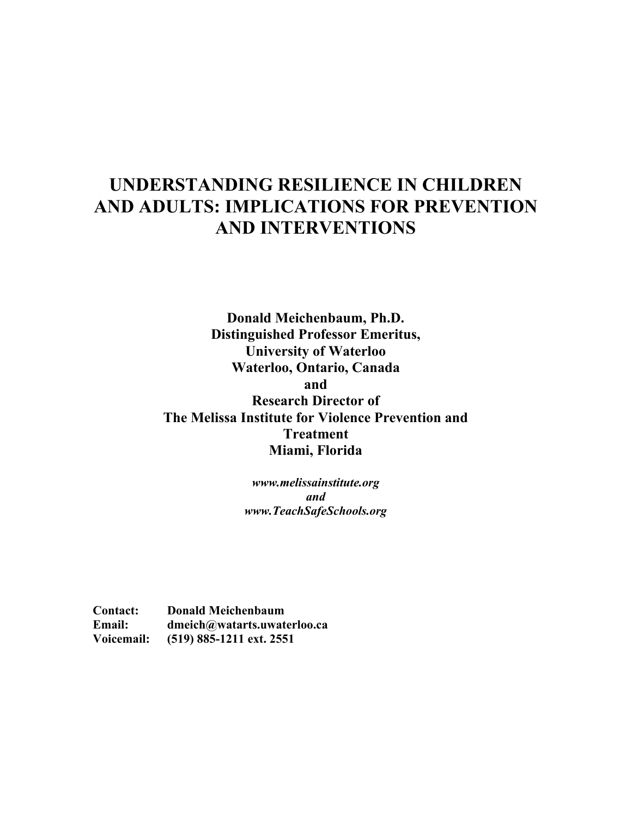# UNDERSTANDING RESILIENCE IN CHILDREN AND ADULTS: IMPLICATIONS FOR PREVENTION AND INTERVENTIONS

Donald Meichenbaum, Ph.D. Distinguished Professor Emeritus, University of Waterloo Waterloo, Ontario, Canada and Research Director of The Melissa Institute for Violence Prevention and Treatment Miami, Florida

> *www.melissainstitute.org and www.TeachSafeSchools.org*

Contact: Donald Meichenbaum Email: dmeich@watarts.uwaterloo.ca Voicemail: (519) 885-1211 ext. 2551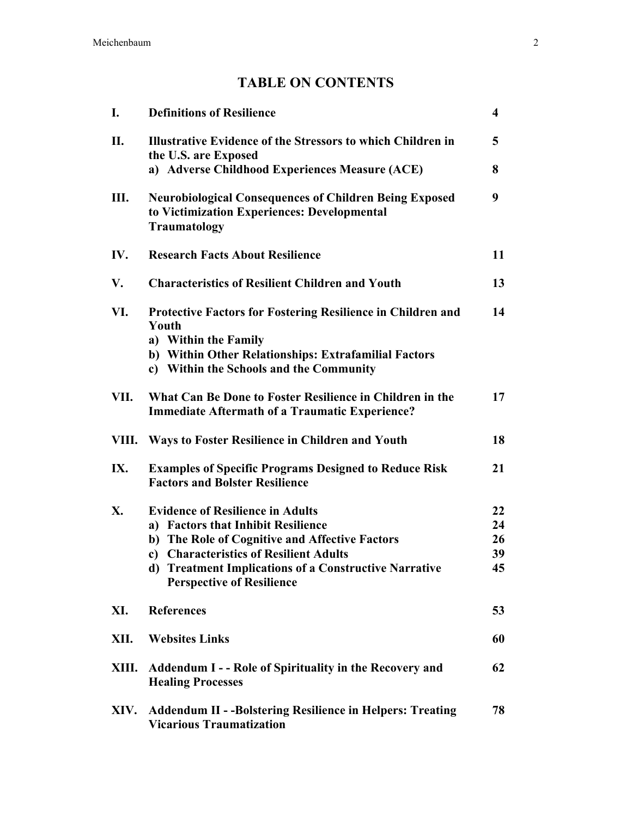# TABLE ON CONTENTS

| I.   | <b>Definitions of Resilience</b>                                                                                                                                                                       | $\overline{\mathbf{4}}$ |
|------|--------------------------------------------------------------------------------------------------------------------------------------------------------------------------------------------------------|-------------------------|
| II.  | <b>Illustrative Evidence of the Stressors to which Children in</b><br>the U.S. are Exposed                                                                                                             | 5                       |
|      | a) Adverse Childhood Experiences Measure (ACE)                                                                                                                                                         | 8                       |
| Ш.   | <b>Neurobiological Consequences of Children Being Exposed</b><br>to Victimization Experiences: Developmental<br>Traumatology                                                                           | 9                       |
| IV.  | <b>Research Facts About Resilience</b>                                                                                                                                                                 | 11                      |
| V.   | <b>Characteristics of Resilient Children and Youth</b>                                                                                                                                                 | 13                      |
| VI.  | <b>Protective Factors for Fostering Resilience in Children and</b><br>Youth<br>a) Within the Family<br>b) Within Other Relationships: Extrafamilial Factors<br>c) Within the Schools and the Community | 14                      |
| VII. | What Can Be Done to Foster Resilience in Children in the<br><b>Immediate Aftermath of a Traumatic Experience?</b>                                                                                      | 17                      |
|      | VIII. Ways to Foster Resilience in Children and Youth                                                                                                                                                  | 18                      |
| IX.  | <b>Examples of Specific Programs Designed to Reduce Risk</b><br><b>Factors and Bolster Resilience</b>                                                                                                  | 21                      |
| X.   | <b>Evidence of Resilience in Adults</b>                                                                                                                                                                | 22                      |
|      | a) Factors that Inhibit Resilience                                                                                                                                                                     | 24                      |
|      | b) The Role of Cognitive and Affective Factors                                                                                                                                                         | 26                      |
|      | c) Characteristics of Resilient Adults                                                                                                                                                                 | 39                      |
|      | d) Treatment Implications of a Constructive Narrative<br><b>Perspective of Resilience</b>                                                                                                              | 45                      |
| XI.  | <b>References</b>                                                                                                                                                                                      | 53                      |
| XII. | <b>Websites Links</b>                                                                                                                                                                                  | 60                      |
|      | XIII. Addendum I - - Role of Spirituality in the Recovery and<br><b>Healing Processes</b>                                                                                                              | 62                      |
| XIV. | <b>Addendum II - -Bolstering Resilience in Helpers: Treating</b><br><b>Vicarious Traumatization</b>                                                                                                    | 78                      |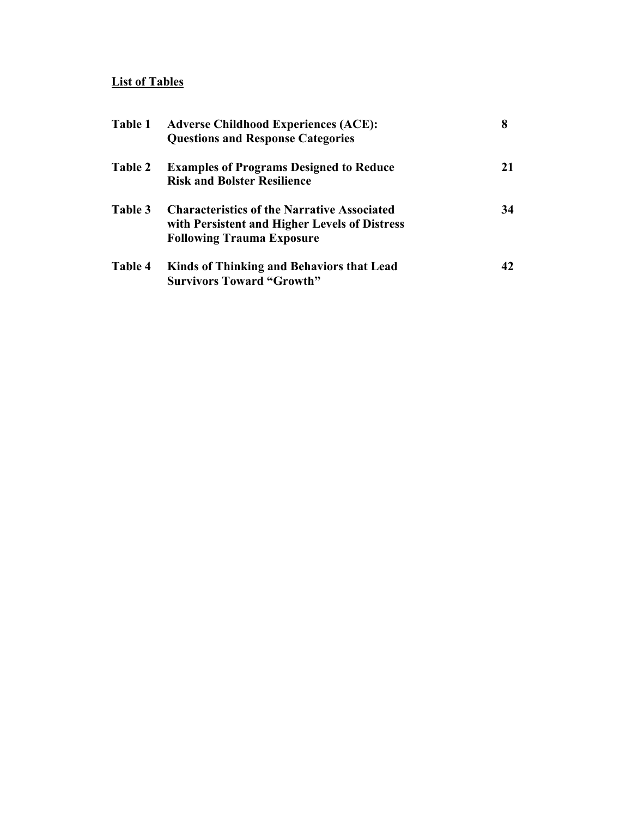### List of Tables

| Table 1        | <b>Adverse Childhood Experiences (ACE):</b><br><b>Questions and Response Categories</b>                                                 | 8  |
|----------------|-----------------------------------------------------------------------------------------------------------------------------------------|----|
| <b>Table 2</b> | <b>Examples of Programs Designed to Reduce</b><br><b>Risk and Bolster Resilience</b>                                                    | 21 |
| Table 3        | <b>Characteristics of the Narrative Associated</b><br>with Persistent and Higher Levels of Distress<br><b>Following Trauma Exposure</b> | 34 |
| Table 4        | <b>Kinds of Thinking and Behaviors that Lead</b><br><b>Survivors Toward "Growth"</b>                                                    | 42 |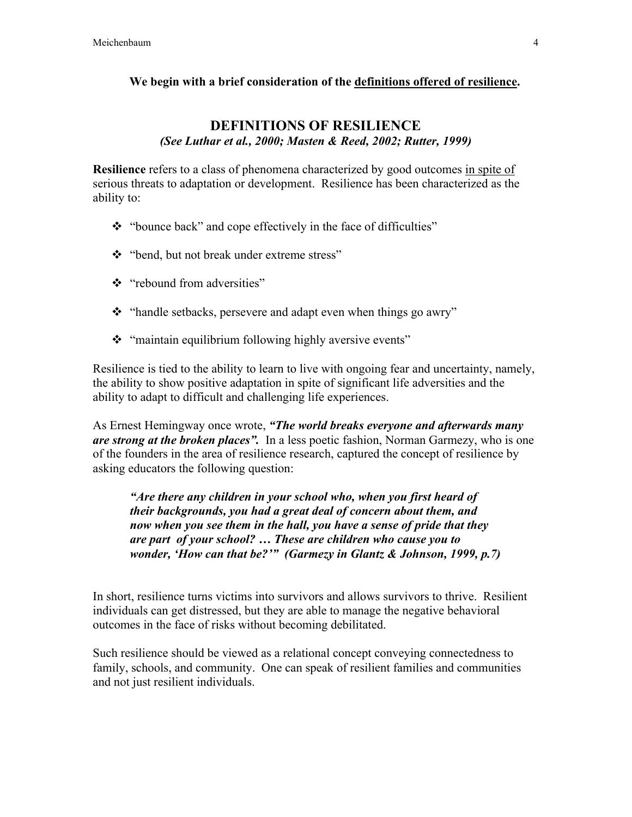#### We begin with a brief consideration of the definitions offered of resilience.

### DEFINITIONS OF RESILIENCE *(See Luthar et al., 2000; Masten & Reed, 2002; Rutter, 1999)*

**Resilience** refers to a class of phenomena characterized by good outcomes in spite of serious threats to adaptation or development. Resilience has been characterized as the ability to:

- \* "bounce back" and cope effectively in the face of difficulties"
- "bend, but not break under extreme stress"
- "rebound from adversities"
- \* "handle setbacks, persevere and adapt even when things go awry"
- \* "maintain equilibrium following highly aversive events"

Resilience is tied to the ability to learn to live with ongoing fear and uncertainty, namely, the ability to show positive adaptation in spite of significant life adversities and the ability to adapt to difficult and challenging life experiences.

As Ernest Hemingway once wrote, *"The world breaks everyone and afterwards many are strong at the broken places".* In a less poetic fashion, Norman Garmezy, who is one of the founders in the area of resilience research, captured the concept of resilience by asking educators the following question:

*"Are there any children in your school who, when you first heard of their backgrounds, you had a great deal of concern about them, and now when you see them in the hall, you have a sense of pride that they are part of your school? … These are children who cause you to wonder, 'How can that be?'" (Garmezy in Glantz & Johnson, 1999, p.7)*

In short, resilience turns victims into survivors and allows survivors to thrive. Resilient individuals can get distressed, but they are able to manage the negative behavioral outcomes in the face of risks without becoming debilitated.

Such resilience should be viewed as a relational concept conveying connectedness to family, schools, and community. One can speak of resilient families and communities and not just resilient individuals.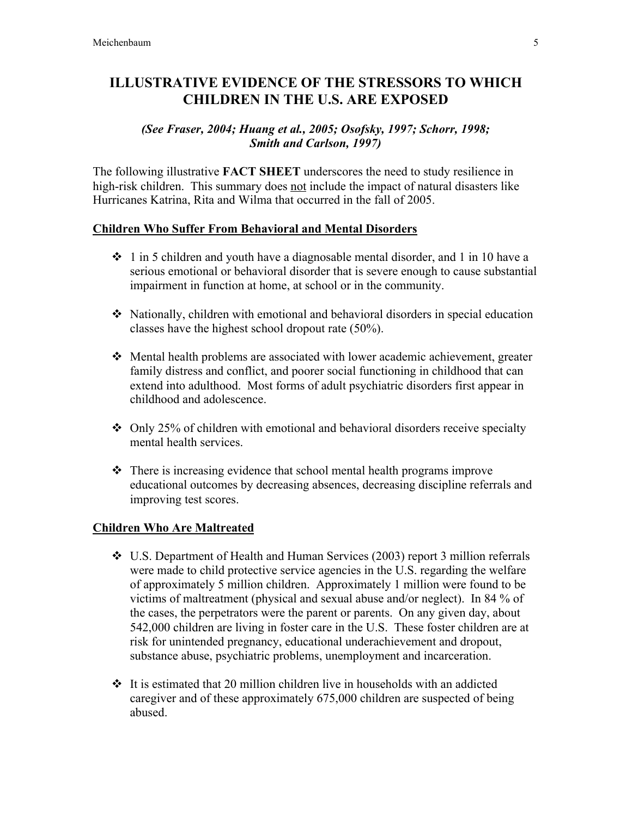## ILLUSTRATIVE EVIDENCE OF THE STRESSORS TO WHICH CHILDREN IN THE U.S. ARE EXPOSED

#### *(See Fraser, 2004; Huang et al., 2005; Osofsky, 1997; Schorr, 1998; Smith and Carlson, 1997)*

The following illustrative FACT SHEET underscores the need to study resilience in high-risk children. This summary does not include the impact of natural disasters like Hurricanes Katrina, Rita and Wilma that occurred in the fall of 2005.

#### Children Who Suffer From Behavioral and Mental Disorders

- $\div$  1 in 5 children and youth have a diagnosable mental disorder, and 1 in 10 have a serious emotional or behavioral disorder that is severe enough to cause substantial impairment in function at home, at school or in the community.
- Nationally, children with emotional and behavioral disorders in special education classes have the highest school dropout rate (50%).
- Mental health problems are associated with lower academic achievement, greater family distress and conflict, and poorer social functioning in childhood that can extend into adulthood. Most forms of adult psychiatric disorders first appear in childhood and adolescence.
- $\div$  Only 25% of children with emotional and behavioral disorders receive specialty mental health services.
- $\triangle$  There is increasing evidence that school mental health programs improve educational outcomes by decreasing absences, decreasing discipline referrals and improving test scores.

### Children Who Are Maltreated

- U.S. Department of Health and Human Services (2003) report 3 million referrals were made to child protective service agencies in the U.S. regarding the welfare of approximately 5 million children. Approximately 1 million were found to be victims of maltreatment (physical and sexual abuse and/or neglect). In 84 % of the cases, the perpetrators were the parent or parents. On any given day, about 542,000 children are living in foster care in the U.S. These foster children are at risk for unintended pregnancy, educational underachievement and dropout, substance abuse, psychiatric problems, unemployment and incarceration.
- $\cdot$  It is estimated that 20 million children live in households with an addicted caregiver and of these approximately 675,000 children are suspected of being abused.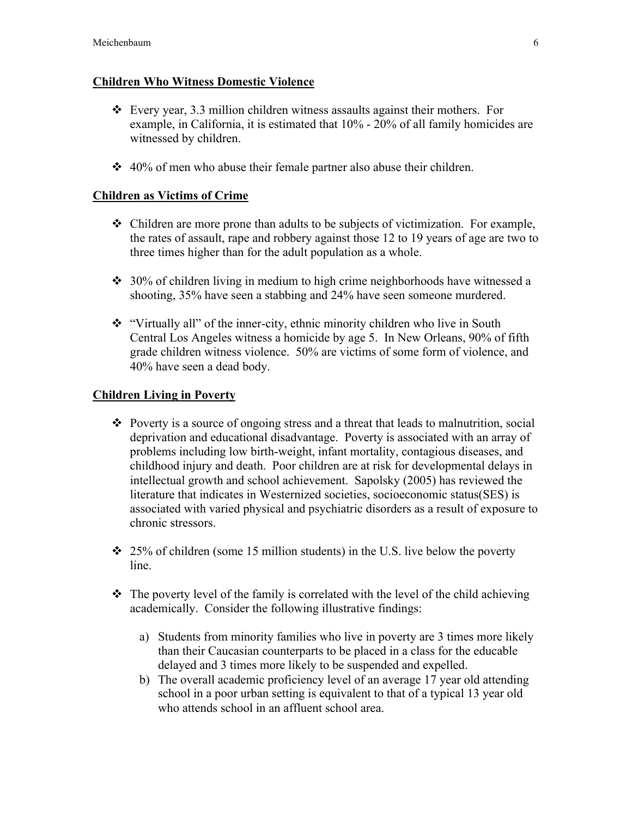### Children Who Witness Domestic Violence

- Every year, 3.3 million children witness assaults against their mothers. For example, in California, it is estimated that 10% - 20% of all family homicides are witnessed by children.
- $\div$  40% of men who abuse their female partner also abuse their children.

### Children as Victims of Crime

- $\div$  Children are more prone than adults to be subjects of victimization. For example, the rates of assault, rape and robbery against those 12 to 19 years of age are two to three times higher than for the adult population as a whole.
- $\div$  30% of children living in medium to high crime neighborhoods have witnessed a shooting, 35% have seen a stabbing and 24% have seen someone murdered.
- "Virtually all" of the inner-city, ethnic minority children who live in South Central Los Angeles witness a homicide by age 5. In New Orleans, 90% of fifth grade children witness violence. 50% are victims of some form of violence, and 40% have seen a dead body.

### Children Living in Poverty

- Poverty is a source of ongoing stress and a threat that leads to malnutrition, social deprivation and educational disadvantage. Poverty is associated with an array of problems including low birth-weight, infant mortality, contagious diseases, and childhood injury and death. Poor children are at risk for developmental delays in intellectual growth and school achievement. Sapolsky (2005) has reviewed the literature that indicates in Westernized societies, socioeconomic status(SES) is associated with varied physical and psychiatric disorders as a result of exposure to chronic stressors.
- $\div$  25% of children (some 15 million students) in the U.S. live below the poverty line.
- $\cdot \cdot$  The poverty level of the family is correlated with the level of the child achieving academically. Consider the following illustrative findings:
	- a) Students from minority families who live in poverty are 3 times more likely than their Caucasian counterparts to be placed in a class for the educable delayed and 3 times more likely to be suspended and expelled.
	- b) The overall academic proficiency level of an average 17 year old attending school in a poor urban setting is equivalent to that of a typical 13 year old who attends school in an affluent school area.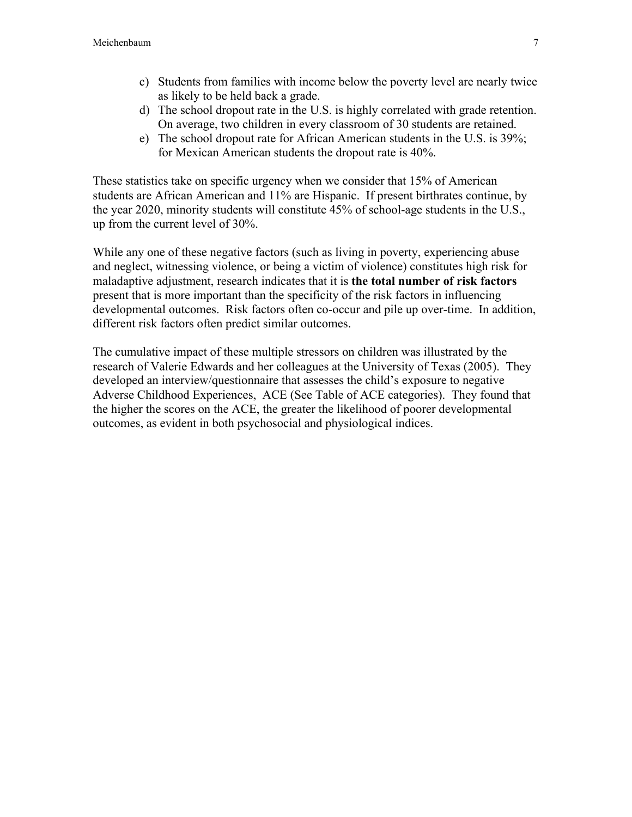- c) Students from families with income below the poverty level are nearly twice as likely to be held back a grade.
- d) The school dropout rate in the U.S. is highly correlated with grade retention. On average, two children in every classroom of 30 students are retained.
- e) The school dropout rate for African American students in the U.S. is 39%; for Mexican American students the dropout rate is 40%.

These statistics take on specific urgency when we consider that 15% of American students are African American and 11% are Hispanic. If present birthrates continue, by the year 2020, minority students will constitute 45% of school-age students in the U.S., up from the current level of 30%.

While any one of these negative factors (such as living in poverty, experiencing abuse and neglect, witnessing violence, or being a victim of violence) constitutes high risk for maladaptive adjustment, research indicates that it is the total number of risk factors present that is more important than the specificity of the risk factors in influencing developmental outcomes. Risk factors often co-occur and pile up over-time. In addition, different risk factors often predict similar outcomes.

The cumulative impact of these multiple stressors on children was illustrated by the research of Valerie Edwards and her colleagues at the University of Texas (2005). They developed an interview/questionnaire that assesses the child's exposure to negative Adverse Childhood Experiences, ACE (See Table of ACE categories). They found that the higher the scores on the ACE, the greater the likelihood of poorer developmental outcomes, as evident in both psychosocial and physiological indices.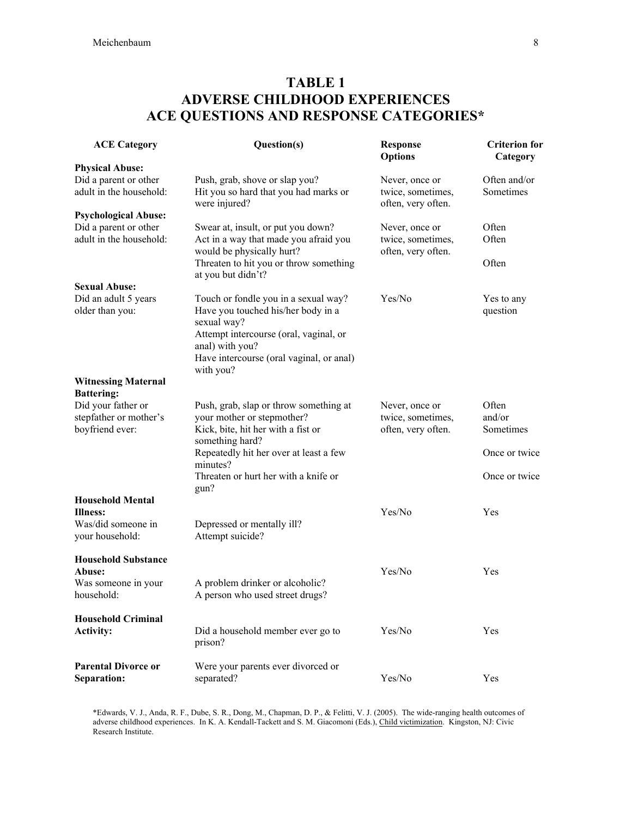# TABLE 1 ADVERSE CHILDHOOD EXPERIENCES ACE QUESTIONS AND RESPONSE CATEGORIES\*

| <b>ACE Category</b>                                             | Question(s)                                                                                                                                                                                                     | <b>Response</b><br><b>Options</b>                         | <b>Criterion for</b><br>Category |
|-----------------------------------------------------------------|-----------------------------------------------------------------------------------------------------------------------------------------------------------------------------------------------------------------|-----------------------------------------------------------|----------------------------------|
| <b>Physical Abuse:</b>                                          |                                                                                                                                                                                                                 |                                                           |                                  |
| Did a parent or other<br>adult in the household:                | Push, grab, shove or slap you?<br>Hit you so hard that you had marks or<br>were injured?                                                                                                                        | Never, once or<br>twice, sometimes,<br>often, very often. | Often and/or<br>Sometimes        |
| <b>Psychological Abuse:</b>                                     |                                                                                                                                                                                                                 |                                                           |                                  |
| Did a parent or other<br>adult in the household:                | Swear at, insult, or put you down?<br>Act in a way that made you afraid you<br>would be physically hurt?<br>Threaten to hit you or throw something                                                              | Never, once or<br>twice, sometimes,<br>often, very often. | Often<br>Often<br>Often          |
|                                                                 | at you but didn't?                                                                                                                                                                                              |                                                           |                                  |
| <b>Sexual Abuse:</b>                                            |                                                                                                                                                                                                                 |                                                           |                                  |
| Did an adult 5 years<br>older than you:                         | Touch or fondle you in a sexual way?<br>Have you touched his/her body in a<br>sexual way?<br>Attempt intercourse (oral, vaginal, or<br>anal) with you?<br>Have intercourse (oral vaginal, or anal)<br>with you? | Yes/No                                                    | Yes to any<br>question           |
| <b>Witnessing Maternal</b>                                      |                                                                                                                                                                                                                 |                                                           |                                  |
| <b>Battering:</b>                                               |                                                                                                                                                                                                                 |                                                           |                                  |
| Did your father or<br>stepfather or mother's<br>boyfriend ever: | Push, grab, slap or throw something at<br>your mother or stepmother?<br>Kick, bite, hit her with a fist or                                                                                                      | Never, once or<br>twice, sometimes,<br>often, very often. | Often<br>and/or<br>Sometimes     |
|                                                                 | something hard?<br>Repeatedly hit her over at least a few<br>minutes?                                                                                                                                           |                                                           | Once or twice                    |
|                                                                 | Threaten or hurt her with a knife or                                                                                                                                                                            |                                                           | Once or twice                    |
| <b>Household Mental</b>                                         | gun?                                                                                                                                                                                                            |                                                           |                                  |
| <b>Illness:</b>                                                 |                                                                                                                                                                                                                 | Yes/No                                                    | Yes                              |
| Was/did someone in<br>your household:                           | Depressed or mentally ill?<br>Attempt suicide?                                                                                                                                                                  |                                                           |                                  |
| <b>Household Substance</b>                                      |                                                                                                                                                                                                                 |                                                           |                                  |
| Abuse:                                                          |                                                                                                                                                                                                                 | Yes/No                                                    | Yes                              |
| Was someone in your<br>household:                               | A problem drinker or alcoholic?<br>A person who used street drugs?                                                                                                                                              |                                                           |                                  |
| <b>Household Criminal</b><br><b>Activity:</b>                   | Did a household member ever go to<br>prison?                                                                                                                                                                    | Yes/No                                                    | Yes                              |
| <b>Parental Divorce or</b><br>Separation:                       | Were your parents ever divorced or<br>separated?                                                                                                                                                                | Yes/No                                                    | Yes                              |

\*Edwards, V. J., Anda, R. F., Dube, S. R., Dong, M., Chapman, D. P., & Felitti, V. J. (2005). The wide-ranging health outcomes of adverse childhood experiences. In K. A. Kendall-Tackett and S. M. Giacomoni (Eds.), Child victimization. Kingston, NJ: Civic Research Institute.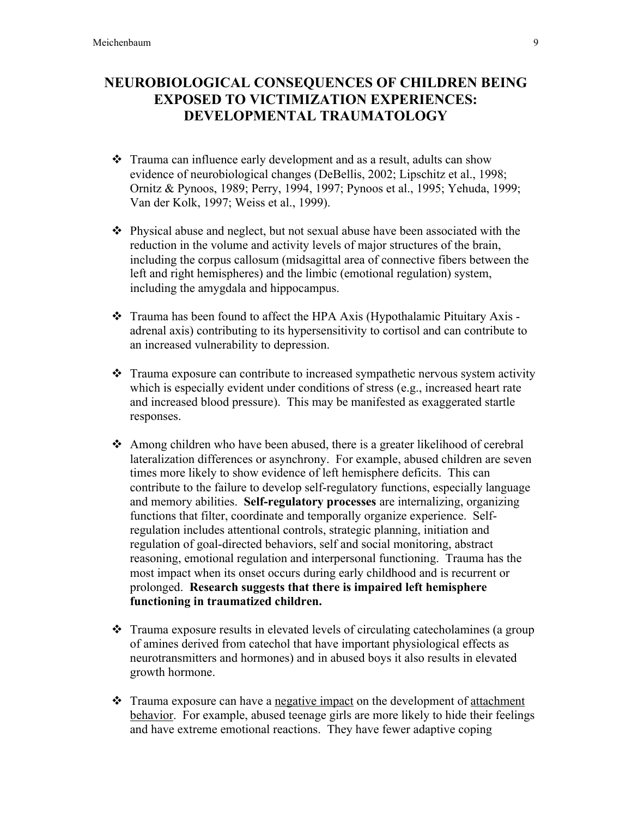## NEUROBIOLOGICAL CONSEQUENCES OF CHILDREN BEING EXPOSED TO VICTIMIZATION EXPERIENCES: DEVELOPMENTAL TRAUMATOLOGY

- Trauma can influence early development and as a result, adults can show evidence of neurobiological changes (DeBellis, 2002; Lipschitz et al., 1998; Ornitz & Pynoos, 1989; Perry, 1994, 1997; Pynoos et al., 1995; Yehuda, 1999; Van der Kolk, 1997; Weiss et al., 1999).
- $\triangle$  Physical abuse and neglect, but not sexual abuse have been associated with the reduction in the volume and activity levels of major structures of the brain, including the corpus callosum (midsagittal area of connective fibers between the left and right hemispheres) and the limbic (emotional regulation) system, including the amygdala and hippocampus.
- \* Trauma has been found to affect the HPA Axis (Hypothalamic Pituitary Axis adrenal axis) contributing to its hypersensitivity to cortisol and can contribute to an increased vulnerability to depression.
- Trauma exposure can contribute to increased sympathetic nervous system activity which is especially evident under conditions of stress (e.g., increased heart rate and increased blood pressure). This may be manifested as exaggerated startle responses.
- Among children who have been abused, there is a greater likelihood of cerebral lateralization differences or asynchrony. For example, abused children are seven times more likely to show evidence of left hemisphere deficits. This can contribute to the failure to develop self-regulatory functions, especially language and memory abilities. Self-regulatory processes are internalizing, organizing functions that filter, coordinate and temporally organize experience. Selfregulation includes attentional controls, strategic planning, initiation and regulation of goal-directed behaviors, self and social monitoring, abstract reasoning, emotional regulation and interpersonal functioning. Trauma has the most impact when its onset occurs during early childhood and is recurrent or prolonged. Research suggests that there is impaired left hemisphere functioning in traumatized children.
- Trauma exposure results in elevated levels of circulating catecholamines (a group of amines derived from catechol that have important physiological effects as neurotransmitters and hormones) and in abused boys it also results in elevated growth hormone.
- Trauma exposure can have a negative impact on the development of attachment behavior. For example, abused teenage girls are more likely to hide their feelings and have extreme emotional reactions. They have fewer adaptive coping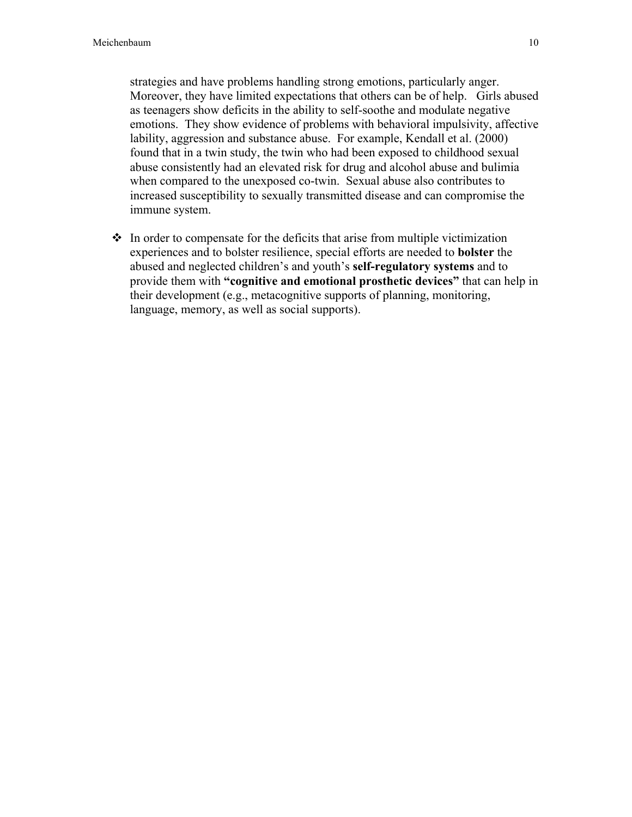strategies and have problems handling strong emotions, particularly anger. Moreover, they have limited expectations that others can be of help. Girls abused as teenagers show deficits in the ability to self-soothe and modulate negative emotions. They show evidence of problems with behavioral impulsivity, affective lability, aggression and substance abuse. For example, Kendall et al. (2000) found that in a twin study, the twin who had been exposed to childhood sexual abuse consistently had an elevated risk for drug and alcohol abuse and bulimia when compared to the unexposed co-twin. Sexual abuse also contributes to increased susceptibility to sexually transmitted disease and can compromise the immune system.

 $\cdot$  In order to compensate for the deficits that arise from multiple victimization experiences and to bolster resilience, special efforts are needed to bolster the abused and neglected children's and youth's self-regulatory systems and to provide them with "cognitive and emotional prosthetic devices" that can help in their development (e.g., metacognitive supports of planning, monitoring, language, memory, as well as social supports).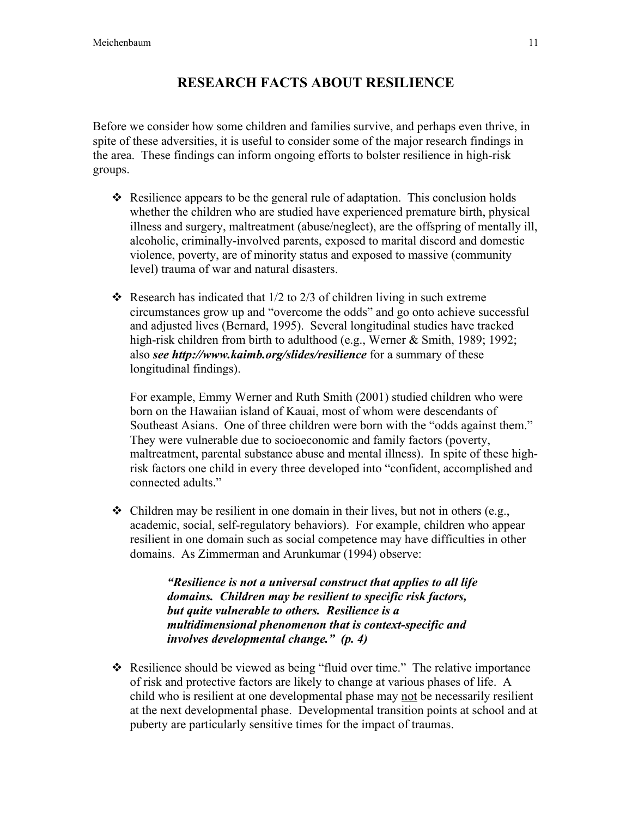# RESEARCH FACTS ABOUT RESILIENCE

Before we consider how some children and families survive, and perhaps even thrive, in spite of these adversities, it is useful to consider some of the major research findings in the area. These findings can inform ongoing efforts to bolster resilience in high-risk groups.

- $\div$  Resilience appears to be the general rule of adaptation. This conclusion holds whether the children who are studied have experienced premature birth, physical illness and surgery, maltreatment (abuse/neglect), are the offspring of mentally ill, alcoholic, criminally-involved parents, exposed to marital discord and domestic violence, poverty, are of minority status and exposed to massive (community level) trauma of war and natural disasters.
- Research has indicated that  $1/2$  to  $2/3$  of children living in such extreme circumstances grow up and "overcome the odds" and go onto achieve successful and adjusted lives (Bernard, 1995). Several longitudinal studies have tracked high-risk children from birth to adulthood (e.g., Werner & Smith, 1989; 1992; also *see http://www.kaimb.org/slides/resilience* for a summary of these longitudinal findings).

For example, Emmy Werner and Ruth Smith (2001) studied children who were born on the Hawaiian island of Kauai, most of whom were descendants of Southeast Asians. One of three children were born with the "odds against them." They were vulnerable due to socioeconomic and family factors (poverty, maltreatment, parental substance abuse and mental illness). In spite of these highrisk factors one child in every three developed into "confident, accomplished and connected adults."

 $\triangleleft$  Children may be resilient in one domain in their lives, but not in others (e.g., academic, social, self-regulatory behaviors). For example, children who appear resilient in one domain such as social competence may have difficulties in other domains. As Zimmerman and Arunkumar (1994) observe:

> *"Resilience is not a universal construct that applies to all life domains. Children may be resilient to specific risk factors, but quite vulnerable to others. Resilience is a multidimensional phenomenon that is context-specific and involves developmental change." (p. 4)*

 Resilience should be viewed as being "fluid over time." The relative importance of risk and protective factors are likely to change at various phases of life. A child who is resilient at one developmental phase may not be necessarily resilient at the next developmental phase. Developmental transition points at school and at puberty are particularly sensitive times for the impact of traumas.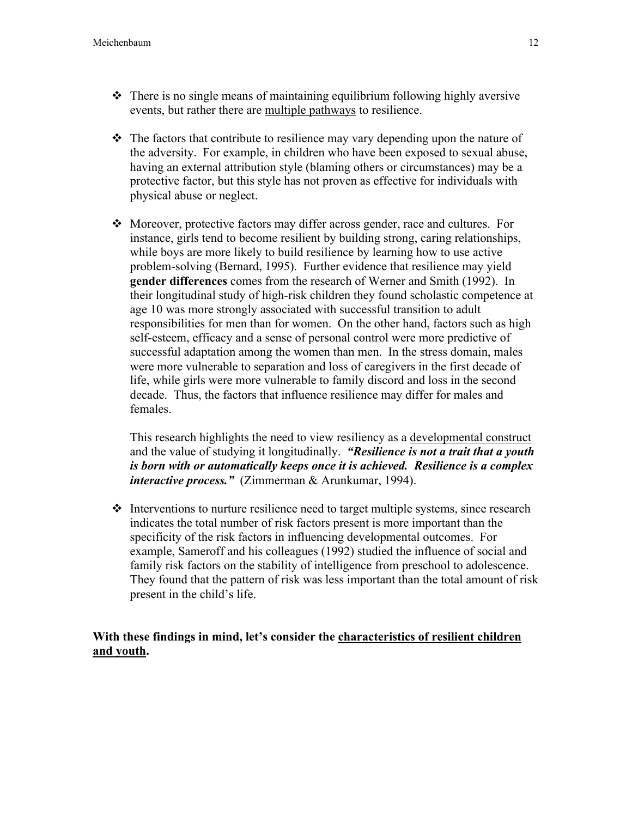- There is no single means of maintaining equilibrium following highly aversive events, but rather there are multiple pathways to resilience.
- $\div$  The factors that contribute to resilience may vary depending upon the nature of the adversity. For example, in children who have been exposed to sexual abuse, having an external attribution style (blaming others or circumstances) may be a protective factor, but this style has not proven as effective for individuals with physical abuse or neglect.
- Moreover, protective factors may differ across gender, race and cultures. For instance, girls tend to become resilient by building strong, caring relationships, while boys are more likely to build resilience by learning how to use active problem-solving (Bernard, 1995). Further evidence that resilience may yield gender differences comes from the research of Werner and Smith (1992). In their longitudinal study of high-risk children they found scholastic competence at age 10 was more strongly associated with successful transition to adult responsibilities for men than for women. On the other hand, factors such as high self-esteem, efficacy and a sense of personal control were more predictive of successful adaptation among the women than men. In the stress domain, males were more vulnerable to separation and loss of caregivers in the first decade of life, while girls were more vulnerable to family discord and loss in the second decade. Thus, the factors that influence resilience may differ for males and females.

This research highlights the need to view resiliency as a developmental construct and the value of studying it longitudinally. *"Resilience is not a trait that a youth is born with or automatically keeps once it is achieved. Resilience is a complex interactive process."* (Zimmerman & Arunkumar, 1994).

 $\triangle$  Interventions to nurture resilience need to target multiple systems, since research indicates the total number of risk factors present is more important than the specificity of the risk factors in influencing developmental outcomes. For example, Sameroff and his colleagues (1992) studied the influence of social and family risk factors on the stability of intelligence from preschool to adolescence. They found that the pattern of risk was less important than the total amount of risk present in the child's life.

### With these findings in mind, let's consider the characteristics of resilient children and youth.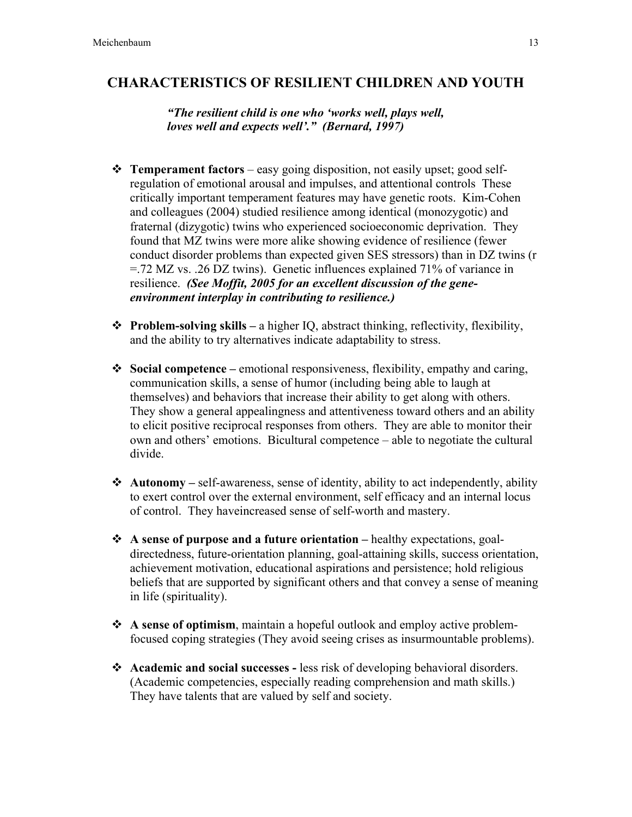### CHARACTERISTICS OF RESILIENT CHILDREN AND YOUTH

*"The resilient child is one who 'works well, plays well, loves well and expects well'." (Bernard, 1997)*

- $\triangle$  Temperament factors easy going disposition, not easily upset; good selfregulation of emotional arousal and impulses, and attentional controls These critically important temperament features may have genetic roots. Kim-Cohen and colleagues (2004) studied resilience among identical (monozygotic) and fraternal (dizygotic) twins who experienced socioeconomic deprivation. They found that MZ twins were more alike showing evidence of resilience (fewer conduct disorder problems than expected given SES stressors) than in DZ twins (r =.72 MZ vs. .26 DZ twins). Genetic influences explained 71% of variance in resilience. *(See Moffit, 2005 for an excellent discussion of the geneenvironment interplay in contributing to resilience.)*
- $\triangle$  Problem-solving skills a higher IO, abstract thinking, reflectivity, flexibility, and the ability to try alternatives indicate adaptability to stress.
- $\bullet$  Social competence emotional responsiveness, flexibility, empathy and caring, communication skills, a sense of humor (including being able to laugh at themselves) and behaviors that increase their ability to get along with others. They show a general appealingness and attentiveness toward others and an ability to elicit positive reciprocal responses from others. They are able to monitor their own and others' emotions. Bicultural competence – able to negotiate the cultural divide.
- $\triangleleft$  Autonomy self-awareness, sense of identity, ability to act independently, ability to exert control over the external environment, self efficacy and an internal locus of control. They haveincreased sense of self-worth and mastery.
- $\triangle$  A sense of purpose and a future orientation healthy expectations, goaldirectedness, future-orientation planning, goal-attaining skills, success orientation, achievement motivation, educational aspirations and persistence; hold religious beliefs that are supported by significant others and that convey a sense of meaning in life (spirituality).
- $\triangle$  A sense of optimism, maintain a hopeful outlook and employ active problemfocused coping strategies (They avoid seeing crises as insurmountable problems).
- Academic and social successes less risk of developing behavioral disorders. (Academic competencies, especially reading comprehension and math skills.) They have talents that are valued by self and society.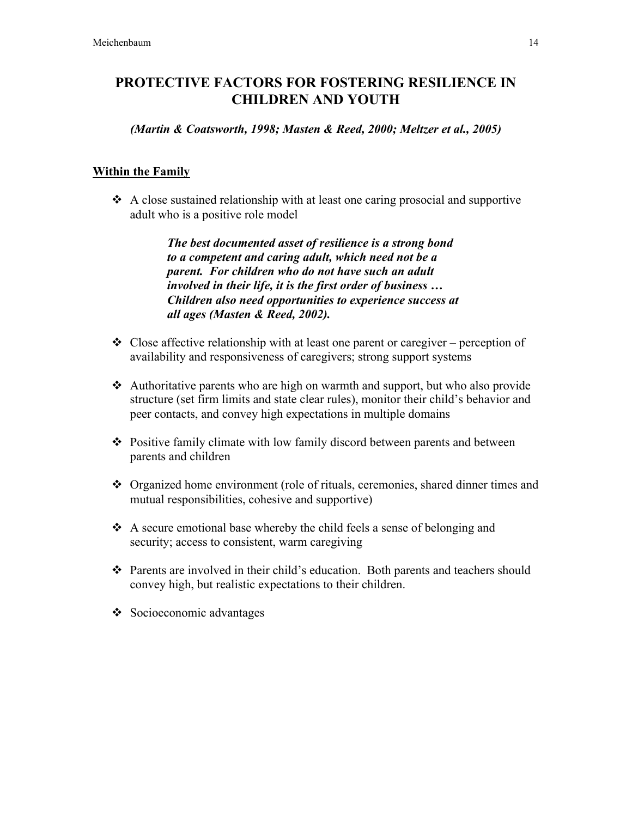# PROTECTIVE FACTORS FOR FOSTERING RESILIENCE IN CHILDREN AND YOUTH

*(Martin & Coatsworth, 1998; Masten & Reed, 2000; Meltzer et al., 2005)*

### **Within the Family**

 $\triangle$  A close sustained relationship with at least one caring prosocial and supportive adult who is a positive role model

> *The best documented asset of resilience is a strong bond to a competent and caring adult, which need not be a parent. For children who do not have such an adult involved in their life, it is the first order of business … Children also need opportunities to experience success at all ages (Masten & Reed, 2002).*

- $\triangle$  Close affective relationship with at least one parent or caregiver perception of availability and responsiveness of caregivers; strong support systems
- Authoritative parents who are high on warmth and support, but who also provide structure (set firm limits and state clear rules), monitor their child's behavior and peer contacts, and convey high expectations in multiple domains
- Positive family climate with low family discord between parents and between parents and children
- Organized home environment (role of rituals, ceremonies, shared dinner times and mutual responsibilities, cohesive and supportive)
- $\triangle$  A secure emotional base whereby the child feels a sense of belonging and security; access to consistent, warm caregiving
- $\hat{\cdot}$  Parents are involved in their child's education. Both parents and teachers should convey high, but realistic expectations to their children.
- $\triangle$  Socioeconomic advantages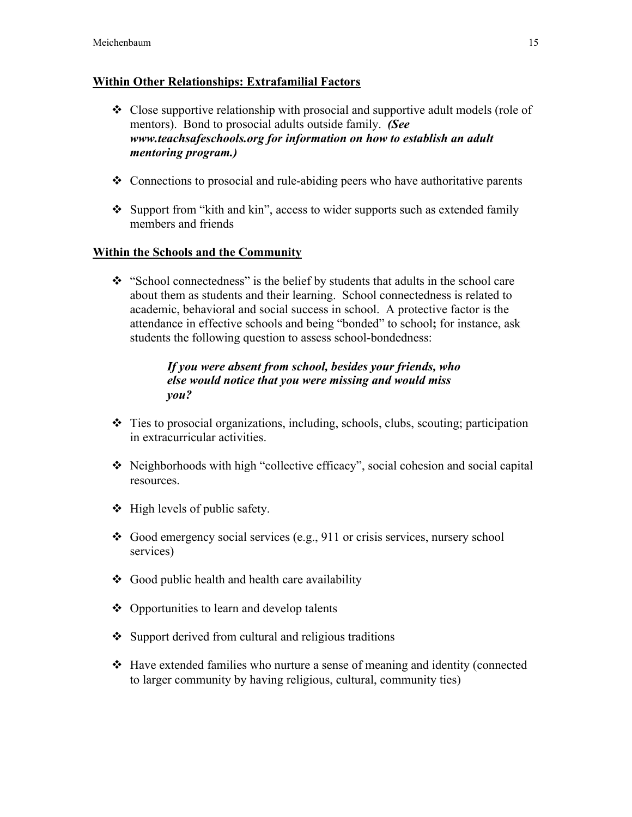#### Within Other Relationships: Extrafamilial Factors

- $\div$  Close supportive relationship with prosocial and supportive adult models (role of mentors). Bond to prosocial adults outside family. *(See www.teachsafeschools.org for information on how to establish an adult mentoring program.)*
- Connections to prosocial and rule-abiding peers who have authoritative parents
- $\triangle$  Support from "kith and kin", access to wider supports such as extended family members and friends

#### Within the Schools and the Community

 $\cdot$  "School connectedness" is the belief by students that adults in the school care about them as students and their learning. School connectedness is related to academic, behavioral and social success in school. A protective factor is the attendance in effective schools and being "bonded" to school; for instance, ask students the following question to assess school-bondedness:

### *If you were absent from school, besides your friends, who else would notice that you were missing and would miss you?*

- Ties to prosocial organizations, including, schools, clubs, scouting; participation in extracurricular activities.
- Neighborhoods with high "collective efficacy", social cohesion and social capital resources.
- $\triangleleft$  High levels of public safety.
- Good emergency social services (e.g., 911 or crisis services, nursery school services)
- $\triangleleft$  Good public health and health care availability
- Opportunities to learn and develop talents
- $\triangle$  Support derived from cultural and religious traditions
- Have extended families who nurture a sense of meaning and identity (connected to larger community by having religious, cultural, community ties)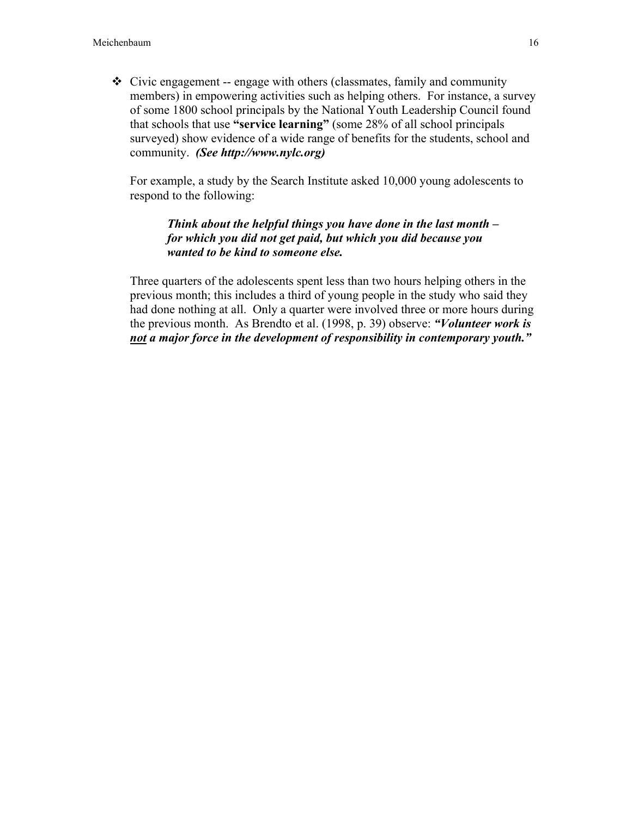$\div$  Civic engagement -- engage with others (classmates, family and community members) in empowering activities such as helping others. For instance, a survey of some 1800 school principals by the National Youth Leadership Council found that schools that use "service learning" (some 28% of all school principals surveyed) show evidence of a wide range of benefits for the students, school and community. *(See http://www.nylc.org)*

For example, a study by the Search Institute asked 10,000 young adolescents to respond to the following:

#### *Think about the helpful things you have done in the last month – for which you did not get paid, but which you did because you wanted to be kind to someone else.*

Three quarters of the adolescents spent less than two hours helping others in the previous month; this includes a third of young people in the study who said they had done nothing at all. Only a quarter were involved three or more hours during the previous month. As Brendto et al. (1998, p. 39) observe: *"Volunteer work is not a major force in the development of responsibility in contemporary youth."*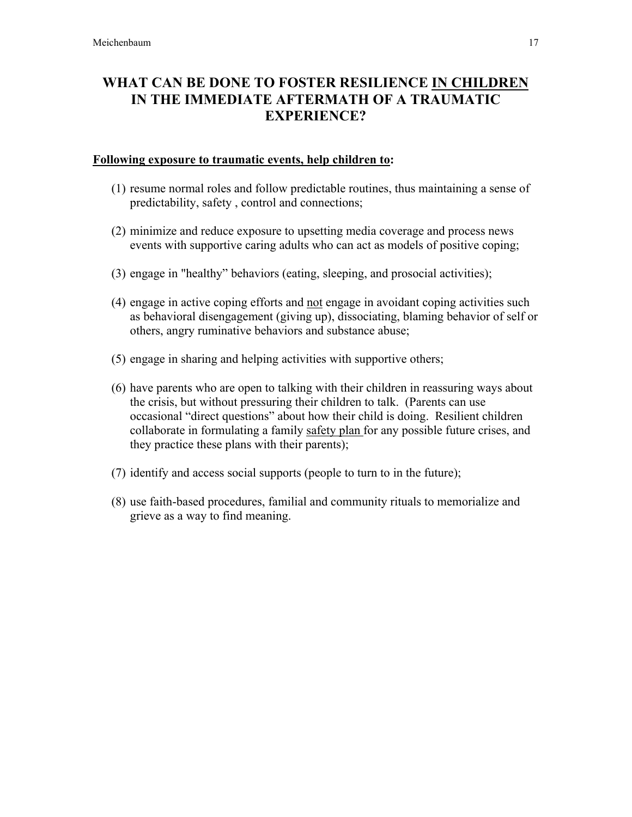# WHAT CAN BE DONE TO FOSTER RESILIENCE IN CHILDREN IN THE IMMEDIATE AFTERMATH OF A TRAUMATIC EXPERIENCE?

#### Following exposure to traumatic events, help children to:

- (1) resume normal roles and follow predictable routines, thus maintaining a sense of predictability, safety , control and connections;
- (2) minimize and reduce exposure to upsetting media coverage and process news events with supportive caring adults who can act as models of positive coping;
- (3) engage in "healthy" behaviors (eating, sleeping, and prosocial activities);
- (4) engage in active coping efforts and not engage in avoidant coping activities such as behavioral disengagement (giving up), dissociating, blaming behavior of self or others, angry ruminative behaviors and substance abuse;
- (5) engage in sharing and helping activities with supportive others;
- (6) have parents who are open to talking with their children in reassuring ways about the crisis, but without pressuring their children to talk. (Parents can use occasional "direct questions" about how their child is doing. Resilient children collaborate in formulating a family safety plan for any possible future crises, and they practice these plans with their parents);
- (7) identify and access social supports (people to turn to in the future);
- (8) use faith-based procedures, familial and community rituals to memorialize and grieve as a way to find meaning.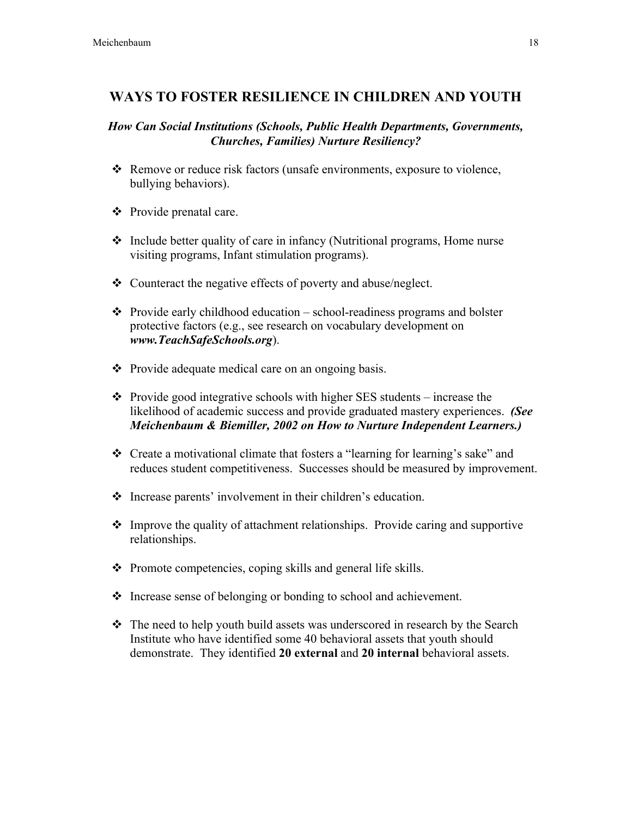### WAYS TO FOSTER RESILIENCE IN CHILDREN AND YOUTH

### *How Can Social Institutions (Schools, Public Health Departments, Governments, Churches, Families) Nurture Resiliency?*

- \* Remove or reduce risk factors (unsafe environments, exposure to violence, bullying behaviors).
- Provide prenatal care.
- $\div$  Include better quality of care in infancy (Nutritional programs, Home nurse visiting programs, Infant stimulation programs).
- Counteract the negative effects of poverty and abuse/neglect.
- $\triangle$  Provide early childhood education school-readiness programs and bolster protective factors (e.g., see research on vocabulary development on *www.TeachSafeSchools.org*).
- Provide adequate medical care on an ongoing basis.
- $\cdot \cdot$  Provide good integrative schools with higher SES students increase the likelihood of academic success and provide graduated mastery experiences. *(See Meichenbaum & Biemiller, 2002 on How to Nurture Independent Learners.)*
- Create a motivational climate that fosters a "learning for learning's sake" and reduces student competitiveness. Successes should be measured by improvement.
- Increase parents' involvement in their children's education.
- $\triangle$  Improve the quality of attachment relationships. Provide caring and supportive relationships.
- $\triangle$  Promote competencies, coping skills and general life skills.
- Increase sense of belonging or bonding to school and achievement.
- The need to help youth build assets was underscored in research by the Search Institute who have identified some 40 behavioral assets that youth should demonstrate. They identified 20 external and 20 internal behavioral assets.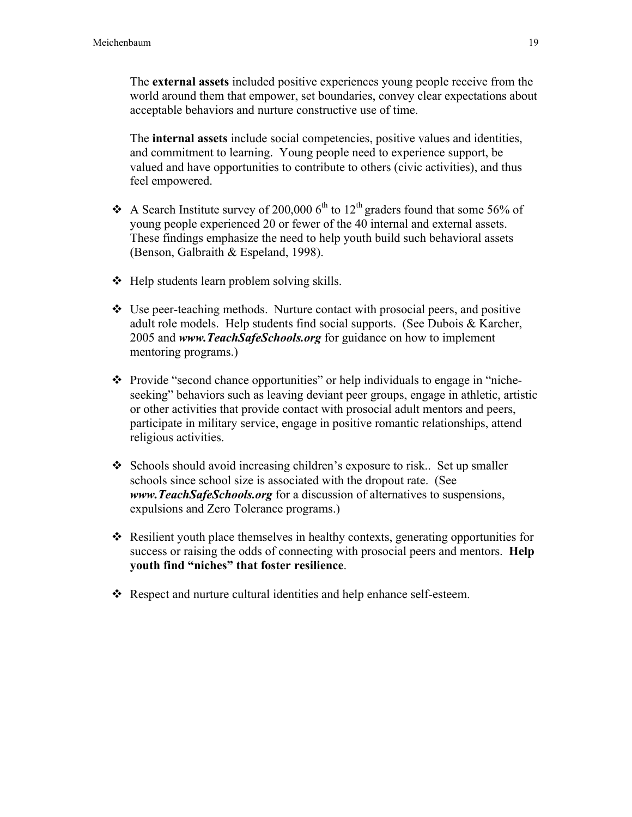The external assets included positive experiences young people receive from the world around them that empower, set boundaries, convey clear expectations about acceptable behaviors and nurture constructive use of time.

The internal assets include social competencies, positive values and identities, and commitment to learning. Young people need to experience support, be valued and have opportunities to contribute to others (civic activities), and thus feel empowered.

- A Search Institute survey of 200,000  $6<sup>th</sup>$  to 12<sup>th</sup> graders found that some 56% of young people experienced 20 or fewer of the 40 internal and external assets. These findings emphasize the need to help youth build such behavioral assets (Benson, Galbraith & Espeland, 1998).
- $\triangleleft$  Help students learn problem solving skills.
- $\div$  Use peer-teaching methods. Nurture contact with prosocial peers, and positive adult role models. Help students find social supports. (See Dubois & Karcher, 2005 and *www.TeachSafeSchools.org* for guidance on how to implement mentoring programs.)
- $\triangle$  Provide "second chance opportunities" or help individuals to engage in "nicheseeking" behaviors such as leaving deviant peer groups, engage in athletic, artistic or other activities that provide contact with prosocial adult mentors and peers, participate in military service, engage in positive romantic relationships, attend religious activities.
- $\div$  Schools should avoid increasing children's exposure to risk.. Set up smaller schools since school size is associated with the dropout rate. (See *www.TeachSafeSchools.org* for a discussion of alternatives to suspensions, expulsions and Zero Tolerance programs.)
- $\triangle$  Resilient youth place themselves in healthy contexts, generating opportunities for success or raising the odds of connecting with prosocial peers and mentors. **Help** youth find "niches" that foster resilience.
- Respect and nurture cultural identities and help enhance self-esteem.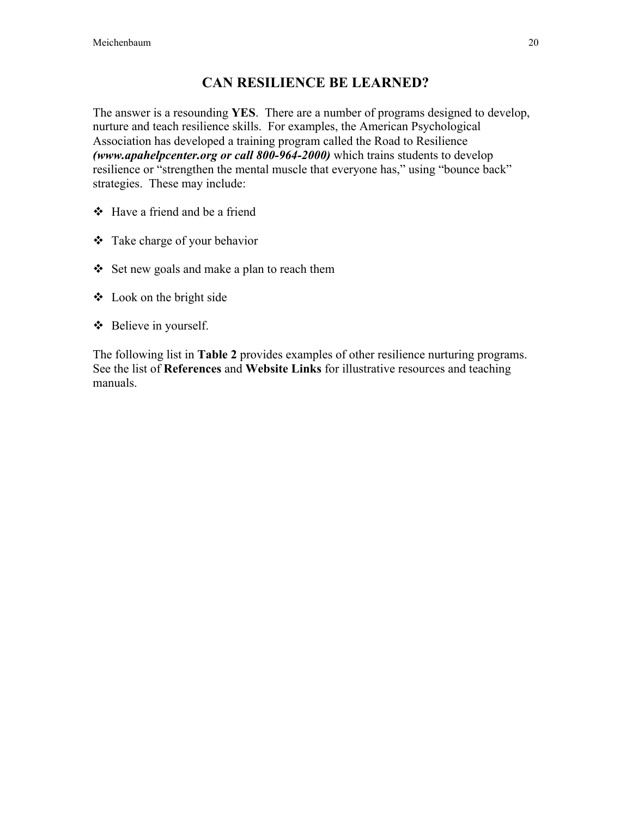# CAN RESILIENCE BE LEARNED?

The answer is a resounding **YES**. There are a number of programs designed to develop, nurture and teach resilience skills. For examples, the American Psychological Association has developed a training program called the Road to Resilience *(www.apahelpcenter.org or call 800-964-2000)* which trains students to develop resilience or "strengthen the mental muscle that everyone has," using "bounce back" strategies. These may include:

- Have a friend and be a friend
- Take charge of your behavior
- Set new goals and make a plan to reach them
- $\triangleleft$  Look on the bright side
- Believe in yourself.

The following list in Table 2 provides examples of other resilience nurturing programs. See the list of References and Website Links for illustrative resources and teaching manuals.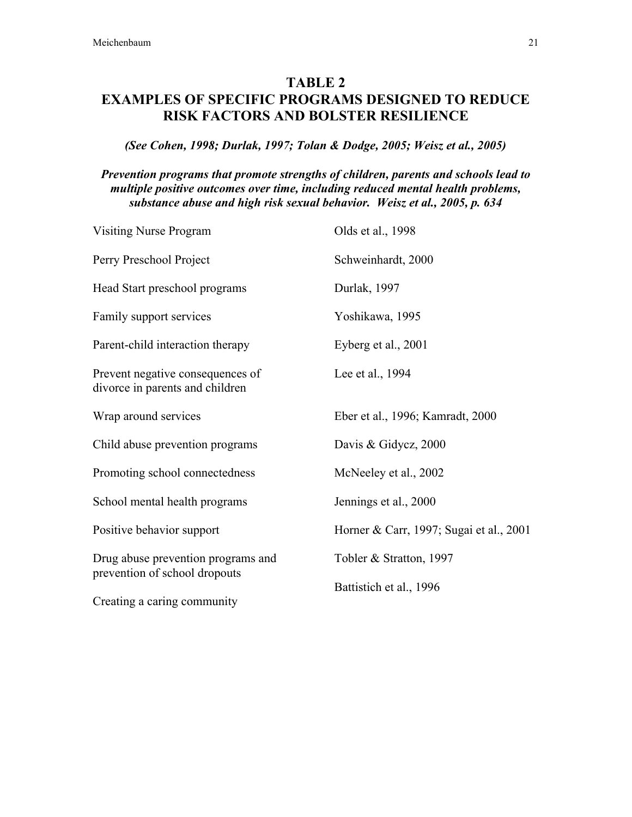# TABLE 2 EXAMPLES OF SPECIFIC PROGRAMS DESIGNED TO REDUCE RISK FACTORS AND BOLSTER RESILIENCE

#### *(See Cohen, 1998; Durlak, 1997; Tolan & Dodge, 2005; Weisz et al., 2005)*

#### *Prevention programs that promote strengths of children, parents and schools lead to multiple positive outcomes over time, including reduced mental health problems, substance abuse and high risk sexual behavior. Weisz et al., 2005, p. 634*

| <b>Visiting Nurse Program</b>                                       | Olds et al., 1998                       |  |
|---------------------------------------------------------------------|-----------------------------------------|--|
| Perry Preschool Project                                             | Schweinhardt, 2000                      |  |
| Head Start preschool programs                                       | Durlak, 1997                            |  |
| Family support services                                             | Yoshikawa, 1995                         |  |
| Parent-child interaction therapy                                    | Eyberg et al., 2001                     |  |
| Prevent negative consequences of<br>divorce in parents and children | Lee et al., 1994                        |  |
| Wrap around services                                                | Eber et al., 1996; Kamradt, 2000        |  |
| Child abuse prevention programs                                     | Davis & Gidycz, 2000                    |  |
| Promoting school connectedness                                      | McNeeley et al., 2002                   |  |
| School mental health programs                                       | Jennings et al., 2000                   |  |
| Positive behavior support                                           | Horner & Carr, 1997; Sugai et al., 2001 |  |
| Drug abuse prevention programs and                                  | Tobler & Stratton, 1997                 |  |
| prevention of school dropouts<br>Creating a caring community        | Battistich et al., 1996                 |  |
|                                                                     |                                         |  |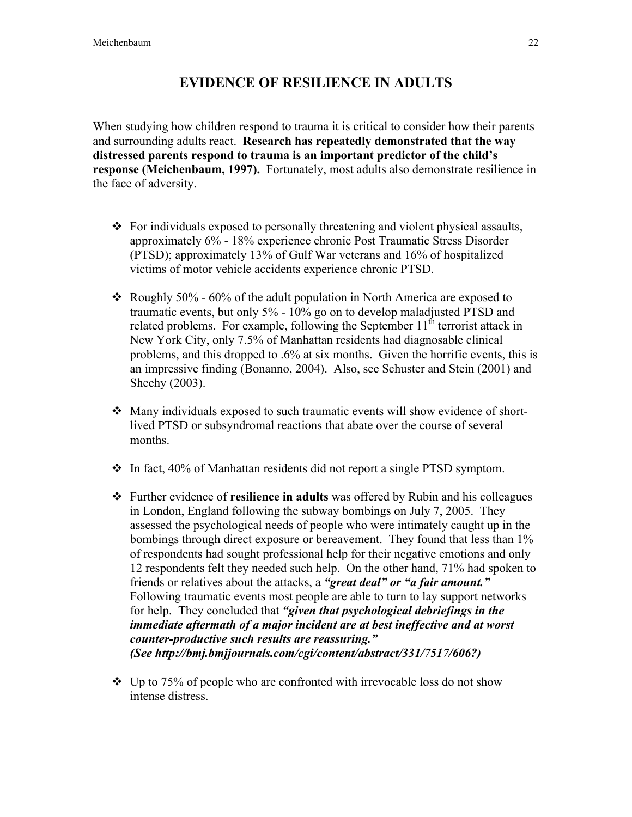# EVIDENCE OF RESILIENCE IN ADULTS

When studying how children respond to trauma it is critical to consider how their parents and surrounding adults react. Research has repeatedly demonstrated that the way distressed parents respond to trauma is an important predictor of the child's response (Meichenbaum, 1997). Fortunately, most adults also demonstrate resilience in the face of adversity.

- $\div$  For individuals exposed to personally threatening and violent physical assaults, approximately 6% - 18% experience chronic Post Traumatic Stress Disorder (PTSD); approximately 13% of Gulf War veterans and 16% of hospitalized victims of motor vehicle accidents experience chronic PTSD.
- Roughly 50% 60% of the adult population in North America are exposed to traumatic events, but only 5% - 10% go on to develop maladjusted PTSD and related problems. For example, following the September  $11<sup>th</sup>$  terrorist attack in New York City, only 7.5% of Manhattan residents had diagnosable clinical problems, and this dropped to .6% at six months. Given the horrific events, this is an impressive finding (Bonanno, 2004). Also, see Schuster and Stein (2001) and Sheehy (2003).
- Many individuals exposed to such traumatic events will show evidence of shortlived PTSD or subsyndromal reactions that abate over the course of several months.
- $\div$  In fact, 40% of Manhattan residents did not report a single PTSD symptom.
- Further evidence of resilience in adults was offered by Rubin and his colleagues in London, England following the subway bombings on July 7, 2005. They assessed the psychological needs of people who were intimately caught up in the bombings through direct exposure or bereavement. They found that less than  $1\%$ of respondents had sought professional help for their negative emotions and only 12 respondents felt they needed such help. On the other hand, 71% had spoken to friends or relatives about the attacks, a *"great deal" or "a fair amount."* Following traumatic events most people are able to turn to lay support networks for help. They concluded that *"given that psychological debriefings in the immediate aftermath of a major incident are at best ineffective and at worst counter-productive such results are reassuring." (See http://bmj.bmjjournals.com/cgi/content/abstract/331/7517/606?)*
- $\div$  Up to 75% of people who are confronted with irrevocable loss do not show intense distress.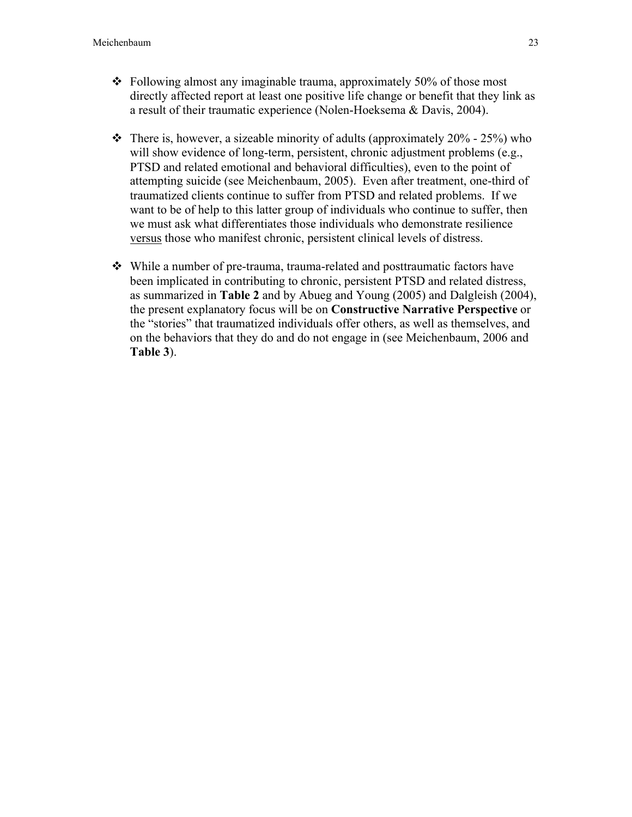- $\div$  Following almost any imaginable trauma, approximately 50% of those most directly affected report at least one positive life change or benefit that they link as a result of their traumatic experience (Nolen-Hoeksema & Davis, 2004).
- $\cdot \cdot$  There is, however, a sizeable minority of adults (approximately 20% 25%) who will show evidence of long-term, persistent, chronic adjustment problems (e.g., PTSD and related emotional and behavioral difficulties), even to the point of attempting suicide (see Meichenbaum, 2005). Even after treatment, one-third of traumatized clients continue to suffer from PTSD and related problems. If we want to be of help to this latter group of individuals who continue to suffer, then we must ask what differentiates those individuals who demonstrate resilience versus those who manifest chronic, persistent clinical levels of distress.
- While a number of pre-trauma, trauma-related and posttraumatic factors have been implicated in contributing to chronic, persistent PTSD and related distress, as summarized in Table 2 and by Abueg and Young (2005) and Dalgleish (2004), the present explanatory focus will be on Constructive Narrative Perspective or the "stories" that traumatized individuals offer others, as well as themselves, and on the behaviors that they do and do not engage in (see Meichenbaum, 2006 and Table 3).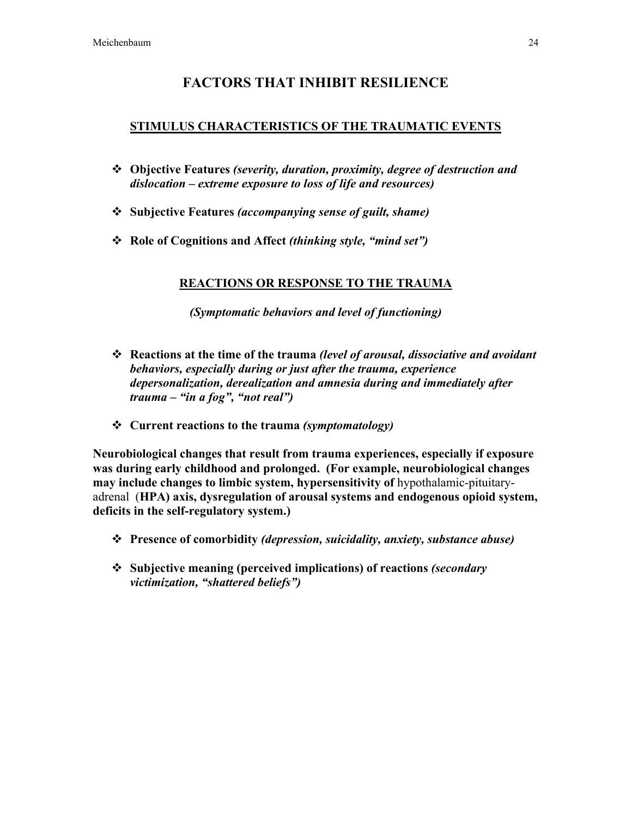### FACTORS THAT INHIBIT RESILIENCE

#### STIMULUS CHARACTERISTICS OF THE TRAUMATIC EVENTS

- Objective Features *(severity, duration, proximity, degree of destruction and dislocation – extreme exposure to loss of life and resources)*
- Subjective Features *(accompanying sense of guilt, shame)*
- Role of Cognitions and Affect *(thinking style, "mind set")*

#### REACTIONS OR RESPONSE TO THE TRAUMA

*(Symptomatic behaviors and level of functioning)*

- Reactions at the time of the trauma *(level of arousal, dissociative and avoidant behaviors, especially during or just after the trauma, experience depersonalization, derealization and amnesia during and immediately after trauma – "in a fog", "not real")*
- Current reactions to the trauma *(symptomatology)*

Neurobiological changes that result from trauma experiences, especially if exposure was during early childhood and prolonged. (For example, neurobiological changes may include changes to limbic system, hypersensitivity of hypothalamic-pituitaryadrenal (HPA) axis, dysregulation of arousal systems and endogenous opioid system, deficits in the self-regulatory system.)

- Presence of comorbidity *(depression, suicidality, anxiety, substance abuse)*
- Subjective meaning (perceived implications) of reactions *(secondary victimization, "shattered beliefs")*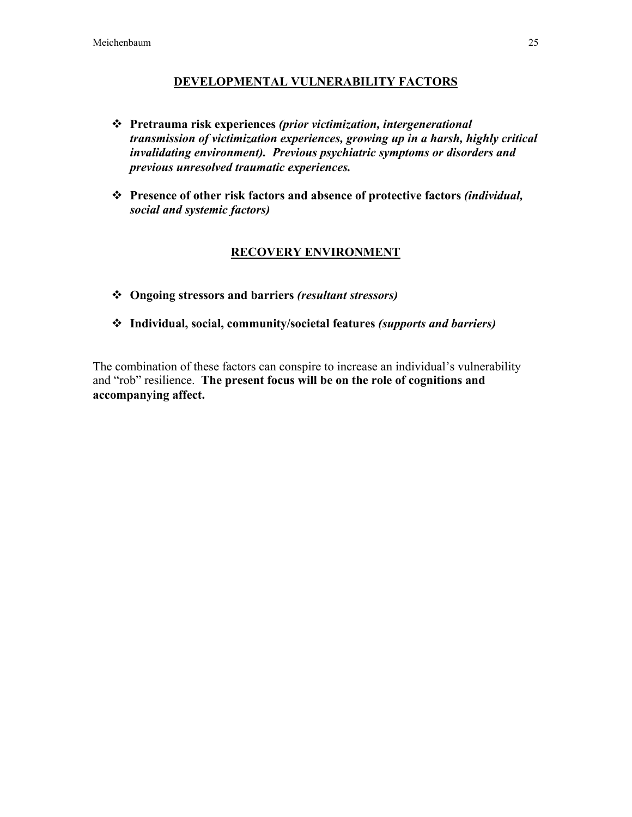#### DEVELOPMENTAL VULNERABILITY FACTORS

- Pretrauma risk experiences *(prior victimization, intergenerational transmission of victimization experiences, growing up in a harsh, highly critical invalidating environment). Previous psychiatric symptoms or disorders and previous unresolved traumatic experiences.*
- Presence of other risk factors and absence of protective factors *(individual, social and systemic factors)*

#### RECOVERY ENVIRONMENT

- Ongoing stressors and barriers *(resultant stressors)*
- Individual, social, community/societal features *(supports and barriers)*

The combination of these factors can conspire to increase an individual's vulnerability and "rob" resilience. The present focus will be on the role of cognitions and accompanying affect.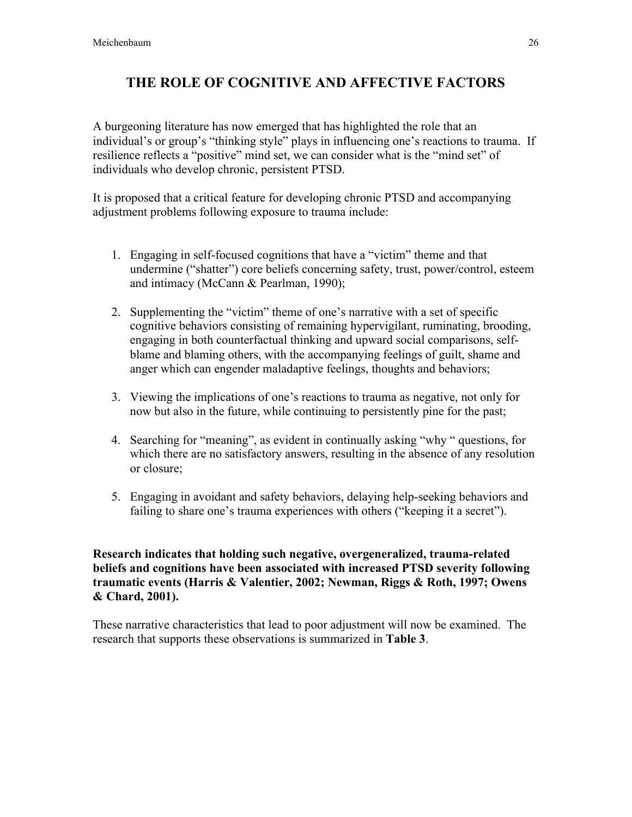# THE ROLE OF COGNITIVE AND AFFECTIVE FACTORS

A burgeoning literature has now emerged that has highlighted the role that an individual's or group's "thinking style" plays in influencing one's reactions to trauma. If resilience reflects a "positive" mind set, we can consider what is the "mind set" of individuals who develop chronic, persistent PTSD.

It is proposed that a critical feature for developing chronic PTSD and accompanying adjustment problems following exposure to trauma include:

- 1. Engaging in self-focused cognitions that have a "victim" theme and that undermine ("shatter") core beliefs concerning safety, trust, power/control, esteem and intimacy (McCann & Pearlman, 1990);
- 2. Supplementing the "victim" theme of one's narrative with a set of specific cognitive behaviors consisting of remaining hypervigilant, ruminating, brooding, engaging in both counterfactual thinking and upward social comparisons, selfblame and blaming others, with the accompanying feelings of guilt, shame and anger which can engender maladaptive feelings, thoughts and behaviors;
- 3. Viewing the implications of one's reactions to trauma as negative, not only for now but also in the future, while continuing to persistently pine for the past;
- 4. Searching for "meaning", as evident in continually asking "why " questions, for which there are no satisfactory answers, resulting in the absence of any resolution or closure;
- 5. Engaging in avoidant and safety behaviors, delaying help-seeking behaviors and failing to share one's trauma experiences with others ("keeping it a secret").

Research indicates that holding such negative, overgeneralized, trauma-related beliefs and cognitions have been associated with increased PTSD severity following traumatic events (Harris & Valentier, 2002; Newman, Riggs & Roth, 1997; Owens & Chard, 2001).

These narrative characteristics that lead to poor adjustment will now be examined. The research that supports these observations is summarized in Table 3.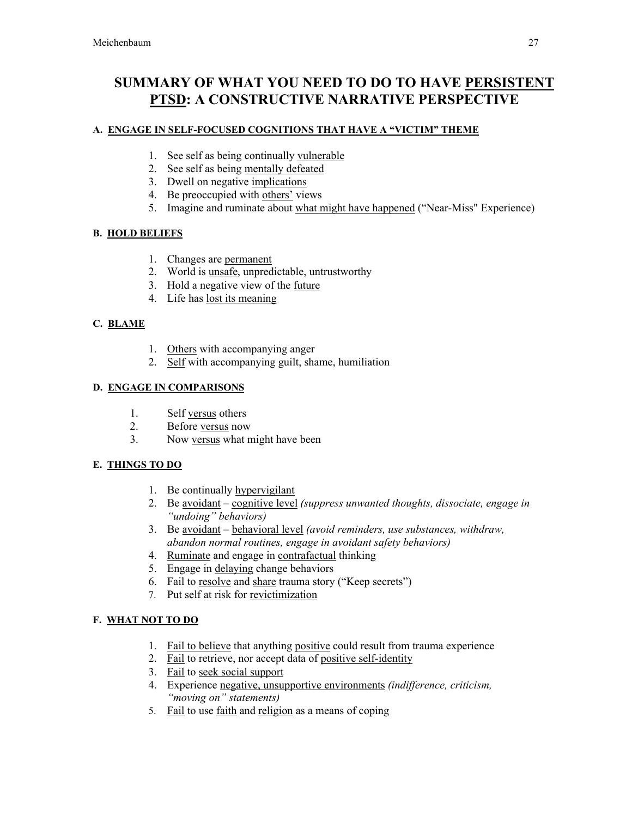# SUMMARY OF WHAT YOU NEED TO DO TO HAVE PERSISTENT PTSD: A CONSTRUCTIVE NARRATIVE PERSPECTIVE

#### A. ENGAGE IN SELF-FOCUSED COGNITIONS THAT HAVE A "VICTIM" THEME

- 1. See self as being continually vulnerable
- 2. See self as being mentally defeated
- 3. Dwell on negative implications
- 4. Be preoccupied with others' views
- 5. Imagine and ruminate about what might have happened ("Near-Miss" Experience)

#### B. HOLD BELIEFS

- 1. Changes are permanent
- 2. World is unsafe, unpredictable, untrustworthy
- 3. Hold a negative view of the future
- 4. Life has lost its meaning

#### C. BLAME

- 1. Others with accompanying anger
- 2. Self with accompanying guilt, shame, humiliation

#### D. ENGAGE IN COMPARISONS

- 1. Self versus others
- 2. Before versus now
- 3. Now versus what might have been

#### E. THINGS TO DO

- 1. Be continually hypervigilant
- 2. Be avoidant cognitive level *(suppress unwanted thoughts, dissociate, engage in "undoing" behaviors)*
- 3. Be avoidant behavioral level *(avoid reminders, use substances, withdraw, abandon normal routines, engage in avoidant safety behaviors)*
- 4. Ruminate and engage in contrafactual thinking
- 5. Engage in delaying change behaviors
- 6. Fail to resolve and share trauma story ("Keep secrets")
- 7. Put self at risk for revictimization

#### F. WHAT NOT TO DO

- 1. Fail to believe that anything positive could result from trauma experience
- 2. Fail to retrieve, nor accept data of positive self-identity
- 3. Fail to seek social support
- 4. Experience negative, unsupportive environments *(indifference, criticism, "moving on" statements)*
- 5. Fail to use faith and religion as a means of coping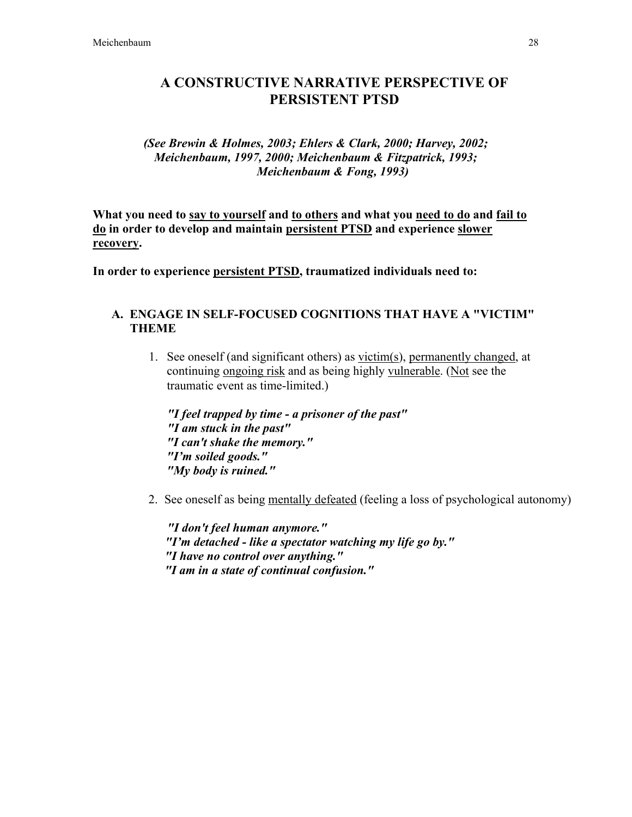### A CONSTRUCTIVE NARRATIVE PERSPECTIVE OF PERSISTENT PTSD

#### *(See Brewin & Holmes, 2003; Ehlers & Clark, 2000; Harvey, 2002; Meichenbaum, 1997, 2000; Meichenbaum & Fitzpatrick, 1993; Meichenbaum & Fong, 1993)*

What you need to say to yourself and to others and what you need to do and fail to do in order to develop and maintain persistent PTSD and experience slower recovery.

In order to experience persistent PTSD, traumatized individuals need to:

#### A. ENGAGE IN SELF-FOCUSED COGNITIONS THAT HAVE A "VICTIM" THEME

1. See oneself (and significant others) as  $victim(s), permanently changed, at$ </u> continuing ongoing risk and as being highly vulnerable. (Not see the traumatic event as time-limited.)

*"I feel trapped by time - a prisoner of the past" "I am stuck in the past" "I can't shake the memory." "I'm soiled goods." "My body is ruined."*

2. See oneself as being mentally defeated (feeling a loss of psychological autonomy)

*"I don't feel human anymore." "I'm detached - like a spectator watching my life go by." "I have no control over anything." "I am in a state of continual confusion."*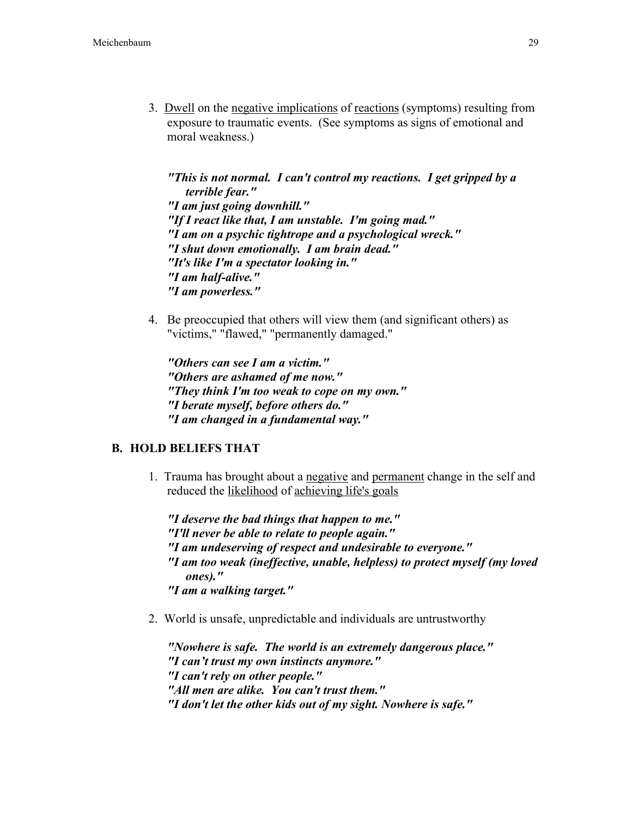3. Dwell on the negative implications of reactions (symptoms) resulting from exposure to traumatic events. (See symptoms as signs of emotional and moral weakness.)

*"This is not normal. I can't control my reactions. I get gripped by a terrible fear." "I am just going downhill." "If I react like that, I am unstable. I'm going mad." "I am on a psychic tightrope and a psychological wreck." "I shut down emotionally. I am brain dead." "It's like I'm a spectator looking in." "I am half-alive." "I am powerless."*

4. Be preoccupied that others will view them (and significant others) as "victims," "flawed," "permanently damaged."

*"Others can see I am a victim." "Others are ashamed of me now." "They think I'm too weak to cope on my own." "I berate myself, before others do." "I am changed in a fundamental way."*

#### B. HOLD BELIEFS THAT

1. Trauma has brought about a negative and permanent change in the self and reduced the likelihood of achieving life's goals

*"I deserve the bad things that happen to me." "I'll never be able to relate to people again." "I am undeserving of respect and undesirable to everyone." "I am too weak (ineffective, unable, helpless) to protect myself (my loved ones)." "I am a walking target."*

2. World is unsafe, unpredictable and individuals are untrustworthy

*"Nowhere is safe. The world is an extremely dangerous place." "I can't trust my own instincts anymore." "I can't rely on other people." "All men are alike. You can't trust them." "I don't let the other kids out of my sight. Nowhere is safe."*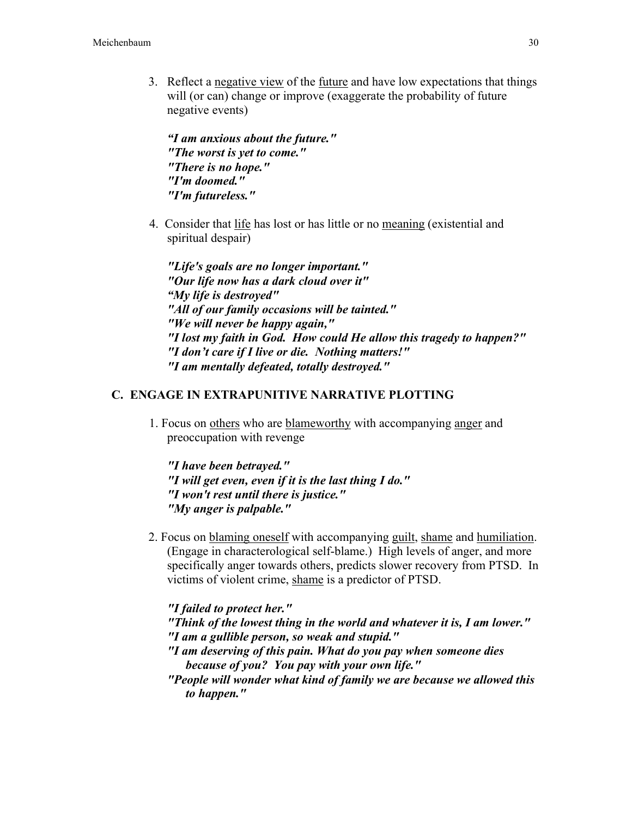3. Reflect a negative view of the future and have low expectations that things will (or can) change or improve (exaggerate the probability of future negative events)

*"I am anxious about the future." "The worst is yet to come." "There is no hope." "I'm doomed." "I'm futureless."*

4. Consider that life has lost or has little or no meaning (existential and spiritual despair)

*"Life's goals are no longer important." "Our life now has a dark cloud over it" "My life is destroyed" "All of our family occasions will be tainted." "We will never be happy again," "I lost my faith in God. How could He allow this tragedy to happen?" "I don't care if I live or die. Nothing matters!" "I am mentally defeated, totally destroyed."*

#### C. ENGAGE IN EXTRAPUNITIVE NARRATIVE PLOTTING

1. Focus on others who are blameworthy with accompanying anger and preoccupation with revenge

*"I have been betrayed." "I will get even, even if it is the last thing I do." "I won't rest until there is justice." "My anger is palpable."*

2. Focus on blaming oneself with accompanying guilt, shame and humiliation. (Engage in characterological self-blame.) High levels of anger, and more specifically anger towards others, predicts slower recovery from PTSD. In victims of violent crime, shame is a predictor of PTSD.

*"I failed to protect her." "Think of the lowest thing in the world and whatever it is, I am lower." "I am a gullible person, so weak and stupid." "I am deserving of this pain. What do you pay when someone dies because of you? You pay with your own life." "People will wonder what kind of family we are because we allowed this to happen."*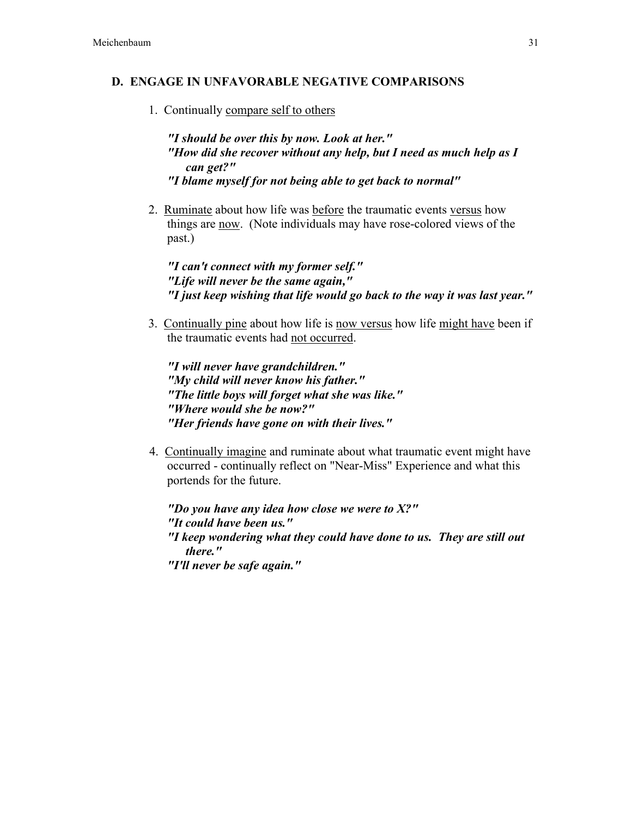#### D. ENGAGE IN UNFAVORABLE NEGATIVE COMPARISONS

1. Continually compare self to others

*"I should be over this by now. Look at her." "How did she recover without any help, but I need as much help as I can get?" "I blame myself for not being able to get back to normal"*

2. Ruminate about how life was before the traumatic events versus how things are now. (Note individuals may have rose-colored views of the past.)

*"I can't connect with my former self." "Life will never be the same again," "I just keep wishing that life would go back to the way it was last year."*

3. Continually pine about how life is now versus how life might have been if the traumatic events had not occurred.

*"I will never have grandchildren." "My child will never know his father." "The little boys will forget what she was like." "Where would she be now?" "Her friends have gone on with their lives."*

4. Continually imagine and ruminate about what traumatic event might have occurred - continually reflect on "Near-Miss" Experience and what this portends for the future.

*"Do you have any idea how close we were to X?" "It could have been us." "I keep wondering what they could have done to us. They are still out there." "I'll never be safe again."*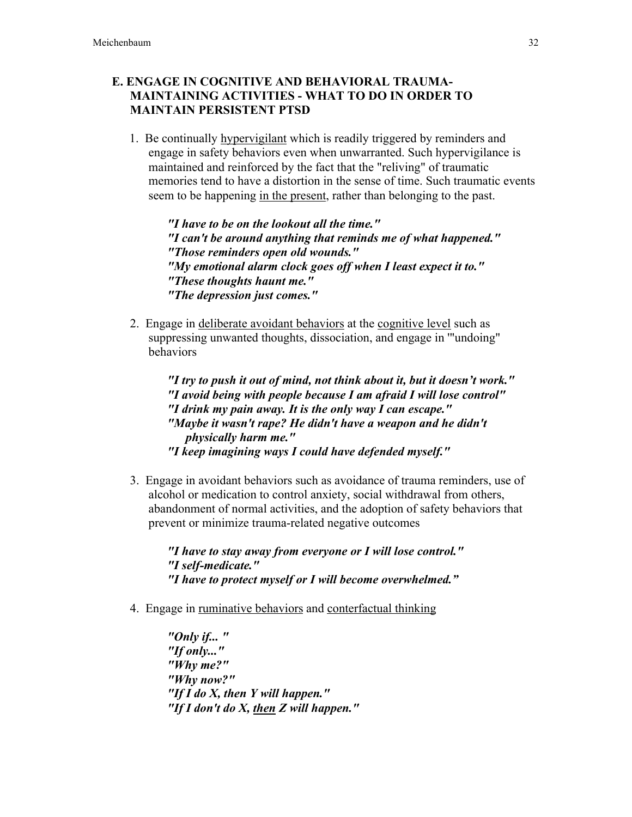### E. ENGAGE IN COGNITIVE AND BEHAVIORAL TRAUMA-MAINTAINING ACTIVITIES - WHAT TO DO IN ORDER TO MAINTAIN PERSISTENT PTSD

1. Be continually hypervigilant which is readily triggered by reminders and engage in safety behaviors even when unwarranted. Such hypervigilance is maintained and reinforced by the fact that the "reliving" of traumatic memories tend to have a distortion in the sense of time. Such traumatic events seem to be happening in the present, rather than belonging to the past.

*"I have to be on the lookout all the time." "I can't be around anything that reminds me of what happened." "Those reminders open old wounds." "My emotional alarm clock goes off when I least expect it to." "These thoughts haunt me." "The depression just comes."*

2. Engage in deliberate avoidant behaviors at the cognitive level such as suppressing unwanted thoughts, dissociation, and engage in '"undoing" behaviors

> *"I try to push it out of mind, not think about it, but it doesn't work." "I avoid being with people because I am afraid I will lose control" "I drink my pain away. It is the only way I can escape." "Maybe it wasn't rape? He didn't have a weapon and he didn't physically harm me." "I keep imagining ways I could have defended myself."*

3. Engage in avoidant behaviors such as avoidance of trauma reminders, use of alcohol or medication to control anxiety, social withdrawal from others, abandonment of normal activities, and the adoption of safety behaviors that prevent or minimize trauma-related negative outcomes

*"I have to stay away from everyone or I will lose control." "I self-medicate." "I have to protect myself or I will become overwhelmed."*

4. Engage in ruminative behaviors and conterfactual thinking

*"Only if... " "If only..." "Why me?" "Why now?" "If I do X, then Y will happen." "If I don't do X, then Z will happen."*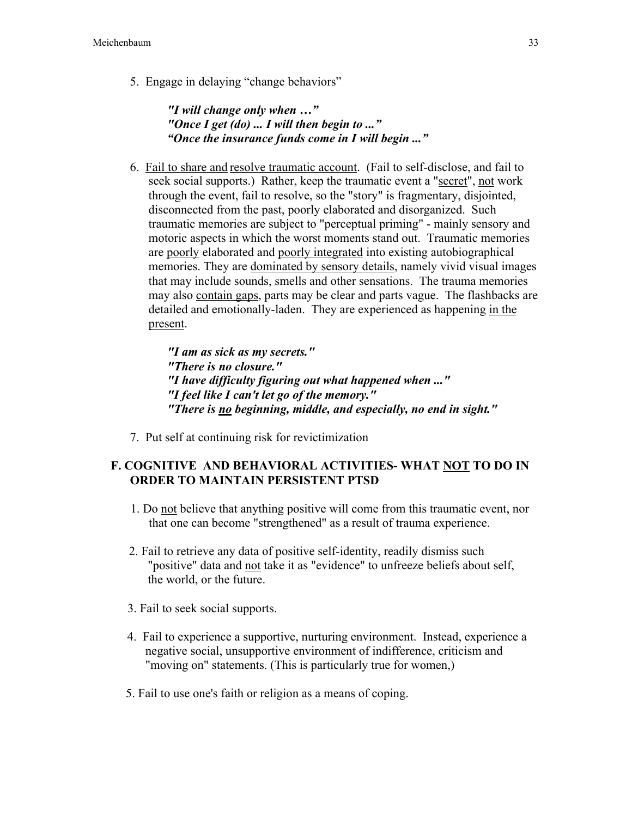5. Engage in delaying "change behaviors"

*"I will change only when …" "Once I get (do) ... I will then begin to ..." "Once the insurance funds come in I will begin ..."*

6. Fail to share and resolve traumatic account. (Fail to self-disclose, and fail to seek social supports.) Rather, keep the traumatic event a "secret", not work through the event, fail to resolve, so the "story" is fragmentary, disjointed, disconnected from the past, poorly elaborated and disorganized. Such traumatic memories are subject to "perceptual priming" - mainly sensory and motoric aspects in which the worst moments stand out. Traumatic memories are poorly elaborated and poorly integrated into existing autobiographical memories. They are dominated by sensory details, namely vivid visual images that may include sounds, smells and other sensations. The trauma memories may also contain gaps, parts may be clear and parts vague. The flashbacks are detailed and emotionally-laden. They are experienced as happening in the present.

*"I am as sick as my secrets." "There is no closure." "I have difficulty figuring out what happened when ..." "I feel like I can't let go of the memory." "There is no beginning, middle, and especially, no end in sight."*

7. Put self at continuing risk for revictimization

### F. COGNITIVE AND BEHAVIORAL ACTIVITIES- WHAT NOT TO DO IN ORDER TO MAINTAIN PERSISTENT PTSD

- 1. Do not believe that anything positive will come from this traumatic event, nor that one can become "strengthened" as a result of trauma experience.
- 2. Fail to retrieve any data of positive self-identity, readily dismiss such "positive" data and not take it as "evidence" to unfreeze beliefs about self, the world, or the future.
- 3. Fail to seek social supports.
- 4. Fail to experience a supportive, nurturing environment. Instead, experience a negative social, unsupportive environment of indifference, criticism and "moving on" statements. (This is particularly true for women,)
- 5. Fail to use one's faith or religion as a means of coping.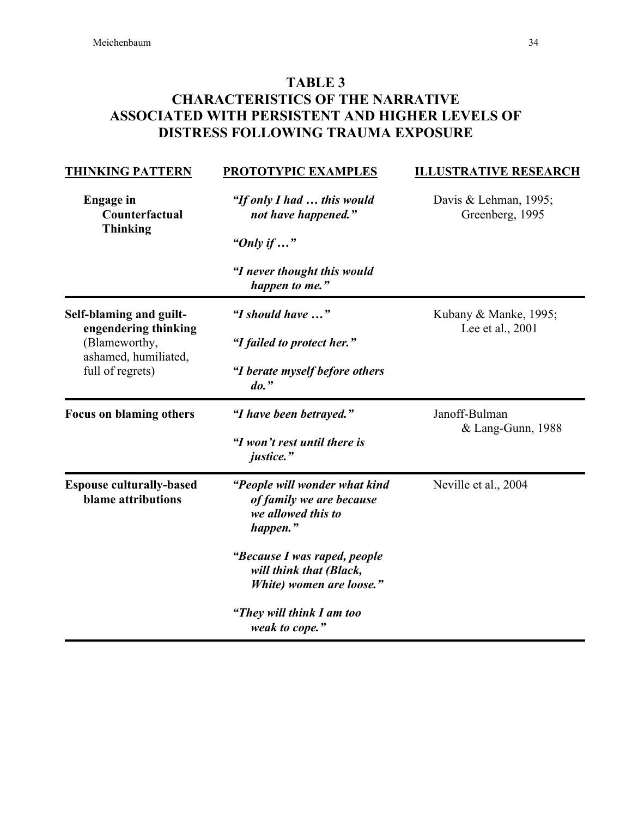# TABLE 3 CHARACTERISTICS OF THE NARRATIVE ASSOCIATED WITH PERSISTENT AND HIGHER LEVELS OF DISTRESS FOLLOWING TRAUMA EXPOSURE

| <b>THINKING PATTERN</b>                               | <b>PROTOTYPIC EXAMPLES</b>                                                                  | <b>ILLUSTRATIVE RESEARCH</b>              |
|-------------------------------------------------------|---------------------------------------------------------------------------------------------|-------------------------------------------|
| <b>Engage</b> in<br>Counterfactual<br><b>Thinking</b> | "If only I had  this would<br>not have happened."                                           | Davis & Lehman, 1995;<br>Greenberg, 1995  |
|                                                       | "Only if $\ldots$ "                                                                         |                                           |
|                                                       | "I never thought this would<br>happen to me."                                               |                                           |
| Self-blaming and guilt-<br>engendering thinking       | "I should have "                                                                            | Kubany & Manke, 1995;<br>Lee et al., 2001 |
| (Blameworthy,<br>ashamed, humiliated,                 | "I failed to protect her."                                                                  |                                           |
| full of regrets)                                      | "I berate myself before others<br>$do.$ "                                                   |                                           |
| <b>Focus on blaming others</b>                        | "I have been betrayed."                                                                     | Janoff-Bulman<br>& Lang-Gunn, 1988        |
|                                                       | "I won't rest until there is<br>justice."                                                   |                                           |
| <b>Espouse culturally-based</b><br>blame attributions | "People will wonder what kind<br>of family we are because<br>we allowed this to<br>happen." | Neville et al., 2004                      |
|                                                       | "Because I was raped, people<br>will think that (Black,<br>White) women are loose."         |                                           |
|                                                       | "They will think I am too<br>weak to cope."                                                 |                                           |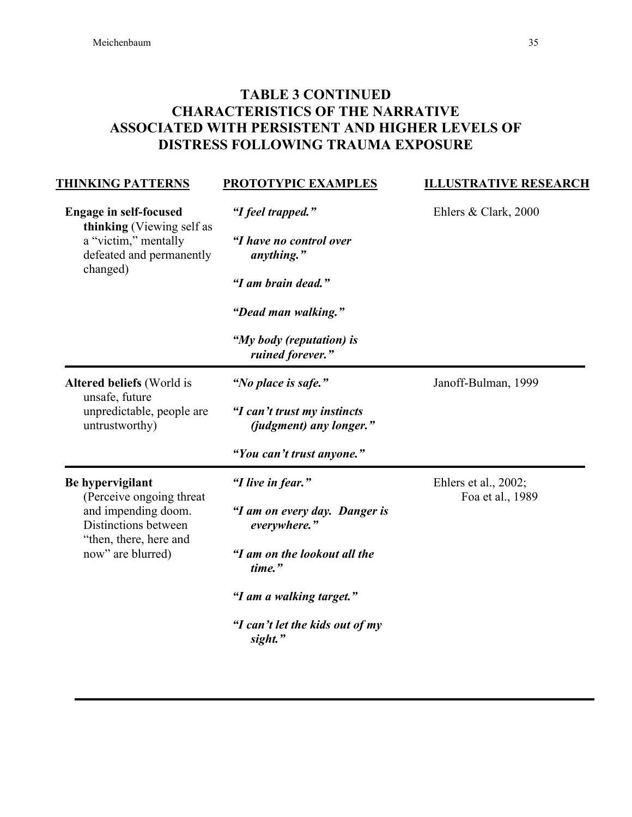# TABLE 3 CONTINUED CHARACTERISTICS OF THE NARRATIVE ASSOCIATED WITH PERSISTENT AND HIGHER LEVELS OF DISTRESS FOLLOWING TRAUMA EXPOSURE

| <b>THINKING PATTERNS</b>                                                                           | <b>PROTOTYPIC EXAMPLES</b>                             | <b>ILLUSTRATIVE RESEARCH</b> |
|----------------------------------------------------------------------------------------------------|--------------------------------------------------------|------------------------------|
| <b>Engage in self-focused</b>                                                                      | "I feel trapped."                                      | Ehlers & Clark, 2000         |
| thinking (Viewing self as<br>a "victim," mentally<br>defeated and permanently                      | "I have no control over<br>anything."                  |                              |
| changed)                                                                                           | "I am brain dead."                                     |                              |
|                                                                                                    | "Dead man walking."                                    |                              |
|                                                                                                    | "My body (reputation) is<br>ruined forever."           |                              |
| Altered beliefs (World is                                                                          | "No place is safe."                                    | Janoff-Bulman, 1999          |
| unsafe, future<br>unpredictable, people are<br>untrustworthy)                                      | "I can't trust my instincts<br>(judgment) any longer." |                              |
|                                                                                                    | "You can't trust anyone."                              |                              |
| Be hypervigilant                                                                                   | "I live in fear."                                      | Ehlers et al., 2002;         |
| (Perceive ongoing threat)<br>and impending doom.<br>Distinctions between<br>"then, there, here and | "I am on every day. Danger is<br>everywhere."          | Foa et al., 1989             |
| now" are blurred)                                                                                  | "I am on the lookout all the<br>time."                 |                              |
|                                                                                                    | "I am a walking target."                               |                              |
|                                                                                                    | "I can't let the kids out of my<br>sight."             |                              |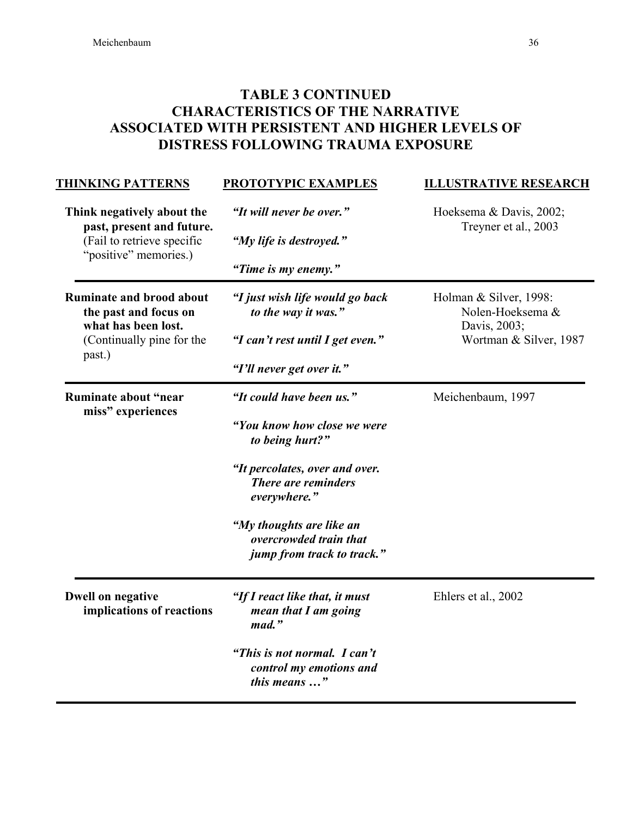# TABLE 3 CONTINUED CHARACTERISTICS OF THE NARRATIVE ASSOCIATED WITH PERSISTENT AND HIGHER LEVELS OF DISTRESS FOLLOWING TRAUMA EXPOSURE

| <b>THINKING PATTERNS</b>                                                                                               | <b>PROTOTYPIC EXAMPLES</b>                                                                                                                                                                                                              | <b>ILLUSTRATIVE RESEARCH</b>                                                         |
|------------------------------------------------------------------------------------------------------------------------|-----------------------------------------------------------------------------------------------------------------------------------------------------------------------------------------------------------------------------------------|--------------------------------------------------------------------------------------|
| Think negatively about the<br>past, present and future.<br>(Fail to retrieve specific<br>"positive" memories.)         | "It will never be over."<br>"My life is destroyed."<br>"Time is my enemy."                                                                                                                                                              | Hoeksema & Davis, 2002;<br>Treyner et al., 2003                                      |
| <b>Ruminate and brood about</b><br>the past and focus on<br>what has been lost.<br>(Continually pine for the<br>past.) | "I just wish life would go back<br>to the way it was."<br>"I can't rest until I get even."<br>"I'll never get over it."                                                                                                                 | Holman & Silver, 1998:<br>Nolen-Hoeksema &<br>Davis, 2003;<br>Wortman & Silver, 1987 |
| Ruminate about "near<br>miss" experiences                                                                              | "It could have been us."<br>"You know how close we were<br>to being hurt?"<br>"It percolates, over and over.<br>There are reminders<br>everywhere."<br>"My thoughts are like an<br>overcrowded train that<br>jump from track to track." | Meichenbaum, 1997                                                                    |
| <b>Dwell on negative</b><br>implications of reactions                                                                  | "If I react like that, it must<br>mean that I am going<br>mad."<br>"This is not normal. I can't<br>control my emotions and<br>this means "                                                                                              | Ehlers et al., 2002                                                                  |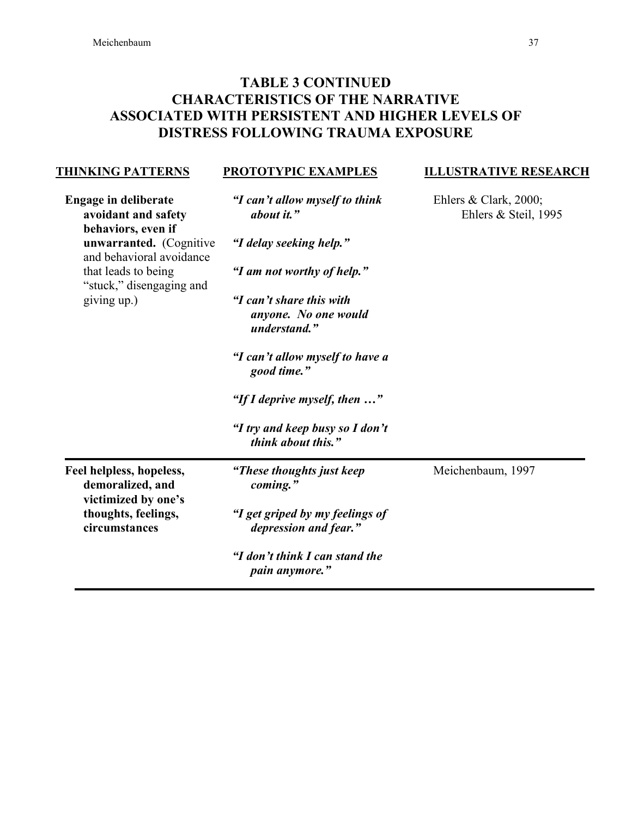THINKING PATTERNS

"stuck," disengaging and

giving up.)

## TABLE 3 CONTINUED CHARACTERISTICS OF THE NARRATIVE ASSOCIATED WITH PERSISTENT AND HIGHER LEVELS OF DISTRESS FOLLOWING TRAUMA EXPOSURE

PROTOTYPIC EXAMPLES

| <b>Engage in deliberate</b><br>avoidant and safety                               | "I can't allow myself to think<br>about it." | Ehlers & Clark, $2000$ ;<br>Ehlers $&$ Steil, 1995 |
|----------------------------------------------------------------------------------|----------------------------------------------|----------------------------------------------------|
| behaviors, even if<br><b>unwarranted.</b> (Cognitive<br>and behavioral avoidance | "I delay seeking help."                      |                                                    |
| that leads to being                                                              | "I am not worthy of help."                   |                                                    |

*anyone. No one would understand." "I can't allow myself to have a good time." "If I deprive myself, then …" "I try and keep busy so I don't think about this."*

*"I can't share this with*

Feel helpless, hopeless, demoralized, and victimized by one's thoughts, feelings, circumstances

> *"I don't think I can stand the pain anymore."*

*"I get griped by my feelings of depression and fear."*

*"These thoughts just keep*

*coming."*

Meichenbaum, 1997

ILLUSTRATIVE RESEARCH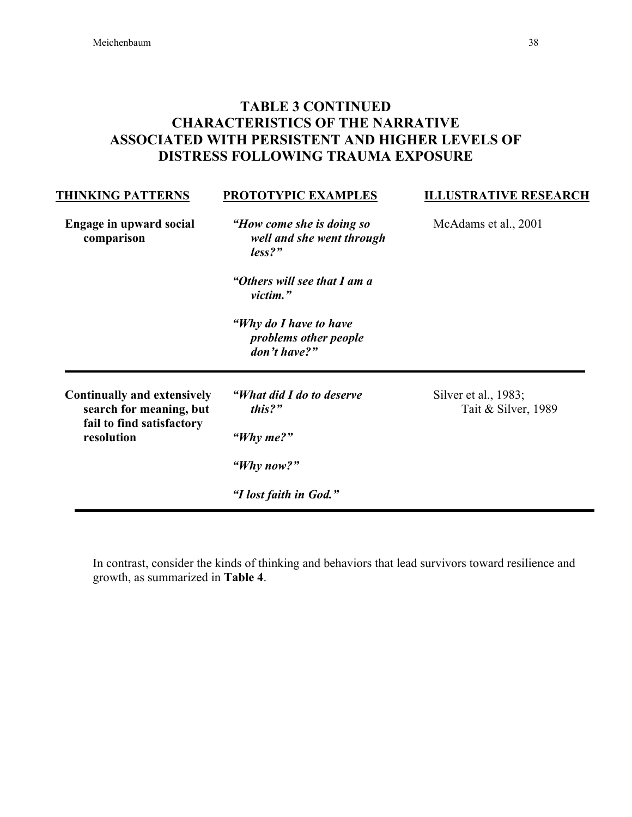# TABLE 3 CONTINUED CHARACTERISTICS OF THE NARRATIVE ASSOCIATED WITH PERSISTENT AND HIGHER LEVELS OF DISTRESS FOLLOWING TRAUMA EXPOSURE

| <b>THINKING PATTERNS</b>                                                                                 | PROTOTYPIC EXAMPLES                                              | <b>ILLUSTRATIVE RESEARCH</b>                |
|----------------------------------------------------------------------------------------------------------|------------------------------------------------------------------|---------------------------------------------|
| Engage in upward social<br>comparison                                                                    | "How come she is doing so<br>well and she went through<br>less?" | McAdams et al., 2001                        |
|                                                                                                          | "Others will see that I am a<br>victim."                         |                                             |
|                                                                                                          | "Why do I have to have<br>problems other people<br>don't have?"  |                                             |
| <b>Continually and extensively</b><br>search for meaning, but<br>fail to find satisfactory<br>resolution | "What did I do to deserve"<br>this?"                             | Silver et al., 1983;<br>Tait & Silver, 1989 |
|                                                                                                          | "Why me?"                                                        |                                             |
|                                                                                                          | "Why now?"                                                       |                                             |
|                                                                                                          | "I lost faith in God."                                           |                                             |

In contrast, consider the kinds of thinking and behaviors that lead survivors toward resilience and growth, as summarized in Table 4.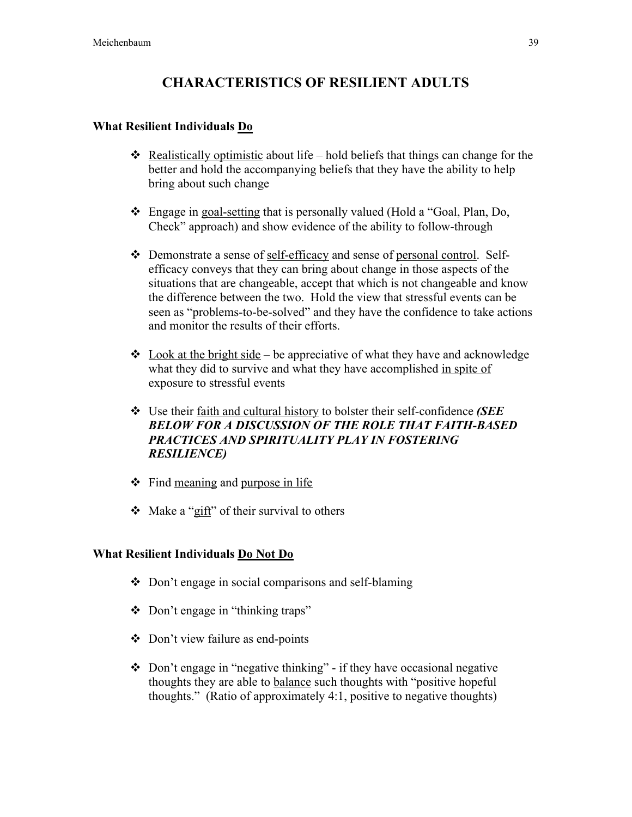# CHARACTERISTICS OF RESILIENT ADULTS

### What Resilient Individuals Do

- Realistically optimistic about life hold beliefs that things can change for the better and hold the accompanying beliefs that they have the ability to help bring about such change
- Engage in goal-setting that is personally valued (Hold a "Goal, Plan, Do, Check" approach) and show evidence of the ability to follow-through
- Demonstrate a sense of self-efficacy and sense of personal control. Selfefficacy conveys that they can bring about change in those aspects of the situations that are changeable, accept that which is not changeable and know the difference between the two. Hold the view that stressful events can be seen as "problems-to-be-solved" and they have the confidence to take actions and monitor the results of their efforts.
- $\cdot$  Look at the bright side be appreciative of what they have and acknowledge what they did to survive and what they have accomplished in spite of exposure to stressful events
- Use their faith and cultural history to bolster their self-confidence *(SEE BELOW FOR A DISCUSSION OF THE ROLE THAT FAITH-BASED PRACTICES AND SPIRITUALITY PLAY IN FOSTERING RESILIENCE)*
- $\div$  Find meaning and purpose in life
- $\triangleleft$  Make a "gift" of their survival to others

### What Resilient Individuals Do Not Do

- $\triangle$  Don't engage in social comparisons and self-blaming
- Don't engage in "thinking traps"
- Don't view failure as end-points
- $\triangle$  Don't engage in "negative thinking" if they have occasional negative thoughts they are able to balance such thoughts with "positive hopeful thoughts." (Ratio of approximately 4:1, positive to negative thoughts)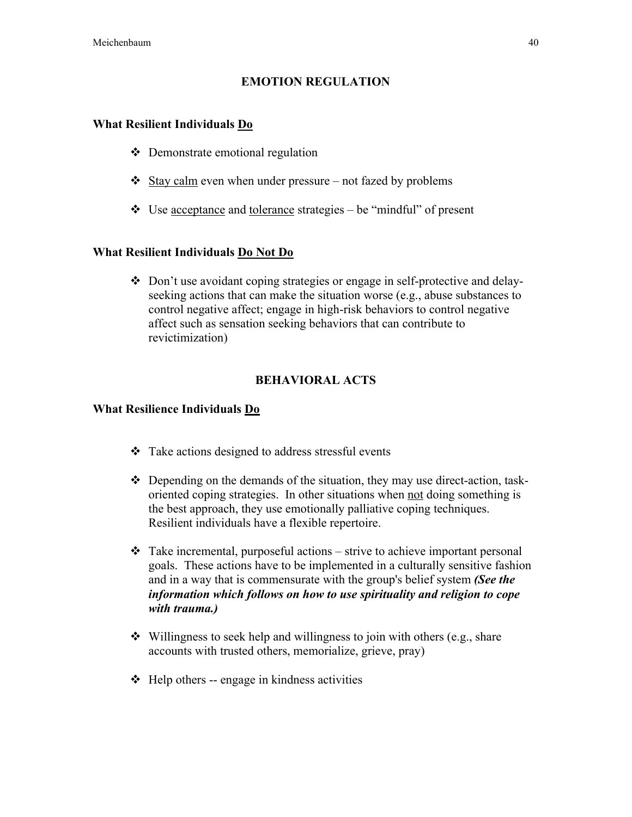### EMOTION REGULATION

### What Resilient Individuals Do

- Demonstrate emotional regulation
- $\triangle$  Stay calm even when under pressure not fazed by problems
- Use acceptance and tolerance strategies be "mindful" of present

### What Resilient Individuals Do Not Do

• Don't use avoidant coping strategies or engage in self-protective and delayseeking actions that can make the situation worse (e.g., abuse substances to control negative affect; engage in high-risk behaviors to control negative affect such as sensation seeking behaviors that can contribute to revictimization)

### BEHAVIORAL ACTS

### What Resilience Individuals Do

- Take actions designed to address stressful events
- $\div$  Depending on the demands of the situation, they may use direct-action, taskoriented coping strategies. In other situations when not doing something is the best approach, they use emotionally palliative coping techniques. Resilient individuals have a flexible repertoire.
- $\div$  Take incremental, purposeful actions strive to achieve important personal goals. These actions have to be implemented in a culturally sensitive fashion and in a way that is commensurate with the group's belief system *(See the information which follows on how to use spirituality and religion to cope with trauma.)*
- $\bullet$  Willingness to seek help and willingness to join with others (e.g., share accounts with trusted others, memorialize, grieve, pray)
- $\triangleleft$  Help others -- engage in kindness activities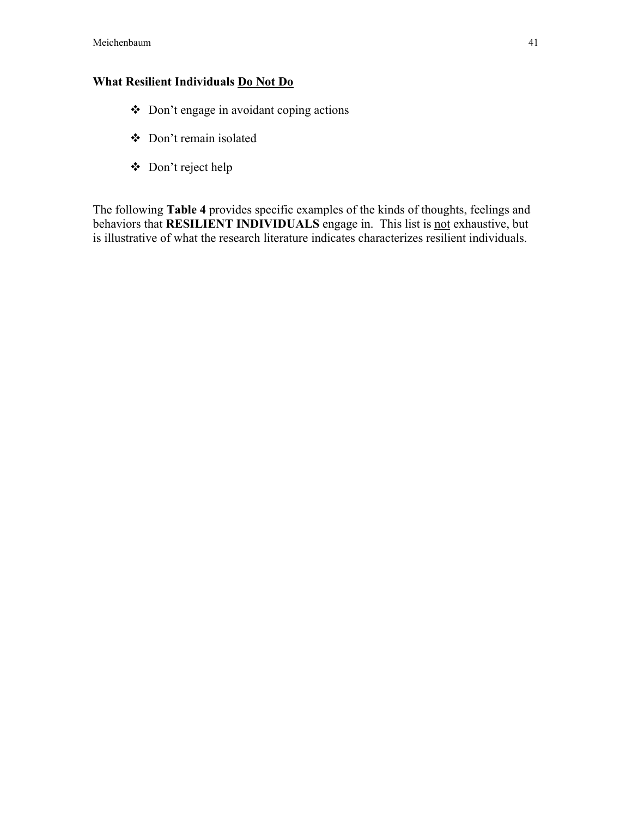## What Resilient Individuals Do Not Do

- Don't engage in avoidant coping actions
- Don't remain isolated
- Don't reject help

The following Table 4 provides specific examples of the kinds of thoughts, feelings and behaviors that **RESILIENT INDIVIDUALS** engage in. This list is not exhaustive, but is illustrative of what the research literature indicates characterizes resilient individuals.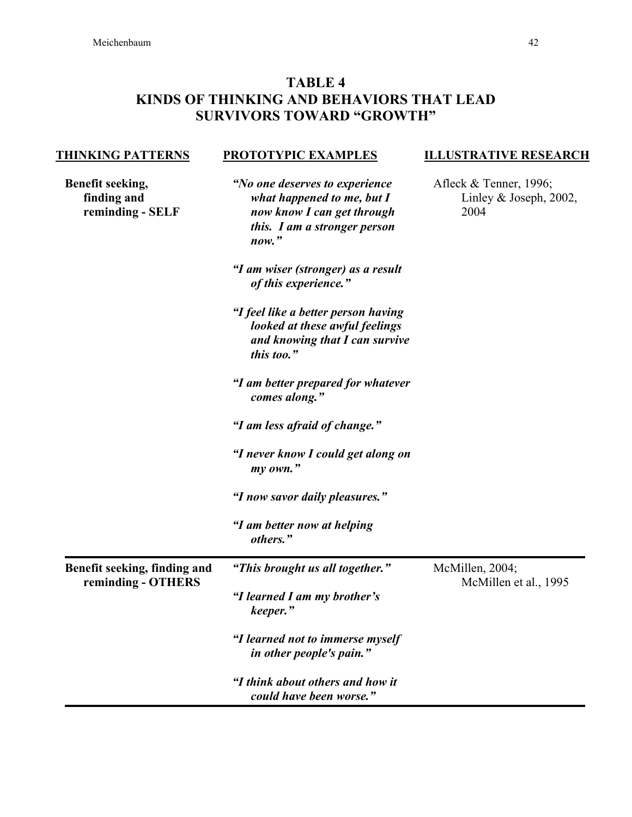# TABLE 4 KINDS OF THINKING AND BEHAVIORS THAT LEAD SURVIVORS TOWARD "GROWTH"

| <b>THINKING PATTERNS</b>                            | <b>PROTOTYPIC EXAMPLES</b>                                                                                                               | <b>ILLUSTRATIVE RESEARCH</b>                                |
|-----------------------------------------------------|------------------------------------------------------------------------------------------------------------------------------------------|-------------------------------------------------------------|
| Benefit seeking,<br>finding and<br>reminding - SELF | "No one deserves to experience<br>what happened to me, but $I$<br>now know I can get through<br>this. I am a stronger person<br>$now.$ " | Afleck & Tenner, 1996;<br>Linley & Joseph, $2002$ ,<br>2004 |
|                                                     | "I am wiser (stronger) as a result<br>of this experience."                                                                               |                                                             |
|                                                     | "I feel like a better person having<br>looked at these awful feelings<br>and knowing that I can survive<br>this too."                    |                                                             |
|                                                     | "I am better prepared for whatever<br>comes along."                                                                                      |                                                             |
|                                                     | "I am less afraid of change."                                                                                                            |                                                             |
|                                                     | "I never know I could get along on<br>my own."                                                                                           |                                                             |
|                                                     | "I now savor daily pleasures."                                                                                                           |                                                             |
|                                                     | "I am better now at helping<br>others."                                                                                                  |                                                             |
| Benefit seeking, finding and<br>reminding - OTHERS  | "This brought us all together."                                                                                                          | McMillen, 2004;<br>McMillen et al., 1995                    |
|                                                     | "I learned I am my brother's<br>keeper."                                                                                                 |                                                             |
|                                                     | "I learned not to immerse myself<br>in other people's pain."                                                                             |                                                             |
|                                                     | "I think about others and how it<br>could have been worse."                                                                              |                                                             |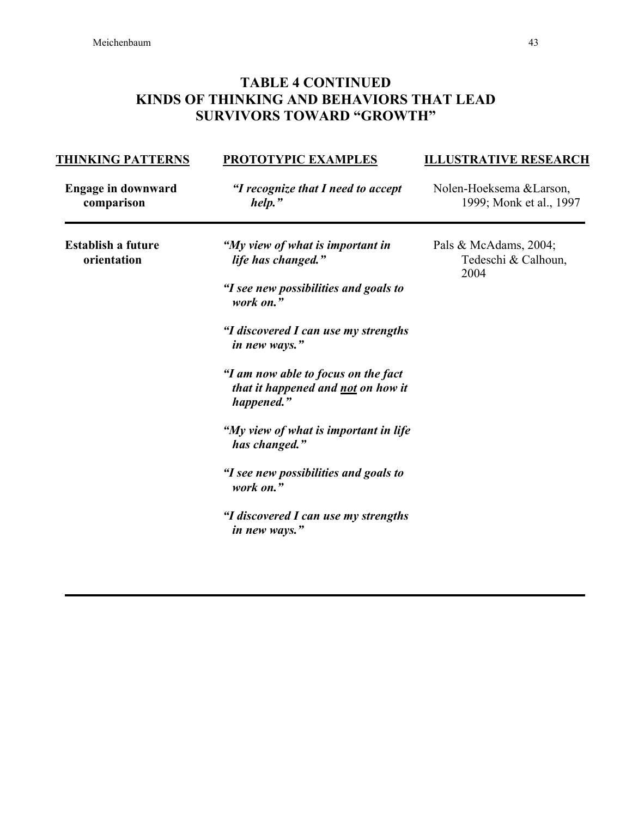# TABLE 4 CONTINUED KINDS OF THINKING AND BEHAVIORS THAT LEAD SURVIVORS TOWARD "GROWTH"

| <b>THINKING PATTERNS</b>                 | <b>PROTOTYPIC EXAMPLES</b>                                                              | <b>ILLUSTRATIVE RESEARCH</b>                         |
|------------------------------------------|-----------------------------------------------------------------------------------------|------------------------------------------------------|
| <b>Engage in downward</b><br>comparison  | "I recognize that I need to accept<br>help."                                            | Nolen-Hoeksema & Larson,<br>1999; Monk et al., 1997  |
| <b>Establish a future</b><br>orientation | "My view of what is important in<br>life has changed."                                  | Pals & McAdams, 2004;<br>Tedeschi & Calhoun,<br>2004 |
|                                          | "I see new possibilities and goals to<br>work on."                                      |                                                      |
|                                          | "I discovered I can use my strengths<br>in new ways."                                   |                                                      |
|                                          | "I am now able to focus on the fact<br>that it happened and not on how it<br>happened." |                                                      |
|                                          | "My view of what is important in life<br>has changed."                                  |                                                      |
|                                          | "I see new possibilities and goals to<br>work on."                                      |                                                      |
|                                          | "I discovered I can use my strengths<br>in new ways."                                   |                                                      |
|                                          |                                                                                         |                                                      |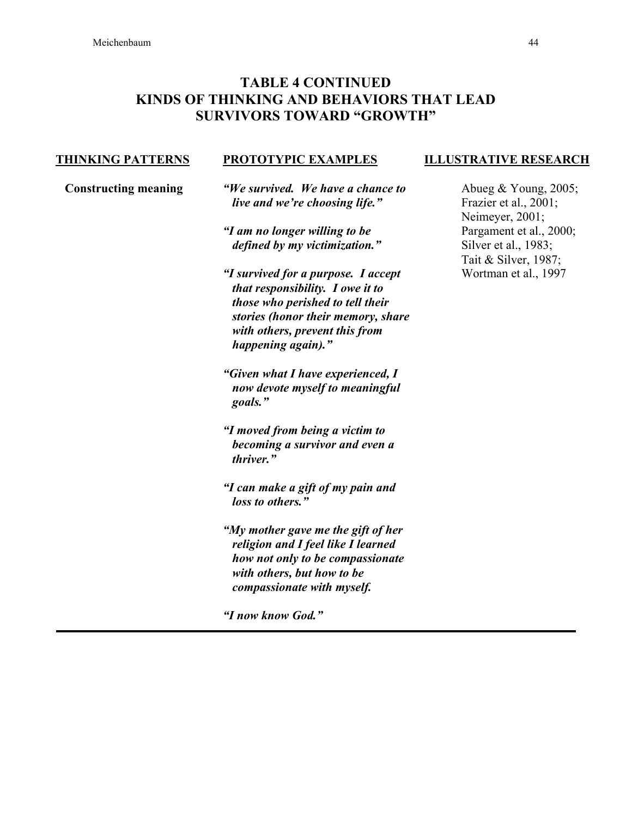## TABLE 4 CONTINUED KINDS OF THINKING AND BEHAVIORS THAT LEAD SURVIVORS TOWARD "GROWTH"

#### THINKING PATTERNS

### PROTOTYPIC EXAMPLES

Constructing meaning

*"We survived. We have a chance to live and we're choosing life."*

*"I am no longer willing to be defined by my victimization."*

*"I survived for a purpose. I accept that responsibility. I owe it to those who perished to tell their stories (honor their memory, share with others, prevent this from happening again)."*

*"Given what I have experienced, I now devote myself to meaningful goals."*

*"I moved from being a victim to becoming a survivor and even a thriver."*

*"I can make a gift of my pain and loss to others."*

*"My mother gave me the gift of her religion and I feel like I learned how not only to be compassionate with others, but how to be compassionate with myself.*

*"I now know God."*

### ILLUSTRATIVE RESEARCH

Abueg & Young, 2005; Frazier et al., 2001; Neimeyer, 2001; Pargament et al., 2000; Silver et al., 1983; Tait & Silver, 1987; Wortman et al., 1997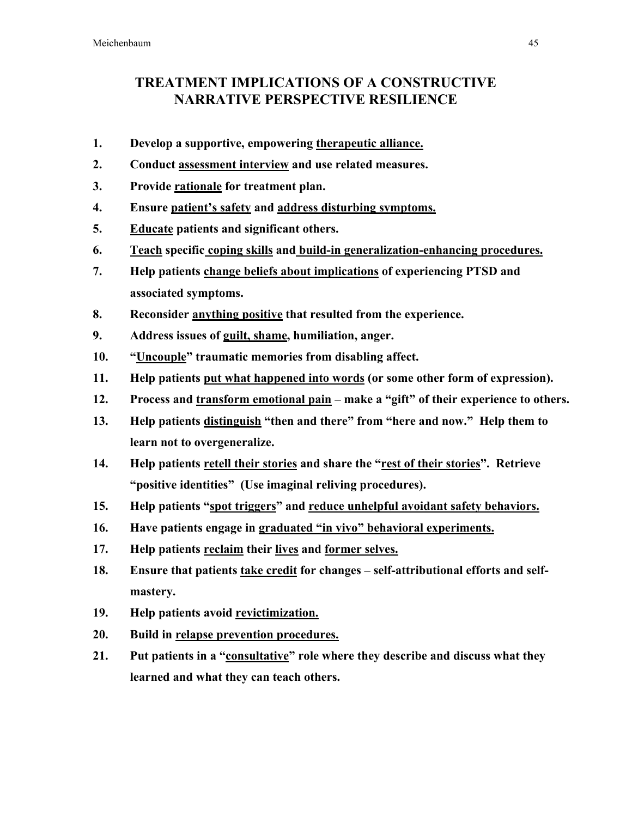# TREATMENT IMPLICATIONS OF A CONSTRUCTIVE NARRATIVE PERSPECTIVE RESILIENCE

- 1. Develop a supportive, empowering therapeutic alliance.
- 2. Conduct assessment interview and use related measures.
- 3. Provide rationale for treatment plan.
- 4. Ensure patient's safety and address disturbing symptoms.
- 5. Educate patients and significant others.
- 6. Teach specific coping skills and build-in generalization-enhancing procedures.
- 7. Help patients change beliefs about implications of experiencing PTSD and associated symptoms.
- 8. Reconsider anything positive that resulted from the experience.
- 9. Address issues of guilt, shame, humiliation, anger.
- 10. "Uncouple" traumatic memories from disabling affect.
- 11. Help patients put what happened into words (or some other form of expression).
- 12. Process and transform emotional pain make a "gift" of their experience to others.
- 13. Help patients distinguish "then and there" from "here and now." Help them to learn not to overgeneralize.
- 14. Help patients retell their stories and share the "rest of their stories". Retrieve "positive identities" (Use imaginal reliving procedures).
- 15. Help patients "spot triggers" and reduce unhelpful avoidant safety behaviors.
- 16. Have patients engage in graduated "in vivo" behavioral experiments.
- 17. Help patients reclaim their lives and former selves.
- 18. Ensure that patients take credit for changes self-attributional efforts and selfmastery.
- 19. Help patients avoid revictimization.
- 20. Build in relapse prevention procedures.
- 21. Put patients in a "consultative" role where they describe and discuss what they learned and what they can teach others.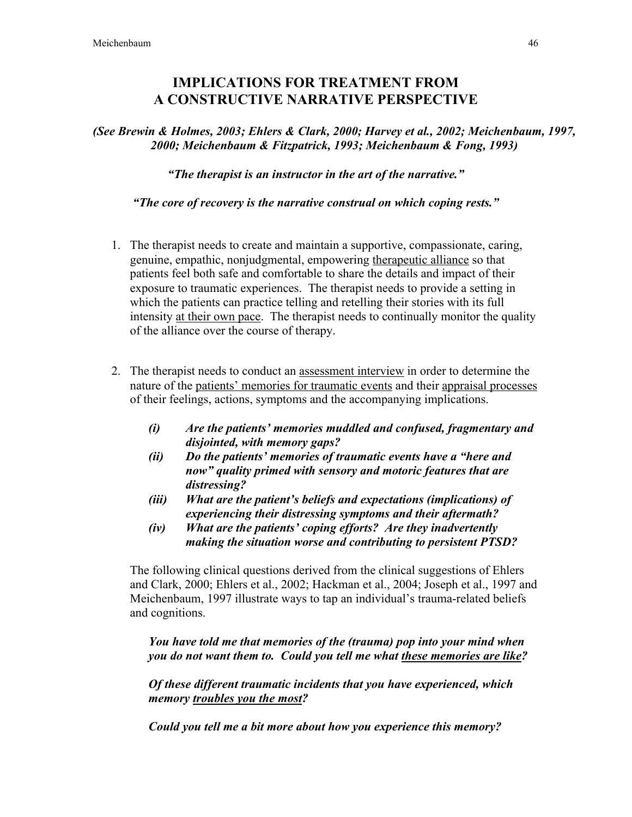## IMPLICATIONS FOR TREATMENT FROM A CONSTRUCTIVE NARRATIVE PERSPECTIVE

*(See Brewin & Holmes, 2003; Ehlers & Clark, 2000; Harvey et al., 2002; Meichenbaum, 1997, 2000; Meichenbaum & Fitzpatrick, 1993; Meichenbaum & Fong, 1993)*

*"The therapist is an instructor in the art of the narrative."*

*"The core of recovery is the narrative construal on which coping rests."*

- 1. The therapist needs to create and maintain a supportive, compassionate, caring, genuine, empathic, nonjudgmental, empowering therapeutic alliance so that patients feel both safe and comfortable to share the details and impact of their exposure to traumatic experiences. The therapist needs to provide a setting in which the patients can practice telling and retelling their stories with its full intensity at their own pace. The therapist needs to continually monitor the quality of the alliance over the course of therapy.
- 2. The therapist needs to conduct an assessment interview in order to determine the nature of the patients' memories for traumatic events and their appraisal processes of their feelings, actions, symptoms and the accompanying implications.
	- *(i) Are the patients' memories muddled and confused, fragmentary and disjointed, with memory gaps?*
	- *(ii) Do the patients' memories of traumatic events have a "here and now" quality primed with sensory and motoric features that are distressing?*
	- *(iii) What are the patient's beliefs and expectations (implications) of experiencing their distressing symptoms and their aftermath?*
	- *(iv) What are the patients' coping efforts? Are they inadvertently making the situation worse and contributing to persistent PTSD?*

The following clinical questions derived from the clinical suggestions of Ehlers and Clark, 2000; Ehlers et al., 2002; Hackman et al., 2004; Joseph et al., 1997 and Meichenbaum, 1997 illustrate ways to tap an individual's trauma-related beliefs and cognitions.

*You have told me that memories of the (trauma) pop into your mind when you do not want them to. Could you tell me what these memories are like?*

*Of these different traumatic incidents that you have experienced, which memory troubles you the most?*

*Could you tell me a bit more about how you experience this memory?*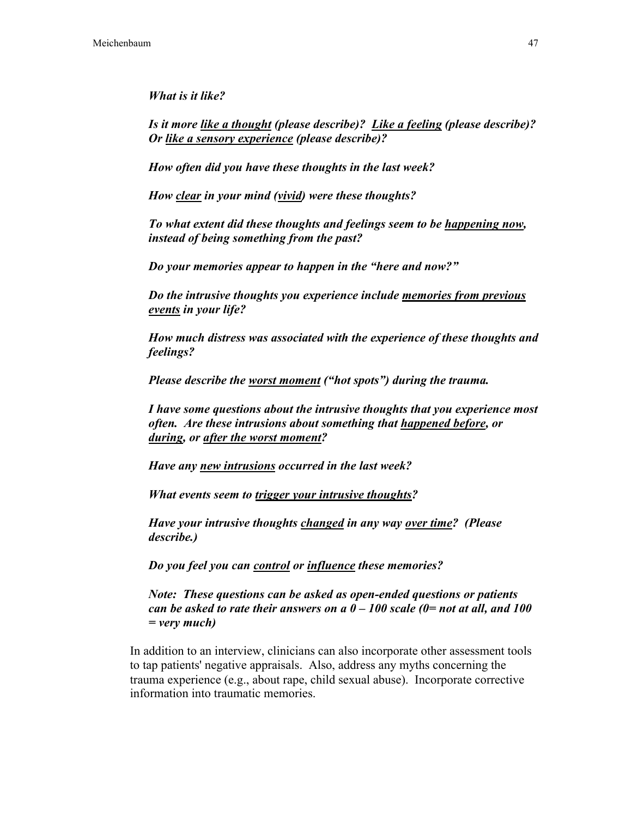*What is it like?*

*Is it more like a thought (please describe)? Like a feeling (please describe)? Or like a sensory experience (please describe)?*

*How often did you have these thoughts in the last week?*

*How clear in your mind (vivid) were these thoughts?*

*To what extent did these thoughts and feelings seem to be happening now, instead of being something from the past?*

*Do your memories appear to happen in the "here and now?"*

*Do the intrusive thoughts you experience include memories from previous events in your life?*

*How much distress was associated with the experience of these thoughts and feelings?*

*Please describe the worst moment ("hot spots") during the trauma.*

*I have some questions about the intrusive thoughts that you experience most often. Are these intrusions about something that happened before, or during, or after the worst moment?*

*Have any new intrusions occurred in the last week?*

*What events seem to trigger your intrusive thoughts?*

*Have your intrusive thoughts changed in any way over time? (Please describe.)*

*Do you feel you can control or influence these memories?*

*Note: These questions can be asked as open-ended questions or patients can be asked to rate their answers on a 0 – 100 scale (0= not at all, and 100 = very much)*

In addition to an interview, clinicians can also incorporate other assessment tools to tap patients' negative appraisals. Also, address any myths concerning the trauma experience (e.g., about rape, child sexual abuse). Incorporate corrective information into traumatic memories.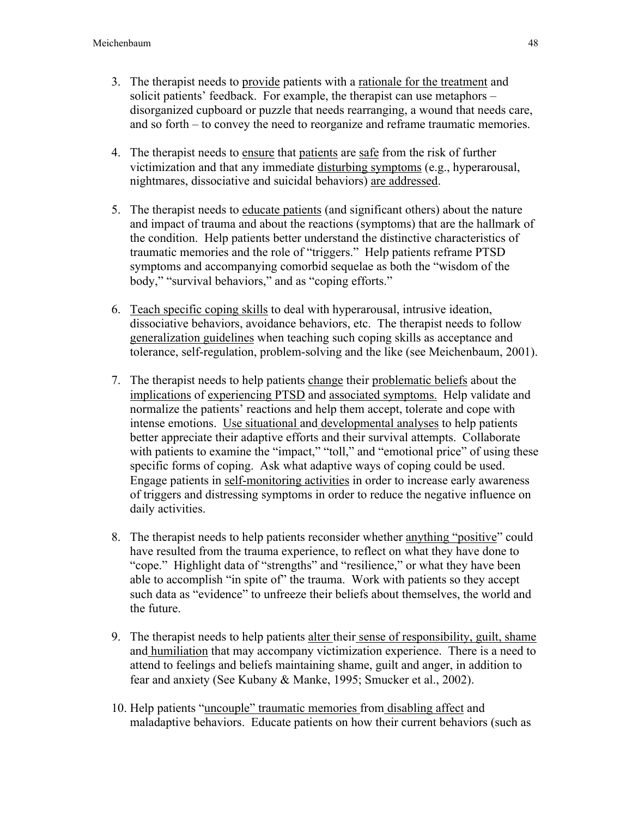- 3. The therapist needs to provide patients with a rationale for the treatment and solicit patients' feedback. For example, the therapist can use metaphors – disorganized cupboard or puzzle that needs rearranging, a wound that needs care, and so forth – to convey the need to reorganize and reframe traumatic memories.
- 4. The therapist needs to ensure that patients are safe from the risk of further victimization and that any immediate disturbing symptoms (e.g., hyperarousal, nightmares, dissociative and suicidal behaviors) are addressed.
- 5. The therapist needs to educate patients (and significant others) about the nature and impact of trauma and about the reactions (symptoms) that are the hallmark of the condition. Help patients better understand the distinctive characteristics of traumatic memories and the role of "triggers." Help patients reframe PTSD symptoms and accompanying comorbid sequelae as both the "wisdom of the body," "survival behaviors," and as "coping efforts."
- 6. Teach specific coping skills to deal with hyperarousal, intrusive ideation, dissociative behaviors, avoidance behaviors, etc. The therapist needs to follow generalization guidelines when teaching such coping skills as acceptance and tolerance, self-regulation, problem-solving and the like (see Meichenbaum, 2001).
- 7. The therapist needs to help patients change their problematic beliefs about the implications of experiencing PTSD and associated symptoms. Help validate and normalize the patients' reactions and help them accept, tolerate and cope with intense emotions. Use situational and developmental analyses to help patients better appreciate their adaptive efforts and their survival attempts. Collaborate with patients to examine the "impact," "toll," and "emotional price" of using these specific forms of coping. Ask what adaptive ways of coping could be used. Engage patients in self-monitoring activities in order to increase early awareness of triggers and distressing symptoms in order to reduce the negative influence on daily activities.
- 8. The therapist needs to help patients reconsider whether anything "positive" could have resulted from the trauma experience, to reflect on what they have done to "cope." Highlight data of "strengths" and "resilience," or what they have been able to accomplish "in spite of" the trauma. Work with patients so they accept such data as "evidence" to unfreeze their beliefs about themselves, the world and the future.
- 9. The therapist needs to help patients alter their sense of responsibility, guilt, shame and humiliation that may accompany victimization experience. There is a need to attend to feelings and beliefs maintaining shame, guilt and anger, in addition to fear and anxiety (See Kubany & Manke, 1995; Smucker et al., 2002).
- 10. Help patients "uncouple" traumatic memories from disabling affect and maladaptive behaviors. Educate patients on how their current behaviors (such as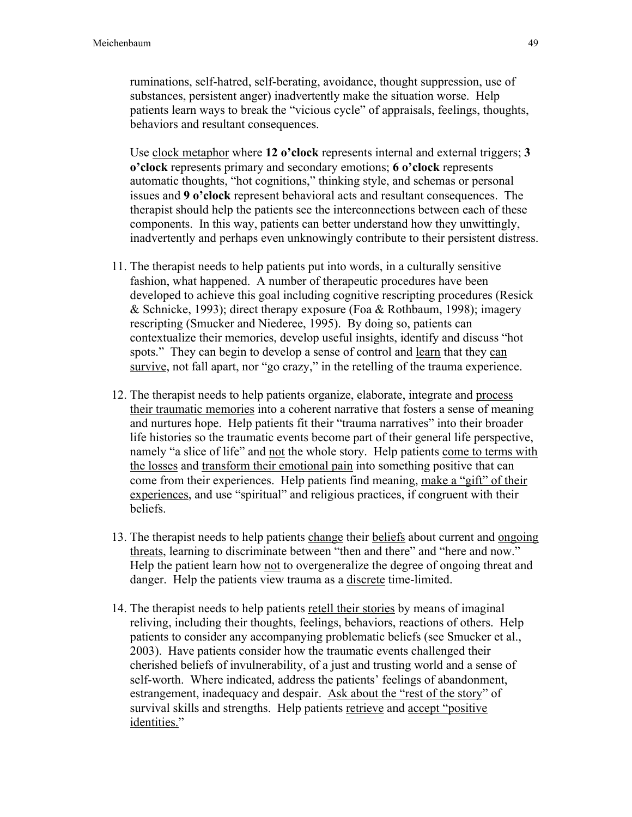ruminations, self-hatred, self-berating, avoidance, thought suppression, use of substances, persistent anger) inadvertently make the situation worse. Help patients learn ways to break the "vicious cycle" of appraisals, feelings, thoughts, behaviors and resultant consequences.

Use clock metaphor where 12 o'clock represents internal and external triggers; 3 o'clock represents primary and secondary emotions; 6 o'clock represents automatic thoughts, "hot cognitions," thinking style, and schemas or personal issues and 9 o'clock represent behavioral acts and resultant consequences. The therapist should help the patients see the interconnections between each of these components. In this way, patients can better understand how they unwittingly, inadvertently and perhaps even unknowingly contribute to their persistent distress.

- 11. The therapist needs to help patients put into words, in a culturally sensitive fashion, what happened. A number of therapeutic procedures have been developed to achieve this goal including cognitive rescripting procedures (Resick & Schnicke, 1993); direct therapy exposure (Foa & Rothbaum, 1998); imagery rescripting (Smucker and Niederee, 1995). By doing so, patients can contextualize their memories, develop useful insights, identify and discuss "hot spots." They can begin to develop a sense of control and learn that they can survive, not fall apart, nor "go crazy," in the retelling of the trauma experience.
- 12. The therapist needs to help patients organize, elaborate, integrate and process their traumatic memories into a coherent narrative that fosters a sense of meaning and nurtures hope. Help patients fit their "trauma narratives" into their broader life histories so the traumatic events become part of their general life perspective, namely "a slice of life" and not the whole story. Help patients come to terms with the losses and transform their emotional pain into something positive that can come from their experiences. Help patients find meaning, make a "gift" of their experiences, and use "spiritual" and religious practices, if congruent with their beliefs.
- 13. The therapist needs to help patients change their beliefs about current and ongoing threats, learning to discriminate between "then and there" and "here and now." Help the patient learn how not to overgeneralize the degree of ongoing threat and danger. Help the patients view trauma as a discrete time-limited.
- 14. The therapist needs to help patients retell their stories by means of imaginal reliving, including their thoughts, feelings, behaviors, reactions of others. Help patients to consider any accompanying problematic beliefs (see Smucker et al., 2003). Have patients consider how the traumatic events challenged their cherished beliefs of invulnerability, of a just and trusting world and a sense of self-worth. Where indicated, address the patients' feelings of abandonment, estrangement, inadequacy and despair. Ask about the "rest of the story" of survival skills and strengths. Help patients retrieve and accept "positive" identities."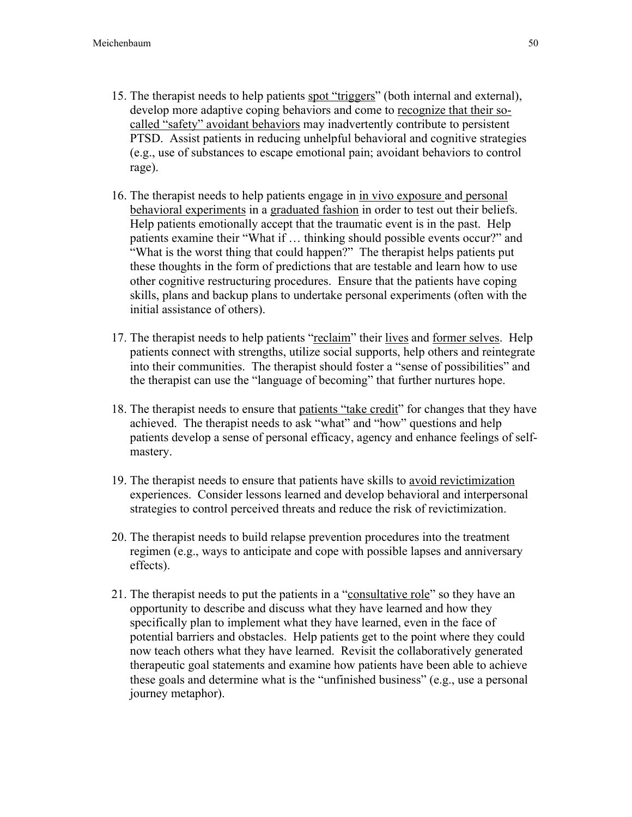- 15. The therapist needs to help patients spot "triggers" (both internal and external), develop more adaptive coping behaviors and come to recognize that their socalled "safety" avoidant behaviors may inadvertently contribute to persistent PTSD. Assist patients in reducing unhelpful behavioral and cognitive strategies (e.g., use of substances to escape emotional pain; avoidant behaviors to control rage).
- 16. The therapist needs to help patients engage in in vivo exposure and personal behavioral experiments in a graduated fashion in order to test out their beliefs. Help patients emotionally accept that the traumatic event is in the past. Help patients examine their "What if … thinking should possible events occur?" and "What is the worst thing that could happen?" The therapist helps patients put these thoughts in the form of predictions that are testable and learn how to use other cognitive restructuring procedures. Ensure that the patients have coping skills, plans and backup plans to undertake personal experiments (often with the initial assistance of others).
- 17. The therapist needs to help patients "reclaim" their lives and former selves. Help patients connect with strengths, utilize social supports, help others and reintegrate into their communities. The therapist should foster a "sense of possibilities" and the therapist can use the "language of becoming" that further nurtures hope.
- 18. The therapist needs to ensure that patients "take credit" for changes that they have achieved. The therapist needs to ask "what" and "how" questions and help patients develop a sense of personal efficacy, agency and enhance feelings of selfmastery.
- 19. The therapist needs to ensure that patients have skills to avoid revictimization experiences. Consider lessons learned and develop behavioral and interpersonal strategies to control perceived threats and reduce the risk of revictimization.
- 20. The therapist needs to build relapse prevention procedures into the treatment regimen (e.g., ways to anticipate and cope with possible lapses and anniversary effects).
- 21. The therapist needs to put the patients in a "consultative role" so they have an opportunity to describe and discuss what they have learned and how they specifically plan to implement what they have learned, even in the face of potential barriers and obstacles. Help patients get to the point where they could now teach others what they have learned. Revisit the collaboratively generated therapeutic goal statements and examine how patients have been able to achieve these goals and determine what is the "unfinished business" (e.g., use a personal journey metaphor).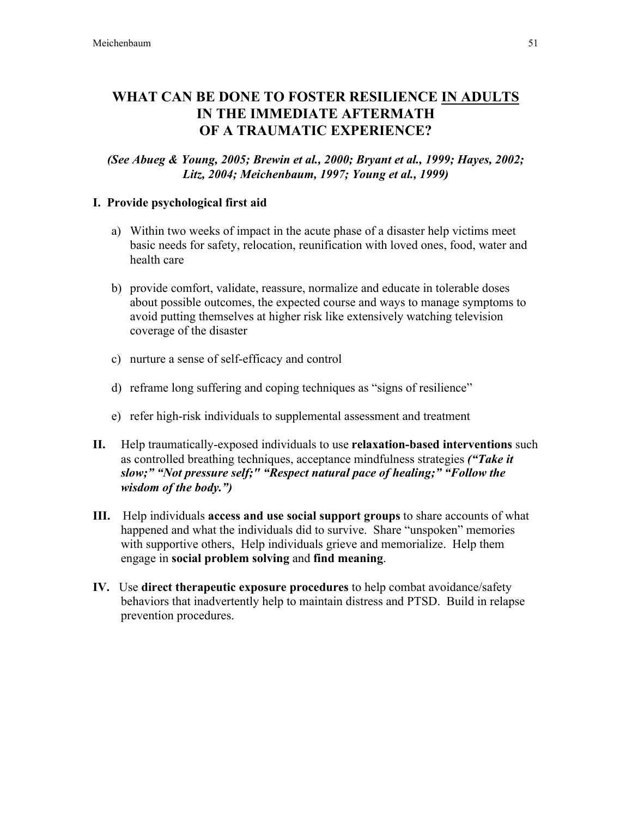# WHAT CAN BE DONE TO FOSTER RESILIENCE IN ADULTS IN THE IMMEDIATE AFTERMATH OF A TRAUMATIC EXPERIENCE?

*(See Abueg & Young, 2005; Brewin et al., 2000; Bryant et al., 1999; Hayes, 2002; Litz, 2004; Meichenbaum, 1997; Young et al., 1999)*

### I. Provide psychological first aid

- a) Within two weeks of impact in the acute phase of a disaster help victims meet basic needs for safety, relocation, reunification with loved ones, food, water and health care
- b) provide comfort, validate, reassure, normalize and educate in tolerable doses about possible outcomes, the expected course and ways to manage symptoms to avoid putting themselves at higher risk like extensively watching television coverage of the disaster
- c) nurture a sense of self-efficacy and control
- d) reframe long suffering and coping techniques as "signs of resilience"
- e) refer high-risk individuals to supplemental assessment and treatment
- II. Help traumatically-exposed individuals to use relaxation-based interventions such as controlled breathing techniques, acceptance mindfulness strategies *("Take it slow;" "Not pressure self;" "Respect natural pace of healing;" "Follow the wisdom of the body.")*
- III. Help individuals access and use social support groups to share accounts of what happened and what the individuals did to survive. Share "unspoken" memories with supportive others, Help individuals grieve and memorialize. Help them engage in social problem solving and find meaning.
- IV. Use direct therapeutic exposure procedures to help combat avoidance/safety behaviors that inadvertently help to maintain distress and PTSD. Build in relapse prevention procedures.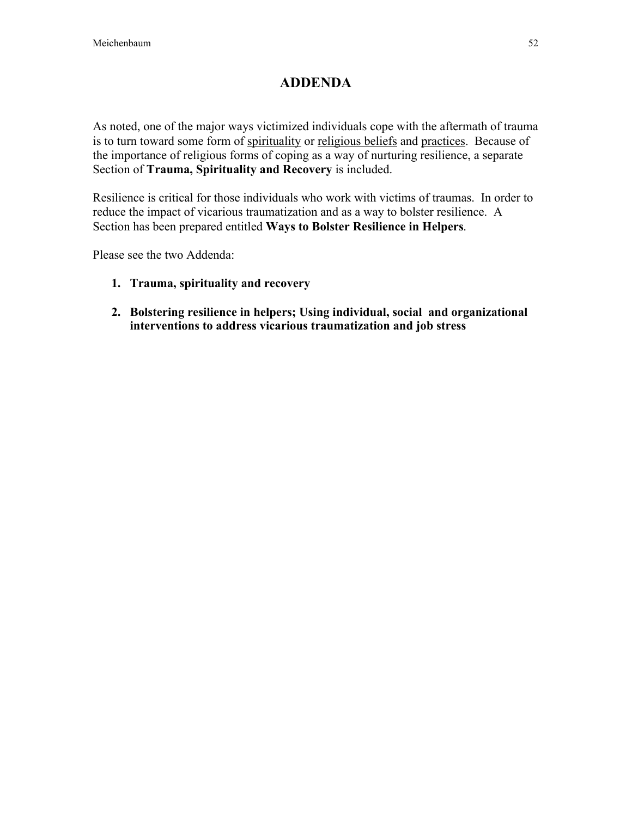# ADDENDA

As noted, one of the major ways victimized individuals cope with the aftermath of trauma is to turn toward some form of spirituality or religious beliefs and practices. Because of the importance of religious forms of coping as a way of nurturing resilience, a separate Section of Trauma, Spirituality and Recovery is included.

Resilience is critical for those individuals who work with victims of traumas. In order to reduce the impact of vicarious traumatization and as a way to bolster resilience. A Section has been prepared entitled Ways to Bolster Resilience in Helpers.

Please see the two Addenda:

- 1. Trauma, spirituality and recovery
- 2. Bolstering resilience in helpers; Using individual, social and organizational interventions to address vicarious traumatization and job stress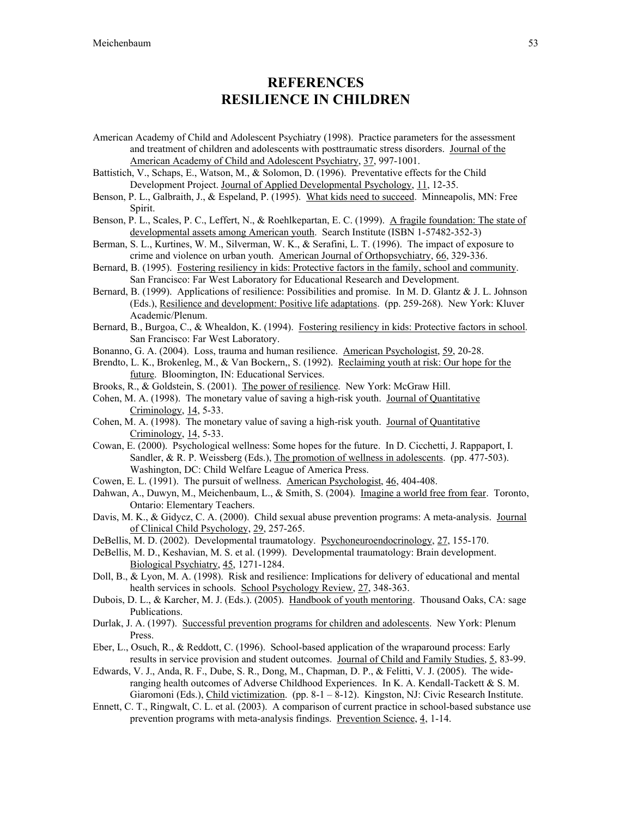### **REFERENCES** RESILIENCE IN CHILDREN

- American Academy of Child and Adolescent Psychiatry (1998). Practice parameters for the assessment and treatment of children and adolescents with posttraumatic stress disorders. Journal of the American Academy of Child and Adolescent Psychiatry, 37, 997-1001.
- Battistich, V., Schaps, E., Watson, M., & Solomon, D. (1996). Preventative effects for the Child Development Project. Journal of Applied Developmental Psychology, 11, 12-35.
- Benson, P. L., Galbraith, J., & Espeland, P. (1995). What kids need to succeed. Minneapolis, MN: Free Spirit.
- Benson, P. L., Scales, P. C., Leffert, N., & Roehlkepartan, E. C. (1999). A fragile foundation: The state of developmental assets among American youth. Search Institute (ISBN 1-57482-352-3)
- Berman, S. L., Kurtines, W. M., Silverman, W. K., & Serafini, L. T. (1996). The impact of exposure to crime and violence on urban youth. American Journal of Orthopsychiatry, 66, 329-336.
- Bernard, B. (1995). Fostering resiliency in kids: Protective factors in the family, school and community. San Francisco: Far West Laboratory for Educational Research and Development.
- Bernard, B. (1999). Applications of resilience: Possibilities and promise. In M. D. Glantz & J. L. Johnson (Eds.), Resilience and development: Positive life adaptations. (pp. 259-268). New York: Kluver Academic/Plenum.
- Bernard, B., Burgoa, C., & Whealdon, K. (1994). Fostering resiliency in kids: Protective factors in school. San Francisco: Far West Laboratory.
- Bonanno, G. A. (2004). Loss, trauma and human resilience. American Psychologist, 59, 20-28.
- Brendto, L. K., Brokenleg, M., & Van Bockern,, S. (1992). Reclaiming youth at risk: Our hope for the future. Bloomington, IN: Educational Services.
- Brooks, R., & Goldstein, S. (2001). The power of resilience. New York: McGraw Hill.
- Cohen, M. A. (1998). The monetary value of saving a high-risk youth. Journal of Quantitative Criminology, 14, 5-33.
- Cohen, M. A. (1998). The monetary value of saving a high-risk youth. Journal of Quantitative Criminology, 14, 5-33.
- Cowan, E. (2000). Psychological wellness: Some hopes for the future. In D. Cicchetti, J. Rappaport, I. Sandler, & R. P. Weissberg (Eds.), The promotion of wellness in adolescents. (pp. 477-503). Washington, DC: Child Welfare League of America Press.
- Cowen, E. L. (1991). The pursuit of wellness. American Psychologist, 46, 404-408.
- Dahwan, A., Duwyn, M., Meichenbaum, L., & Smith, S. (2004). Imagine a world free from fear. Toronto, Ontario: Elementary Teachers.
- Davis, M. K., & Gidycz, C. A. (2000). Child sexual abuse prevention programs: A meta-analysis. Journal of Clinical Child Psychology, 29, 257-265.
- DeBellis, M. D. (2002). Developmental traumatology. Psychoneuroendocrinology, 27, 155-170.
- DeBellis, M. D., Keshavian, M. S. et al. (1999). Developmental traumatology: Brain development. Biological Psychiatry, 45, 1271-1284.
- Doll, B., & Lyon, M. A. (1998). Risk and resilience: Implications for delivery of educational and mental health services in schools. School Psychology Review, 27, 348-363.
- Dubois, D. L., & Karcher, M. J. (Eds.). (2005). Handbook of youth mentoring. Thousand Oaks, CA: sage Publications.
- Durlak, J. A. (1997). Successful prevention programs for children and adolescents. New York: Plenum Press.
- Eber, L., Osuch, R., & Reddott, C. (1996). School-based application of the wraparound process: Early results in service provision and student outcomes. Journal of Child and Family Studies, 5, 83-99.
- Edwards, V. J., Anda, R. F., Dube, S. R., Dong, M., Chapman, D. P., & Felitti, V. J. (2005). The wideranging health outcomes of Adverse Childhood Experiences. In K. A. Kendall-Tackett & S. M. Giaromoni (Eds.), Child victimization. (pp. 8-1 – 8-12). Kingston, NJ: Civic Research Institute.
- Ennett, C. T., Ringwalt, C. L. et al. (2003). A comparison of current practice in school-based substance use prevention programs with meta-analysis findings. Prevention Science, 4, 1-14.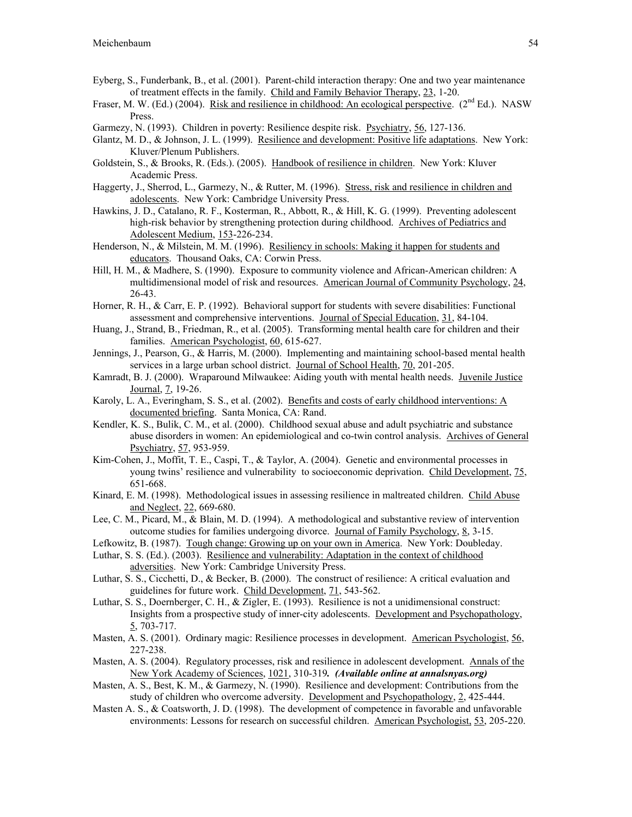- Eyberg, S., Funderbank, B., et al. (2001). Parent-child interaction therapy: One and two year maintenance of treatment effects in the family. Child and Family Behavior Therapy, 23, 1-20.
- Fraser, M. W. (Ed.) (2004). Risk and resilience in childhood: An ecological perspective. (2<sup>nd</sup> Ed.). NASW Press.
- Garmezy, N. (1993). Children in poverty: Resilience despite risk. Psychiatry, 56, 127-136.
- Glantz, M. D., & Johnson, J. L. (1999). Resilience and development: Positive life adaptations. New York: Kluver/Plenum Publishers.
- Goldstein, S., & Brooks, R. (Eds.). (2005). Handbook of resilience in children. New York: Kluver Academic Press.
- Haggerty, J., Sherrod, L., Garmezy, N., & Rutter, M. (1996). Stress, risk and resilience in children and adolescents. New York: Cambridge University Press.
- Hawkins, J. D., Catalano, R. F., Kosterman, R., Abbott, R., & Hill, K. G. (1999). Preventing adolescent high-risk behavior by strengthening protection during childhood. Archives of Pediatrics and Adolescent Medium, 153-226-234.
- Henderson, N., & Milstein, M. M. (1996). Resiliency in schools: Making it happen for students and educators. Thousand Oaks, CA: Corwin Press.
- Hill, H. M., & Madhere, S. (1990). Exposure to community violence and African-American children: A multidimensional model of risk and resources. American Journal of Community Psychology, 24, 26-43.
- Horner, R. H., & Carr, E. P. (1992). Behavioral support for students with severe disabilities: Functional assessment and comprehensive interventions. Journal of Special Education, 31, 84-104.
- Huang, J., Strand, B., Friedman, R., et al. (2005). Transforming mental health care for children and their families. American Psychologist, 60, 615-627.
- Jennings, J., Pearson, G., & Harris, M. (2000). Implementing and maintaining school-based mental health services in a large urban school district. Journal of School Health, 70, 201-205.
- Kamradt, B. J. (2000). Wraparound Milwaukee: Aiding youth with mental health needs. Juvenile Justice Journal, 7, 19-26.
- Karoly, L. A., Everingham, S. S., et al. (2002). Benefits and costs of early childhood interventions: A documented briefing. Santa Monica, CA: Rand.
- Kendler, K. S., Bulik, C. M., et al. (2000). Childhood sexual abuse and adult psychiatric and substance abuse disorders in women: An epidemiological and co-twin control analysis. Archives of General Psychiatry, 57, 953-959.
- Kim-Cohen, J., Moffit, T. E., Caspi, T., & Taylor, A. (2004). Genetic and environmental processes in young twins' resilience and vulnerability to socioeconomic deprivation. Child Development, 75, 651-668.
- Kinard, E. M. (1998). Methodological issues in assessing resilience in maltreated children. Child Abuse and Neglect, 22, 669-680.
- Lee, C. M., Picard, M., & Blain, M. D. (1994). A methodological and substantive review of intervention outcome studies for families undergoing divorce. Journal of Family Psychology, 8, 3-15.
- Lefkowitz, B. (1987). Tough change: Growing up on your own in America. New York: Doubleday.
- Luthar, S. S. (Ed.). (2003). Resilience and vulnerability: Adaptation in the context of childhood adversities. New York: Cambridge University Press.
- Luthar, S. S., Cicchetti, D., & Becker, B. (2000). The construct of resilience: A critical evaluation and guidelines for future work. Child Development, 71, 543-562.
- Luthar, S. S., Doernberger, C. H., & Zigler, E. (1993). Resilience is not a unidimensional construct: Insights from a prospective study of inner-city adolescents. Development and Psychopathology,  $5, 703 - 717.$
- Masten, A. S. (2001). Ordinary magic: Resilience processes in development. American Psychologist, 56, 227-238.
- Masten, A. S. (2004). Regulatory processes, risk and resilience in adolescent development. Annals of the New York Academy of Sciences, 1021, 310-319*. (Available online at annalsnyas.org)*
- Masten, A. S., Best, K. M., & Garmezy, N. (1990). Resilience and development: Contributions from the study of children who overcome adversity. Development and Psychopathology, 2, 425-444.
- Masten A. S., & Coatsworth, J. D. (1998). The development of competence in favorable and unfavorable environments: Lessons for research on successful children. American Psychologist, 53, 205-220.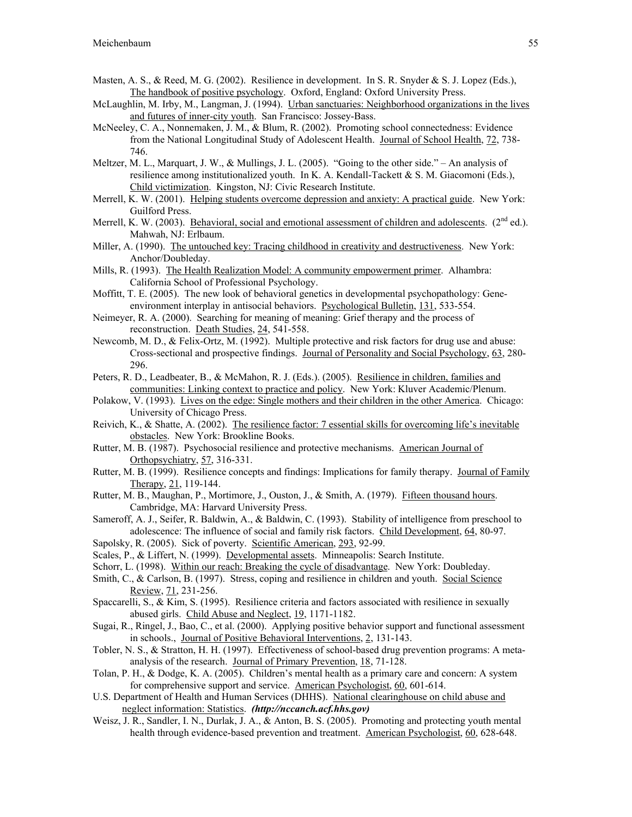- Masten, A. S., & Reed, M. G. (2002). Resilience in development. In S. R. Snyder & S. J. Lopez (Eds.), The handbook of positive psychology. Oxford, England: Oxford University Press.
- McLaughlin, M. Irby, M., Langman, J. (1994). Urban sanctuaries: Neighborhood organizations in the lives and futures of inner-city youth. San Francisco: Jossey-Bass.
- McNeeley, C. A., Nonnemaken, J. M., & Blum, R. (2002). Promoting school connectedness: Evidence from the National Longitudinal Study of Adolescent Health. Journal of School Health, 72, 738- 746.
- Meltzer, M. L., Marquart, J. W., & Mullings, J. L. (2005). "Going to the other side." An analysis of resilience among institutionalized youth. In K. A. Kendall-Tackett & S. M. Giacomoni (Eds.), Child victimization. Kingston, NJ: Civic Research Institute.
- Merrell, K. W. (2001). Helping students overcome depression and anxiety: A practical guide. New York: Guilford Press.
- Merrell, K. W. (2003). Behavioral, social and emotional assessment of children and adolescents. ( $2^{nd}$  ed.). Mahwah, NJ: Erlbaum.
- Miller, A. (1990). The untouched key: Tracing childhood in creativity and destructiveness. New York: Anchor/Doubleday.
- Mills, R. (1993). The Health Realization Model: A community empowerment primer. Alhambra: California School of Professional Psychology.
- Moffitt, T. E. (2005). The new look of behavioral genetics in developmental psychopathology: Geneenvironment interplay in antisocial behaviors. Psychological Bulletin, 131, 533-554.
- Neimeyer, R. A. (2000). Searching for meaning of meaning: Grief therapy and the process of reconstruction. Death Studies, 24, 541-558.
- Newcomb, M. D., & Felix-Ortz, M. (1992). Multiple protective and risk factors for drug use and abuse: Cross-sectional and prospective findings. Journal of Personality and Social Psychology, 63, 280- 296.
- Peters, R. D., Leadbeater, B., & McMahon, R. J. (Eds.). (2005). Resilience in children, families and communities: Linking context to practice and policy. New York: Kluver Academic/Plenum.
- Polakow, V. (1993). Lives on the edge: Single mothers and their children in the other America. Chicago: University of Chicago Press.
- Reivich, K., & Shatte, A. (2002). The resilience factor: 7 essential skills for overcoming life's inevitable obstacles. New York: Brookline Books.
- Rutter, M. B. (1987). Psychosocial resilience and protective mechanisms. American Journal of Orthopsychiatry, 57, 316-331.
- Rutter, M. B. (1999). Resilience concepts and findings: Implications for family therapy. Journal of Family Therapy, 21, 119-144.
- Rutter, M. B., Maughan, P., Mortimore, J., Ouston, J., & Smith, A. (1979). Fifteen thousand hours. Cambridge, MA: Harvard University Press.
- Sameroff, A. J., Seifer, R. Baldwin, A., & Baldwin, C. (1993). Stability of intelligence from preschool to adolescence: The influence of social and family risk factors. Child Development, 64, 80-97.
- Sapolsky, R. (2005). Sick of poverty. Scientific American, 293, 92-99.
- Scales, P., & Liffert, N. (1999). Developmental assets. Minneapolis: Search Institute.
- Schorr, L. (1998). Within our reach: Breaking the cycle of disadvantage. New York: Doubleday.
- Smith, C., & Carlson, B. (1997). Stress, coping and resilience in children and youth. Social Science Review, 71, 231-256.
- Spaccarelli, S., & Kim, S. (1995). Resilience criteria and factors associated with resilience in sexually abused girls. Child Abuse and Neglect, 19, 1171-1182.
- Sugai, R., Ringel, J., Bao, C., et al. (2000). Applying positive behavior support and functional assessment in schools., Journal of Positive Behavioral Interventions, 2, 131-143.
- Tobler, N. S., & Stratton, H. H. (1997). Effectiveness of school-based drug prevention programs: A metaanalysis of the research. Journal of Primary Prevention, 18, 71-128.
- Tolan, P. H., & Dodge, K. A. (2005). Children's mental health as a primary care and concern: A system for comprehensive support and service. American Psychologist, 60, 601-614.
- U.S. Department of Health and Human Services (DHHS). National clearinghouse on child abuse and neglect information: Statistics. *(http://nccanch.acf.hhs.gov)*
- Weisz, J. R., Sandler, I. N., Durlak, J. A., & Anton, B. S. (2005). Promoting and protecting youth mental health through evidence-based prevention and treatment. American Psychologist, 60, 628-648.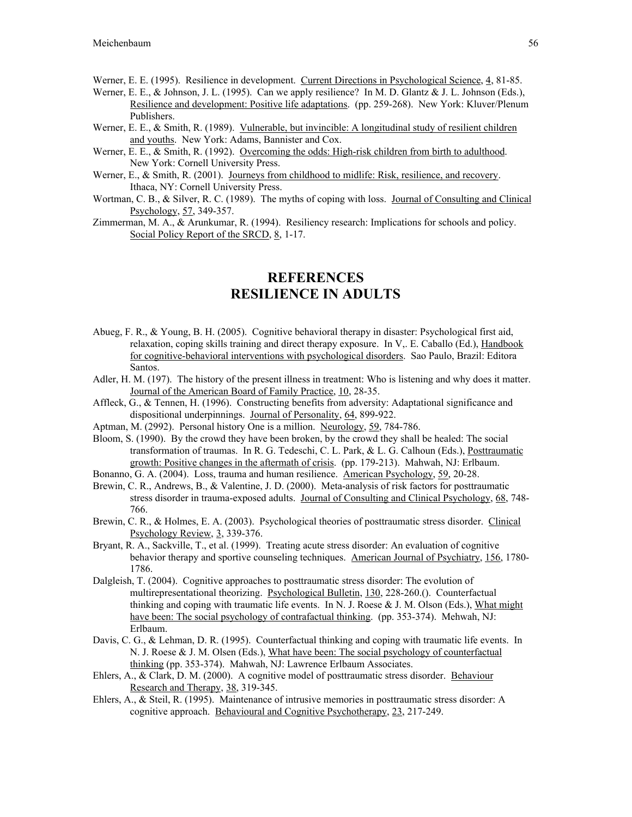Werner, E. E. (1995). Resilience in development. Current Directions in Psychological Science, 4, 81-85.

- Werner, E. E., & Johnson, J. L. (1995). Can we apply resilience? In M. D. Glantz & J. L. Johnson (Eds.), Resilience and development: Positive life adaptations. (pp. 259-268). New York: Kluver/Plenum Publishers.
- Werner, E. E., & Smith, R. (1989). Vulnerable, but invincible: A longitudinal study of resilient children and youths. New York: Adams, Bannister and Cox.
- Werner, E. E., & Smith, R. (1992). Overcoming the odds: High-risk children from birth to adulthood. New York: Cornell University Press.
- Werner, E., & Smith, R. (2001). Journeys from childhood to midlife: Risk, resilience, and recovery. Ithaca, NY: Cornell University Press.
- Wortman, C. B., & Silver, R. C. (1989). The myths of coping with loss. Journal of Consulting and Clinical Psychology, 57, 349-357.
- Zimmerman, M. A., & Arunkumar, R. (1994). Resiliency research: Implications for schools and policy. Social Policy Report of the SRCD, 8, 1-17.

## **REFERENCES** RESILIENCE IN ADULTS

- Abueg, F. R., & Young, B. H. (2005). Cognitive behavioral therapy in disaster: Psychological first aid, relaxation, coping skills training and direct therapy exposure. In V,. E. Caballo (Ed.), Handbook for cognitive-behavioral interventions with psychological disorders. Sao Paulo, Brazil: Editora Santos.
- Adler, H. M. (197). The history of the present illness in treatment: Who is listening and why does it matter. Journal of the American Board of Family Practice, 10, 28-35.
- Affleck, G., & Tennen, H. (1996). Constructing benefits from adversity: Adaptational significance and dispositional underpinnings. Journal of Personality, 64, 899-922.
- Aptman, M. (2992). Personal history One is a million. Neurology, 59, 784-786.
- Bloom, S. (1990). By the crowd they have been broken, by the crowd they shall be healed: The social transformation of traumas. In R. G. Tedeschi, C. L. Park, & L. G. Calhoun (Eds.), Posttraumatic growth: Positive changes in the aftermath of crisis. (pp. 179-213). Mahwah, NJ: Erlbaum.
- Bonanno, G. A. (2004). Loss, trauma and human resilience. American Psychology, 59, 20-28.
- Brewin, C. R., Andrews, B., & Valentine, J. D. (2000). Meta-analysis of risk factors for posttraumatic stress disorder in trauma-exposed adults. Journal of Consulting and Clinical Psychology, 68, 748- 766.
- Brewin, C. R., & Holmes, E. A. (2003). Psychological theories of posttraumatic stress disorder. Clinical Psychology Review, 3, 339-376.
- Bryant, R. A., Sackville, T., et al. (1999). Treating acute stress disorder: An evaluation of cognitive behavior therapy and sportive counseling techniques. American Journal of Psychiatry, 156, 1780- 1786.
- Dalgleish, T. (2004). Cognitive approaches to posttraumatic stress disorder: The evolution of multirepresentational theorizing. Psychological Bulletin, 130, 228-260.(). Counterfactual thinking and coping with traumatic life events. In N. J. Roese & J. M. Olson (Eds.), What might have been: The social psychology of contrafactual thinking. (pp. 353-374). Mehwah, NJ: Erlbaum.
- Davis, C. G., & Lehman, D. R. (1995). Counterfactual thinking and coping with traumatic life events. In N. J. Roese & J. M. Olsen (Eds.), What have been: The social psychology of counterfactual thinking (pp. 353-374). Mahwah, NJ: Lawrence Erlbaum Associates.
- Ehlers, A., & Clark, D. M. (2000). A cognitive model of posttraumatic stress disorder. Behaviour Research and Therapy, 38, 319-345.
- Ehlers, A., & Steil, R. (1995). Maintenance of intrusive memories in posttraumatic stress disorder: A cognitive approach. Behavioural and Cognitive Psychotherapy, 23, 217-249.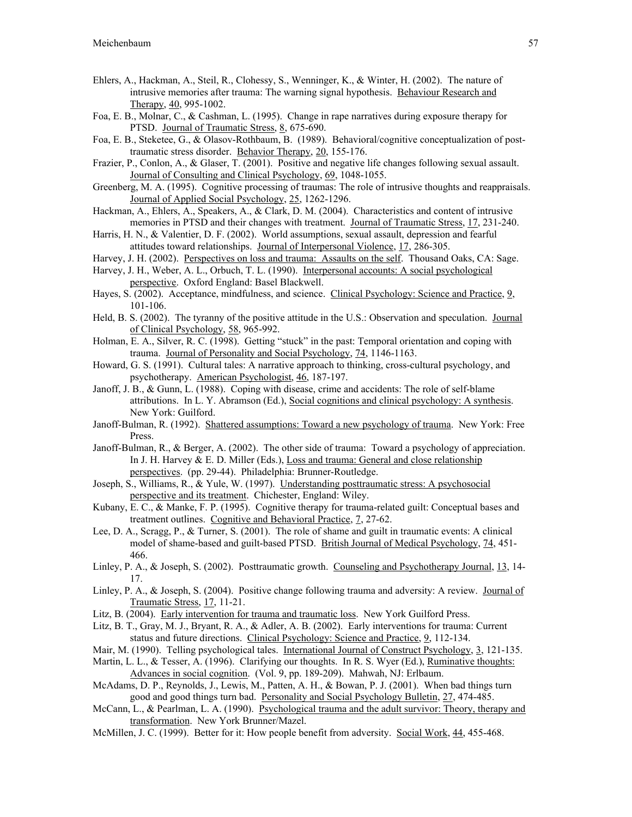- Ehlers, A., Hackman, A., Steil, R., Clohessy, S., Wenninger, K., & Winter, H. (2002). The nature of intrusive memories after trauma: The warning signal hypothesis. Behaviour Research and Therapy, 40, 995-1002.
- Foa, E. B., Molnar, C., & Cashman, L. (1995). Change in rape narratives during exposure therapy for PTSD. Journal of Traumatic Stress, 8, 675-690.
- Foa, E. B., Steketee, G., & Olasov-Rothbaum, B. (1989). Behavioral/cognitive conceptualization of posttraumatic stress disorder. Behavior Therapy, 20, 155-176.
- Frazier, P., Conlon, A., & Glaser, T. (2001). Positive and negative life changes following sexual assault. Journal of Consulting and Clinical Psychology, 69, 1048-1055.
- Greenberg, M. A. (1995). Cognitive processing of traumas: The role of intrusive thoughts and reappraisals. Journal of Applied Social Psychology, 25, 1262-1296.
- Hackman, A., Ehlers, A., Speakers, A., & Clark, D. M. (2004). Characteristics and content of intrusive memories in PTSD and their changes with treatment. Journal of Traumatic Stress, 17, 231-240.
- Harris, H. N., & Valentier, D. F. (2002). World assumptions, sexual assault, depression and fearful attitudes toward relationships. Journal of Interpersonal Violence, 17, 286-305.
- Harvey, J. H. (2002). Perspectives on loss and trauma: Assaults on the self. Thousand Oaks, CA: Sage.
- Harvey, J. H., Weber, A. L., Orbuch, T. L. (1990). Interpersonal accounts: A social psychological perspective. Oxford England: Basel Blackwell.
- Hayes, S. (2002). Acceptance, mindfulness, and science. Clinical Psychology: Science and Practice, 9, 101-106.
- Held, B. S. (2002). The tyranny of the positive attitude in the U.S.: Observation and speculation. Journal of Clinical Psychology, 58, 965-992.
- Holman, E. A., Silver, R. C. (1998). Getting "stuck" in the past: Temporal orientation and coping with trauma. Journal of Personality and Social Psychology, 74, 1146-1163.
- Howard, G. S. (1991). Cultural tales: A narrative approach to thinking, cross-cultural psychology, and psychotherapy. American Psychologist, 46, 187-197.
- Janoff, J. B., & Gunn, L. (1988). Coping with disease, crime and accidents: The role of self-blame attributions. In L. Y. Abramson (Ed.), Social cognitions and clinical psychology: A synthesis. New York: Guilford.
- Janoff-Bulman, R. (1992). Shattered assumptions: Toward a new psychology of trauma. New York: Free Press.
- Janoff-Bulman, R., & Berger, A. (2002). The other side of trauma: Toward a psychology of appreciation. In J. H. Harvey  $\&$  E. D. Miller (Eds.), Loss and trauma: General and close relationship perspectives. (pp. 29-44). Philadelphia: Brunner-Routledge.
- Joseph, S., Williams, R., & Yule, W. (1997). Understanding posttraumatic stress: A psychosocial perspective and its treatment. Chichester, England: Wiley.
- Kubany, E. C., & Manke, F. P. (1995). Cognitive therapy for trauma-related guilt: Conceptual bases and treatment outlines. Cognitive and Behavioral Practice, 7, 27-62.
- Lee, D. A., Scragg, P., & Turner, S. (2001). The role of shame and guilt in traumatic events: A clinical model of shame-based and guilt-based PTSD. British Journal of Medical Psychology, 74, 451- 466.
- Linley, P. A., & Joseph, S. (2002). Posttraumatic growth. Counseling and Psychotherapy Journal, 13, 14-17.
- Linley, P. A., & Joseph, S. (2004). Positive change following trauma and adversity: A review. Journal of Traumatic Stress, 17, 11-21.
- Litz, B. (2004). Early intervention for trauma and traumatic loss. New York Guilford Press.
- Litz, B. T., Gray, M. J., Bryant, R. A., & Adler, A. B. (2002). Early interventions for trauma: Current status and future directions. Clinical Psychology: Science and Practice, 9, 112-134.
- Mair, M. (1990). Telling psychological tales. International Journal of Construct Psychology, 3, 121-135.
- Martin, L. L., & Tesser, A. (1996). Clarifying our thoughts. In R. S. Wyer (Ed.), *Ruminative thoughts:* Advances in social cognition. (Vol. 9, pp. 189-209). Mahwah, NJ: Erlbaum.
- McAdams, D. P., Reynolds, J., Lewis, M., Patten, A. H., & Bowan, P. J. (2001). When bad things turn good and good things turn bad. Personality and Social Psychology Bulletin, 27, 474-485.
- McCann, L., & Pearlman, L. A. (1990). Psychological trauma and the adult survivor: Theory, therapy and transformation. New York Brunner/Mazel.
- McMillen, J. C. (1999). Better for it: How people benefit from adversity. Social Work, 44, 455-468.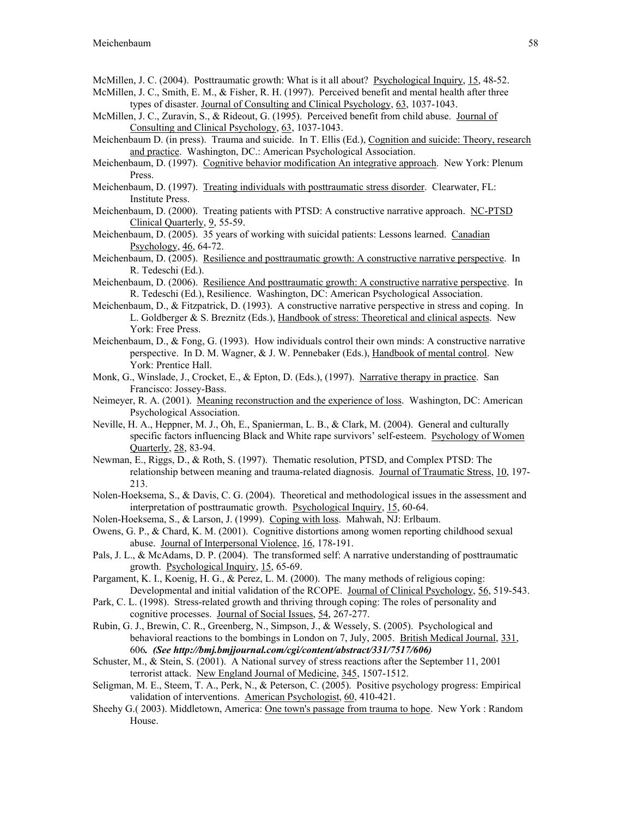- McMillen, J. C. (2004). Posttraumatic growth: What is it all about? Psychological Inquiry, 15, 48-52.
- McMillen, J. C., Smith, E. M., & Fisher, R. H. (1997). Perceived benefit and mental health after three types of disaster. Journal of Consulting and Clinical Psychology, 63, 1037-1043.
- McMillen, J. C., Zuravin, S., & Rideout, G. (1995). Perceived benefit from child abuse. Journal of Consulting and Clinical Psychology, 63, 1037-1043.
- Meichenbaum D. (in press). Trauma and suicide. In T. Ellis (Ed.), Cognition and suicide: Theory, research and practice. Washington, DC.: American Psychological Association.
- Meichenbaum, D. (1997). Cognitive behavior modification An integrative approach. New York: Plenum Press.
- Meichenbaum, D. (1997). Treating individuals with posttraumatic stress disorder. Clearwater, FL: Institute Press.
- Meichenbaum, D. (2000). Treating patients with PTSD: A constructive narrative approach. NC-PTSD Clinical Quarterly, 9, 55-59.
- Meichenbaum, D. (2005). 35 years of working with suicidal patients: Lessons learned. Canadian Psychology, 46, 64-72.
- Meichenbaum, D. (2005). Resilience and posttraumatic growth: A constructive narrative perspective. In R. Tedeschi (Ed.).
- Meichenbaum, D. (2006). Resilience And posttraumatic growth: A constructive narrative perspective. In R. Tedeschi (Ed.), Resilience. Washington, DC: American Psychological Association.
- Meichenbaum, D., & Fitzpatrick, D. (1993). A constructive narrative perspective in stress and coping. In L. Goldberger & S. Breznitz (Eds.), Handbook of stress: Theoretical and clinical aspects. New York: Free Press.
- Meichenbaum, D., & Fong, G. (1993). How individuals control their own minds: A constructive narrative perspective. In D. M. Wagner, & J. W. Pennebaker (Eds.), Handbook of mental control. New York: Prentice Hall.
- Monk, G., Winslade, J., Crocket, E., & Epton, D. (Eds.), (1997). Narrative therapy in practice. San Francisco: Jossey-Bass.
- Neimeyer, R. A. (2001). Meaning reconstruction and the experience of loss. Washington, DC: American Psychological Association.
- Neville, H. A., Heppner, M. J., Oh, E., Spanierman, L. B., & Clark, M. (2004). General and culturally specific factors influencing Black and White rape survivors' self-esteem. Psychology of Women Quarterly, 28, 83-94.
- Newman, E., Riggs, D., & Roth, S. (1997). Thematic resolution, PTSD, and Complex PTSD: The relationship between meaning and trauma-related diagnosis. Journal of Traumatic Stress, 10, 197-213.
- Nolen-Hoeksema, S., & Davis, C. G. (2004). Theoretical and methodological issues in the assessment and interpretation of posttraumatic growth. Psychological Inquiry, 15, 60-64.
- Nolen-Hoeksema, S., & Larson, J. (1999). Coping with loss. Mahwah, NJ: Erlbaum.
- Owens, G. P., & Chard, K. M. (2001). Cognitive distortions among women reporting childhood sexual abuse. Journal of Interpersonal Violence, 16, 178-191.
- Pals, J. L., & McAdams, D. P. (2004). The transformed self: A narrative understanding of posttraumatic growth. Psychological Inquiry, 15, 65-69.
- Pargament, K. I., Koenig, H. G., & Perez, L. M. (2000). The many methods of religious coping: Developmental and initial validation of the RCOPE. Journal of Clinical Psychology, 56, 519-543.
- Park, C. L. (1998). Stress-related growth and thriving through coping: The roles of personality and cognitive processes. Journal of Social Issues, 54, 267-277.
- Rubin, G. J., Brewin, C. R., Greenberg, N., Simpson, J., & Wessely, S. (2005). Psychological and behavioral reactions to the bombings in London on 7, July, 2005. British Medical Journal, 331, 606*. (See http://bmj.bmjjournal.com/cgi/content/abstract/331/7517/606)*
- Schuster, M., & Stein, S. (2001). A National survey of stress reactions after the September 11, 2001 terrorist attack. New England Journal of Medicine, 345, 1507-1512.
- Seligman, M. E., Steem, T. A., Perk, N., & Peterson, C. (2005). Positive psychology progress: Empirical validation of interventions. American Psychologist, 60, 410-421.
- Sheehy G.( 2003). Middletown, America: One town's passage from trauma to hope. New York : Random House.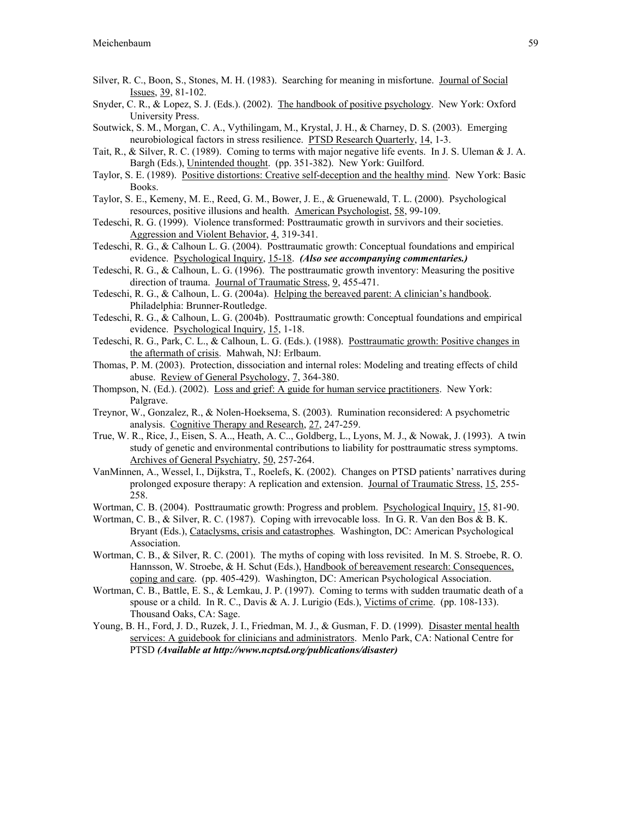- Silver, R. C., Boon, S., Stones, M. H. (1983). Searching for meaning in misfortune. Journal of Social Issues, 39, 81-102.
- Snyder, C. R., & Lopez, S. J. (Eds.). (2002). The handbook of positive psychology. New York: Oxford University Press.
- Soutwick, S. M., Morgan, C. A., Vythilingam, M., Krystal, J. H., & Charney, D. S. (2003). Emerging neurobiological factors in stress resilience. PTSD Research Quarterly, 14, 1-3.
- Tait, R., & Silver, R. C. (1989). Coming to terms with major negative life events. In J. S. Uleman & J. A. Bargh (Eds.), Unintended thought. (pp. 351-382). New York: Guilford.
- Taylor, S. E. (1989). Positive distortions: Creative self-deception and the healthy mind. New York: Basic Books.
- Taylor, S. E., Kemeny, M. E., Reed, G. M., Bower, J. E., & Gruenewald, T. L. (2000). Psychological resources, positive illusions and health. American Psychologist, 58, 99-109.
- Tedeschi, R. G. (1999). Violence transformed: Posttraumatic growth in survivors and their societies. Aggression and Violent Behavior, 4, 319-341.
- Tedeschi, R. G., & Calhoun L. G. (2004). Posttraumatic growth: Conceptual foundations and empirical evidence. Psychological Inquiry, 15-18. *(Also see accompanying commentaries.)*
- Tedeschi, R. G., & Calhoun, L. G. (1996). The posttraumatic growth inventory: Measuring the positive direction of trauma. Journal of Traumatic Stress, 9, 455-471.
- Tedeschi, R. G., & Calhoun, L. G. (2004a). Helping the bereaved parent: A clinician's handbook. Philadelphia: Brunner-Routledge.
- Tedeschi, R. G., & Calhoun, L. G. (2004b). Posttraumatic growth: Conceptual foundations and empirical evidence. Psychological Inquiry, 15, 1-18.
- Tedeschi, R. G., Park, C. L., & Calhoun, L. G. (Eds.). (1988). Posttraumatic growth: Positive changes in the aftermath of crisis. Mahwah, NJ: Erlbaum.
- Thomas, P. M. (2003). Protection, dissociation and internal roles: Modeling and treating effects of child abuse. Review of General Psychology, 7, 364-380.
- Thompson, N. (Ed.). (2002). Loss and grief: A guide for human service practitioners. New York: Palgrave.
- Treynor, W., Gonzalez, R., & Nolen-Hoeksema, S. (2003). Rumination reconsidered: A psychometric analysis. Cognitive Therapy and Research, 27, 247-259.
- True, W. R., Rice, J., Eisen, S. A.., Heath, A. C.., Goldberg, L., Lyons, M. J., & Nowak, J. (1993). A twin study of genetic and environmental contributions to liability for posttraumatic stress symptoms. Archives of General Psychiatry, 50, 257-264.
- VanMinnen, A., Wessel, I., Dijkstra, T., Roelefs, K. (2002). Changes on PTSD patients' narratives during prolonged exposure therapy: A replication and extension. Journal of Traumatic Stress, 15, 255- 258.
- Wortman, C. B. (2004). Posttraumatic growth: Progress and problem. Psychological Inquiry, 15, 81-90.
- Wortman, C. B., & Silver, R. C. (1987). Coping with irrevocable loss. In G. R. Van den Bos & B. K. Bryant (Eds.), Cataclysms, crisis and catastrophes. Washington, DC: American Psychological Association.
- Wortman, C. B., & Silver, R. C. (2001). The myths of coping with loss revisited. In M. S. Stroebe, R. O. Hannsson, W. Stroebe, & H. Schut (Eds.), Handbook of bereavement research: Consequences, coping and care. (pp. 405-429). Washington, DC: American Psychological Association.
- Wortman, C. B., Battle, E. S., & Lemkau, J. P. (1997). Coming to terms with sudden traumatic death of a spouse or a child. In R. C., Davis & A. J. Lurigio (Eds.), Victims of crime. (pp. 108-133). Thousand Oaks, CA: Sage.
- Young, B. H., Ford, J. D., Ruzek, J. I., Friedman, M. J., & Gusman, F. D. (1999). Disaster mental health services: A guidebook for clinicians and administrators. Menlo Park, CA: National Centre for PTSD *(Available at http://www.ncptsd.org/publications/disaster)*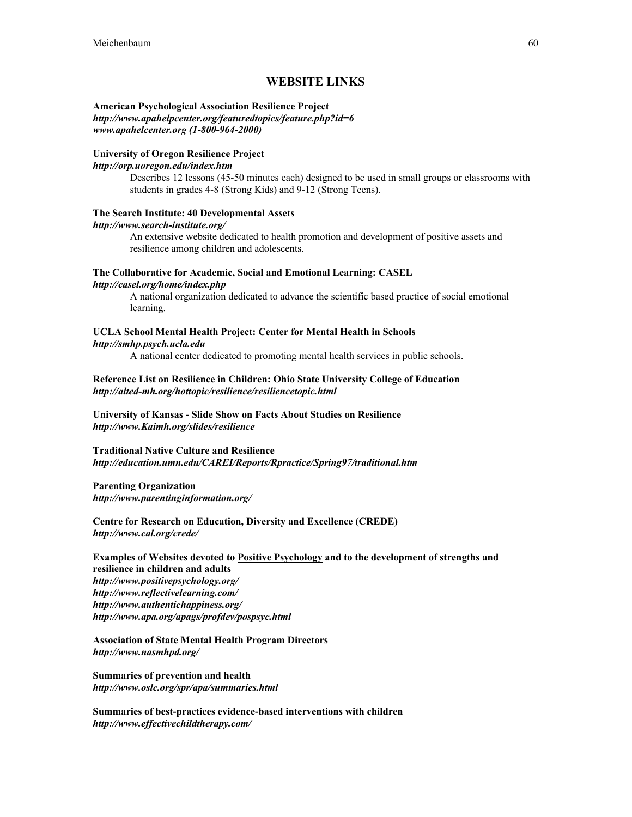### WEBSITE LINKS

#### American Psychological Association Resilience Project *http://www.apahelpcenter.org/featuredtopics/feature.php?id=6 www.apahelcenter.org (1-800-964-2000)*

#### University of Oregon Resilience Project

#### *http://orp.uoregon.edu/index.htm*

Describes 12 lessons (45-50 minutes each) designed to be used in small groups or classrooms with students in grades 4-8 (Strong Kids) and 9-12 (Strong Teens).

#### The Search Institute: 40 Developmental Assets

#### *http://www.search-institute.org/*

An extensive website dedicated to health promotion and development of positive assets and resilience among children and adolescents.

### The Collaborative for Academic, Social and Emotional Learning: CASEL

#### *http://casel.org/home/index.php*

A national organization dedicated to advance the scientific based practice of social emotional learning.

### UCLA School Mental Health Project: Center for Mental Health in Schools

#### *http://smhp.psych.ucla.edu*

A national center dedicated to promoting mental health services in public schools.

#### Reference List on Resilience in Children: Ohio State University College of Education *http://alted-mh.org/hottopic/resilience/resiliencetopic.html*

University of Kansas - Slide Show on Facts About Studies on Resilience *http://www.Kaimh.org/slides/resilience*

#### Traditional Native Culture and Resilience *http://education.umn.edu/CAREI/Reports/Rpractice/Spring97/traditional.htm*

#### Parenting Organization *http://www.parentinginformation.org/*

Centre for Research on Education, Diversity and Excellence (CREDE) *http://www.cal.org/crede/*

#### Examples of Websites devoted to Positive Psychology and to the development of strengths and resilience in children and adults *http://www.positivepsychology.org/ http://www.reflectivelearning.com/ http://www.authentichappiness.org/ http://www.apa.org/apags/profdev/pospsyc.html*

#### Association of State Mental Health Program Directors *http://www.nasmhpd.org/*

Summaries of prevention and health *http://www.oslc.org/spr/apa/summaries.html*

Summaries of best-practices evidence-based interventions with children *http://www.effectivechildtherapy.com/*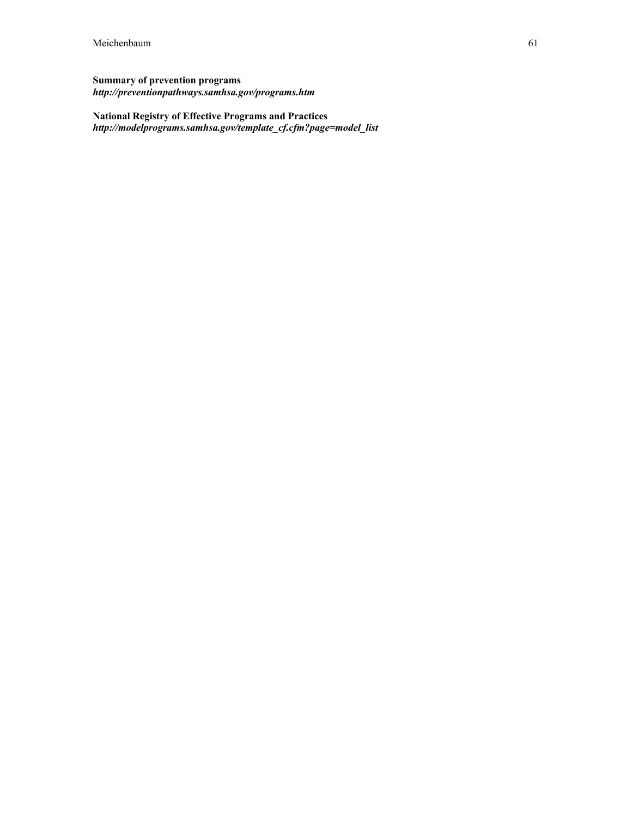### Summary of prevention programs *http://preventionpathways.samhsa.gov/programs.htm*

### National Registry of Effective Programs and Practices *http://modelprograms.samhsa.gov/template\_cf.cfm?page=model\_list*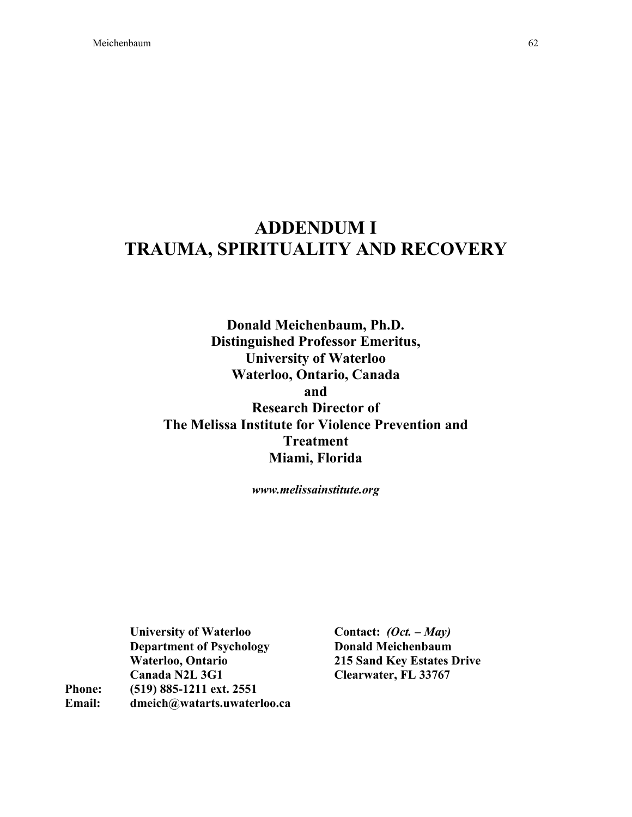# ADDENDUM I TRAUMA, SPIRITUALITY AND RECOVERY

Donald Meichenbaum, Ph.D. Distinguished Professor Emeritus, University of Waterloo Waterloo, Ontario, Canada and Research Director of The Melissa Institute for Violence Prevention and Treatment Miami, Florida

*www.melissainstitute.org*

University of Waterloo Department of Psychology Waterloo, Ontario Canada N2L 3G1 Phone: (519) 885-1211 ext. 2551 Email: dmeich@watarts.uwaterloo.ca

Contact: *(Oct. – May)* Donald Meichenbaum 215 Sand Key Estates Drive Clearwater, FL 33767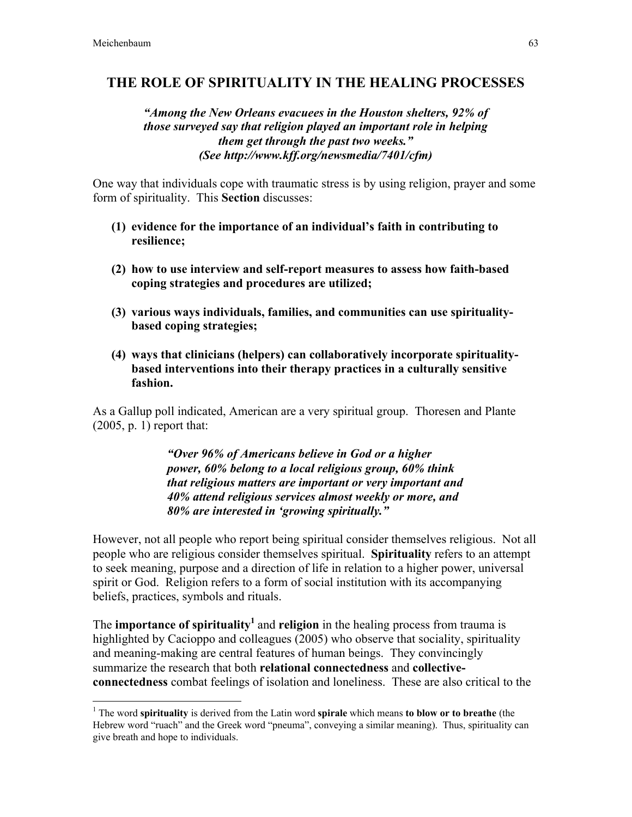### THE ROLE OF SPIRITUALITY IN THE HEALING PROCESSES

### *"Among the New Orleans evacuees in the Houston shelters, 92% of those surveyed say that religion played an important role in helping them get through the past two weeks." (See http://www.kff.org/newsmedia/7401/cfm)*

One way that individuals cope with traumatic stress is by using religion, prayer and some form of spirituality. This Section discusses:

- (1) evidence for the importance of an individual's faith in contributing to resilience;
- (2) how to use interview and self-report measures to assess how faith-based coping strategies and procedures are utilized;
- (3) various ways individuals, families, and communities can use spiritualitybased coping strategies;
- (4) ways that clinicians (helpers) can collaboratively incorporate spiritualitybased interventions into their therapy practices in a culturally sensitive fashion.

As a Gallup poll indicated, American are a very spiritual group. Thoresen and Plante (2005, p. 1) report that:

> *"Over 96% of Americans believe in God or a higher power, 60% belong to a local religious group, 60% think that religious matters are important or very important and 40% attend religious services almost weekly or more, and 80% are interested in 'growing spiritually."*

However, not all people who report being spiritual consider themselves religious. Not all people who are religious consider themselves spiritual. Spirituality refers to an attempt to seek meaning, purpose and a direction of life in relation to a higher power, universal spirit or God. Religion refers to a form of social institution with its accompanying beliefs, practices, symbols and rituals.

The **importance of spirituality** and **religion** in the healing process from trauma is highlighted by Cacioppo and colleagues (2005) who observe that sociality, spirituality and meaning-making are central features of human beings. They convincingly summarize the research that both relational connectedness and collectiveconnectedness combat feelings of isolation and loneliness. These are also critical to the

 $\frac{1}{1}$  $1$  The word spirituality is derived from the Latin word spirale which means to blow or to breathe (the Hebrew word "ruach" and the Greek word "pneuma", conveying a similar meaning). Thus, spirituality can give breath and hope to individuals.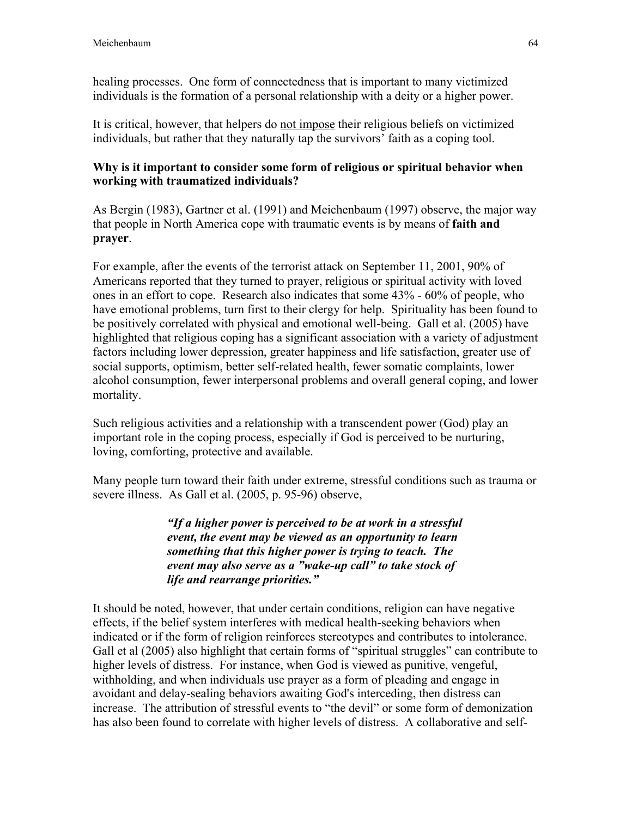healing processes. One form of connectedness that is important to many victimized individuals is the formation of a personal relationship with a deity or a higher power.

It is critical, however, that helpers do not impose their religious beliefs on victimized individuals, but rather that they naturally tap the survivors' faith as a coping tool.

### Why is it important to consider some form of religious or spiritual behavior when working with traumatized individuals?

As Bergin (1983), Gartner et al. (1991) and Meichenbaum (1997) observe, the major way that people in North America cope with traumatic events is by means of faith and prayer.

For example, after the events of the terrorist attack on September 11, 2001, 90% of Americans reported that they turned to prayer, religious or spiritual activity with loved ones in an effort to cope. Research also indicates that some 43% - 60% of people, who have emotional problems, turn first to their clergy for help. Spirituality has been found to be positively correlated with physical and emotional well-being. Gall et al. (2005) have highlighted that religious coping has a significant association with a variety of adjustment factors including lower depression, greater happiness and life satisfaction, greater use of social supports, optimism, better self-related health, fewer somatic complaints, lower alcohol consumption, fewer interpersonal problems and overall general coping, and lower mortality.

Such religious activities and a relationship with a transcendent power (God) play an important role in the coping process, especially if God is perceived to be nurturing, loving, comforting, protective and available.

Many people turn toward their faith under extreme, stressful conditions such as trauma or severe illness. As Gall et al. (2005, p. 95-96) observe,

> *"If a higher power is perceived to be at work in a stressful event, the event may be viewed as an opportunity to learn something that this higher power is trying to teach. The event may also serve as a "wake-up call" to take stock of life and rearrange priorities."*

It should be noted, however, that under certain conditions, religion can have negative effects, if the belief system interferes with medical health-seeking behaviors when indicated or if the form of religion reinforces stereotypes and contributes to intolerance. Gall et al (2005) also highlight that certain forms of "spiritual struggles" can contribute to higher levels of distress. For instance, when God is viewed as punitive, vengeful, withholding, and when individuals use prayer as a form of pleading and engage in avoidant and delay-sealing behaviors awaiting God's interceding, then distress can increase. The attribution of stressful events to "the devil" or some form of demonization has also been found to correlate with higher levels of distress. A collaborative and self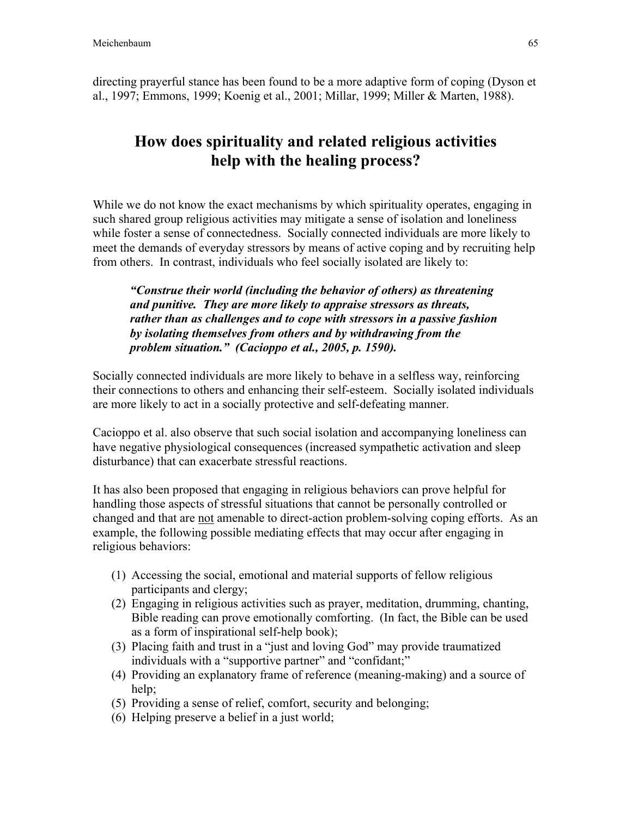directing prayerful stance has been found to be a more adaptive form of coping (Dyson et al., 1997; Emmons, 1999; Koenig et al., 2001; Millar, 1999; Miller & Marten, 1988).

# How does spirituality and related religious activities help with the healing process?

While we do not know the exact mechanisms by which spirituality operates, engaging in such shared group religious activities may mitigate a sense of isolation and loneliness while foster a sense of connectedness. Socially connected individuals are more likely to meet the demands of everyday stressors by means of active coping and by recruiting help from others. In contrast, individuals who feel socially isolated are likely to:

*"Construe their world (including the behavior of others) as threatening and punitive. They are more likely to appraise stressors as threats, rather than as challenges and to cope with stressors in a passive fashion by isolating themselves from others and by withdrawing from the problem situation." (Cacioppo et al., 2005, p. 1590).*

Socially connected individuals are more likely to behave in a selfless way, reinforcing their connections to others and enhancing their self-esteem. Socially isolated individuals are more likely to act in a socially protective and self-defeating manner.

Cacioppo et al. also observe that such social isolation and accompanying loneliness can have negative physiological consequences (increased sympathetic activation and sleep disturbance) that can exacerbate stressful reactions.

It has also been proposed that engaging in religious behaviors can prove helpful for handling those aspects of stressful situations that cannot be personally controlled or changed and that are not amenable to direct-action problem-solving coping efforts. As an example, the following possible mediating effects that may occur after engaging in religious behaviors:

- (1) Accessing the social, emotional and material supports of fellow religious participants and clergy;
- (2) Engaging in religious activities such as prayer, meditation, drumming, chanting, Bible reading can prove emotionally comforting. (In fact, the Bible can be used as a form of inspirational self-help book);
- (3) Placing faith and trust in a "just and loving God" may provide traumatized individuals with a "supportive partner" and "confidant;"
- (4) Providing an explanatory frame of reference (meaning-making) and a source of help:
- (5) Providing a sense of relief, comfort, security and belonging;
- (6) Helping preserve a belief in a just world;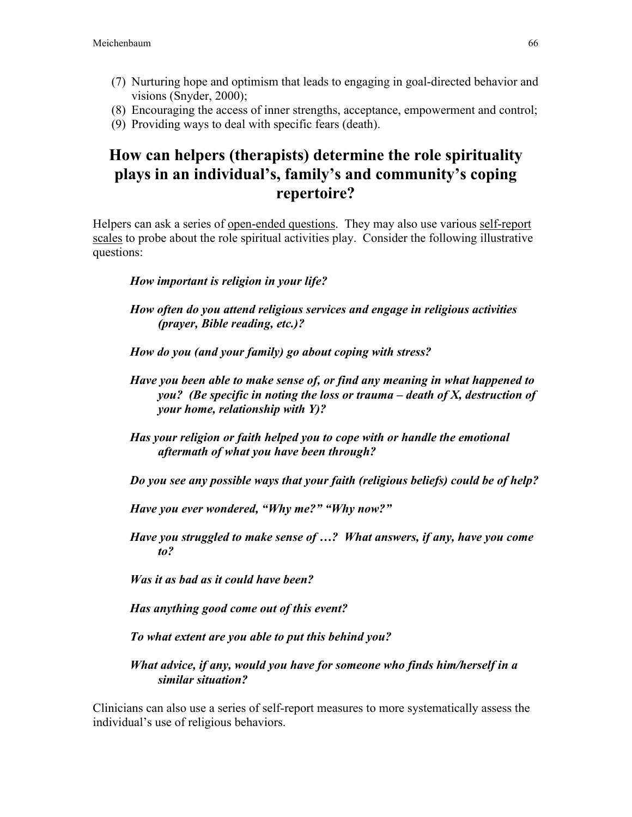- (7) Nurturing hope and optimism that leads to engaging in goal-directed behavior and visions (Snyder, 2000);
- (8) Encouraging the access of inner strengths, acceptance, empowerment and control;
- (9) Providing ways to deal with specific fears (death).

# How can helpers (therapists) determine the role spirituality plays in an individual's, family's and community's coping repertoire?

Helpers can ask a series of <u>open-ended questions</u>. They may also use various self-report scales to probe about the role spiritual activities play. Consider the following illustrative questions:

### *How important is religion in your life?*

- *How often do you attend religious services and engage in religious activities (prayer, Bible reading, etc.)?*
- *How do you (and your family) go about coping with stress?*
- *Have you been able to make sense of, or find any meaning in what happened to you? (Be specific in noting the loss or trauma – death of X, destruction of your home, relationship with Y)?*
- *Has your religion or faith helped you to cope with or handle the emotional aftermath of what you have been through?*

*Do you see any possible ways that your faith (religious beliefs) could be of help?*

*Have you ever wondered, "Why me?" "Why now?"*

*Have you struggled to make sense of …? What answers, if any, have you come to?*

*Was it as bad as it could have been?*

*Has anything good come out of this event?*

*To what extent are you able to put this behind you?*

*What advice, if any, would you have for someone who finds him/herself in a similar situation?*

Clinicians can also use a series of self-report measures to more systematically assess the individual's use of religious behaviors.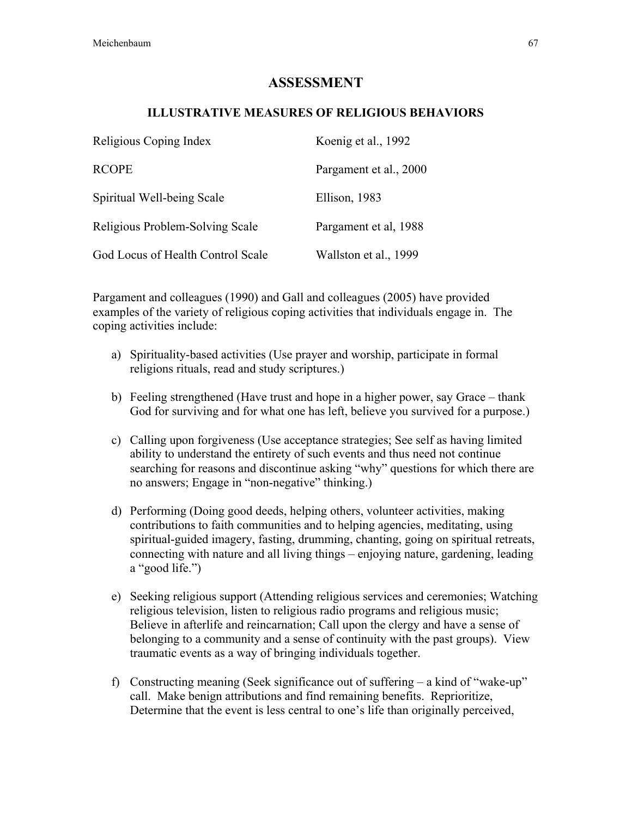### ASSESSMENT

### ILLUSTRATIVE MEASURES OF RELIGIOUS BEHAVIORS

| Religious Coping Index            | Koenig et al., 1992    |
|-----------------------------------|------------------------|
| <b>RCOPE</b>                      | Pargament et al., 2000 |
| Spiritual Well-being Scale        | Ellison, 1983          |
| Religious Problem-Solving Scale   | Pargament et al, 1988  |
| God Locus of Health Control Scale | Wallston et al., 1999  |

Pargament and colleagues (1990) and Gall and colleagues (2005) have provided examples of the variety of religious coping activities that individuals engage in. The coping activities include:

- a) Spirituality-based activities (Use prayer and worship, participate in formal religions rituals, read and study scriptures.)
- b) Feeling strengthened (Have trust and hope in a higher power, say Grace thank God for surviving and for what one has left, believe you survived for a purpose.)
- c) Calling upon forgiveness (Use acceptance strategies; See self as having limited ability to understand the entirety of such events and thus need not continue searching for reasons and discontinue asking "why" questions for which there are no answers; Engage in "non-negative" thinking.)
- d) Performing (Doing good deeds, helping others, volunteer activities, making contributions to faith communities and to helping agencies, meditating, using spiritual-guided imagery, fasting, drumming, chanting, going on spiritual retreats, connecting with nature and all living things – enjoying nature, gardening, leading a "good life.")
- e) Seeking religious support (Attending religious services and ceremonies; Watching religious television, listen to religious radio programs and religious music; Believe in afterlife and reincarnation; Call upon the clergy and have a sense of belonging to a community and a sense of continuity with the past groups). View traumatic events as a way of bringing individuals together.
- f) Constructing meaning (Seek significance out of suffering a kind of "wake-up" call. Make benign attributions and find remaining benefits. Reprioritize, Determine that the event is less central to one's life than originally perceived,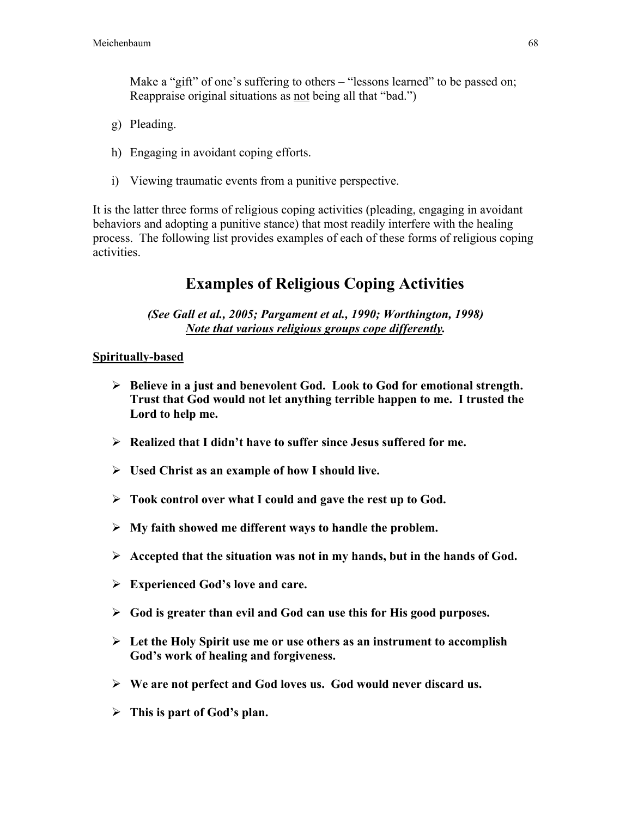Make a "gift" of one's suffering to others – "lessons learned" to be passed on; Reappraise original situations as <u>not</u> being all that "bad.")

- g) Pleading.
- h) Engaging in avoidant coping efforts.
- i) Viewing traumatic events from a punitive perspective.

It is the latter three forms of religious coping activities (pleading, engaging in avoidant behaviors and adopting a punitive stance) that most readily interfere with the healing process. The following list provides examples of each of these forms of religious coping activities.

# Examples of Religious Coping Activities

*(See Gall et al., 2005; Pargament et al., 1990; Worthington, 1998) Note that various religious groups cope differently.*

### Spiritually-based

- $\triangleright$  Believe in a just and benevolent God. Look to God for emotional strength. Trust that God would not let anything terrible happen to me. I trusted the Lord to help me.
- $\triangleright$  Realized that I didn't have to suffer since Jesus suffered for me.
- $\triangleright$  Used Christ as an example of how I should live.
- $\triangleright$  Took control over what I could and gave the rest up to God.
- $\triangleright$  My faith showed me different ways to handle the problem.
- $\triangleright$  Accepted that the situation was not in my hands, but in the hands of God.
- $\triangleright$  Experienced God's love and care.
- $\triangleright$  God is greater than evil and God can use this for His good purposes.
- $\triangleright$  Let the Holy Spirit use me or use others as an instrument to accomplish God's work of healing and forgiveness.
- $\triangleright$  We are not perfect and God loves us. God would never discard us.
- $\triangleright$  This is part of God's plan.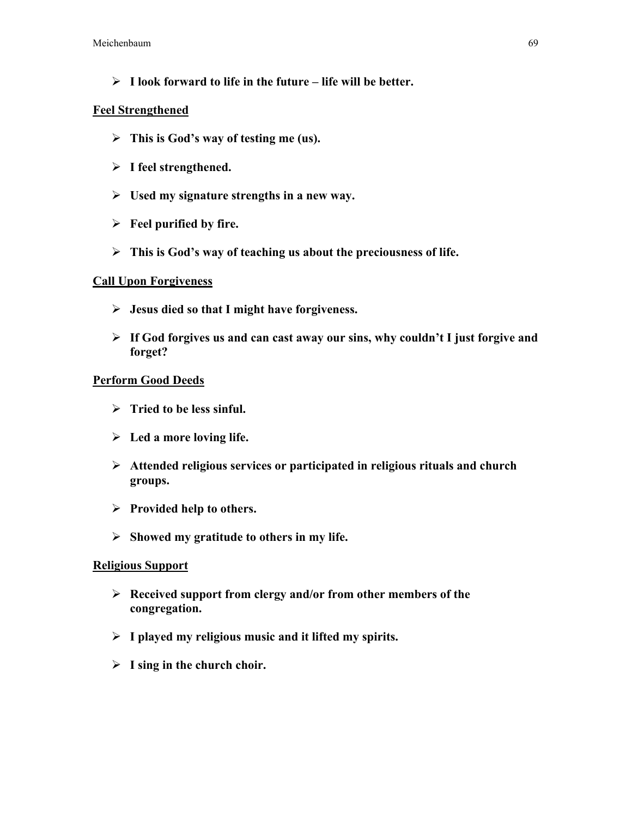$\triangleright$  I look forward to life in the future – life will be better.

### Feel Strengthened

- $\triangleright$  This is God's way of testing me (us).
- $\triangleright$  I feel strengthened.
- $\triangleright$  Used my signature strengths in a new way.
- $\triangleright$  Feel purified by fire.
- $\triangleright$  This is God's way of teaching us about the preciousness of life.

### Call Upon Forgiveness

- $\triangleright$  Jesus died so that I might have forgiveness.
- $\triangleright$  If God forgives us and can cast away our sins, why couldn't I just forgive and forget?

### Perform Good Deeds

- $\triangleright$  Tried to be less sinful.
- $\triangleright$  Led a more loving life.
- $\triangleright$  Attended religious services or participated in religious rituals and church groups.
- $\triangleright$  Provided help to others.
- $\triangleright$  Showed my gratitude to others in my life.

### Religious Support

- $\triangleright$  Received support from clergy and/or from other members of the congregation.
- $\triangleright$  I played my religious music and it lifted my spirits.
- $\triangleright$  I sing in the church choir.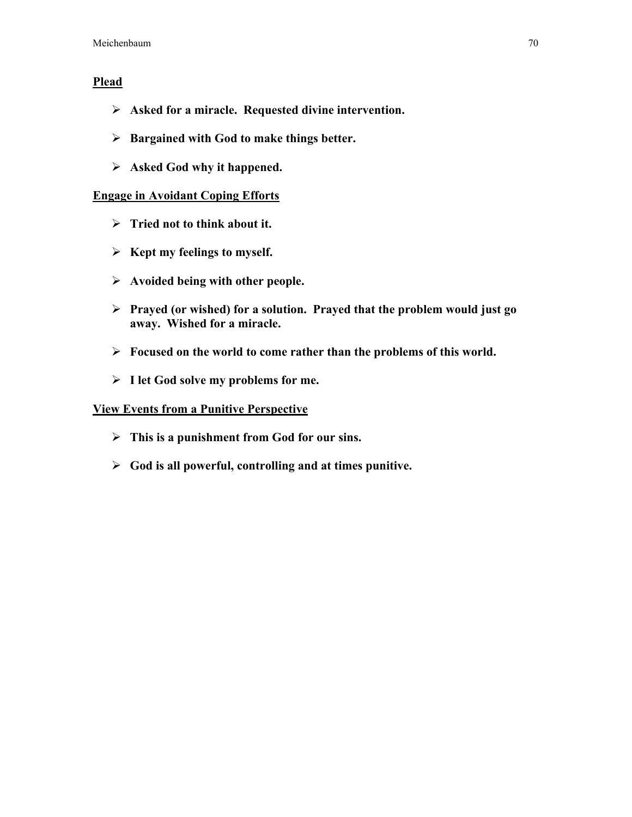### **Plead**

- $\triangleright$  Asked for a miracle. Requested divine intervention.
- $\triangleright$  Bargained with God to make things better.
- $\triangleright$  Asked God why it happened.

### Engage in Avoidant Coping Efforts

- $\triangleright$  Tried not to think about it.
- $\triangleright$  Kept my feelings to myself.
- $\triangleright$  Avoided being with other people.
- $\triangleright$  Prayed (or wished) for a solution. Prayed that the problem would just go away. Wished for a miracle.
- $\triangleright$  Focused on the world to come rather than the problems of this world.
- $\triangleright$  I let God solve my problems for me.

### View Events from a Punitive Perspective

- $\triangleright$  This is a punishment from God for our sins.
- $\triangleright$  God is all powerful, controlling and at times punitive.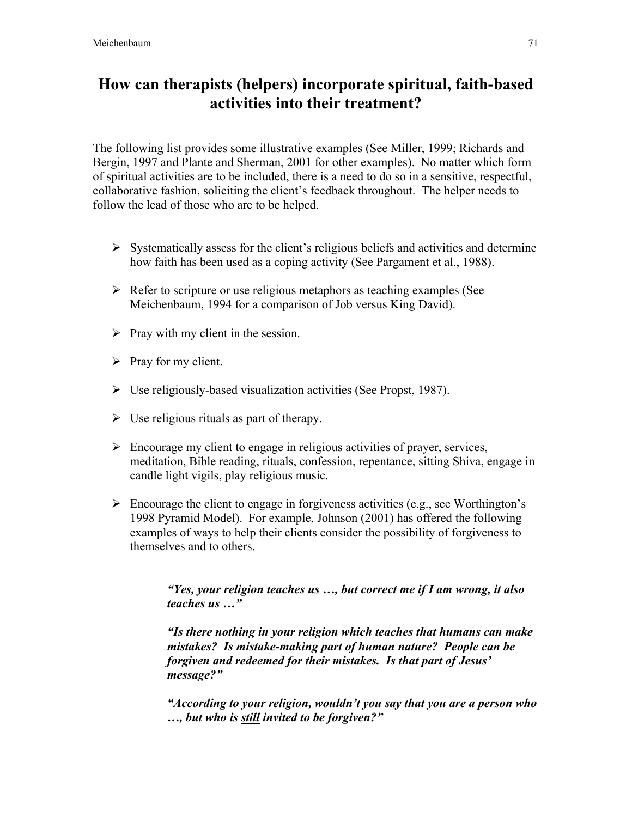# How can therapists (helpers) incorporate spiritual, faith-based activities into their treatment?

The following list provides some illustrative examples (See Miller, 1999; Richards and Bergin, 1997 and Plante and Sherman, 2001 for other examples). No matter which form of spiritual activities are to be included, there is a need to do so in a sensitive, respectful, collaborative fashion, soliciting the client's feedback throughout. The helper needs to follow the lead of those who are to be helped.

- $\triangleright$  Systematically assess for the client's religious beliefs and activities and determine how faith has been used as a coping activity (See Pargament et al., 1988).
- $\triangleright$  Refer to scripture or use religious metaphors as teaching examples (See Meichenbaum, 1994 for a comparison of Job versus King David).
- $\triangleright$  Pray with my client in the session.
- $\triangleright$  Pray for my client.
- $\triangleright$  Use religiously-based visualization activities (See Propst, 1987).
- $\triangleright$  Use religious rituals as part of therapy.
- $\triangleright$  Encourage my client to engage in religious activities of prayer, services, meditation, Bible reading, rituals, confession, repentance, sitting Shiva, engage in candle light vigils, play religious music.
- $\triangleright$  Encourage the client to engage in forgiveness activities (e.g., see Worthington's 1998 Pyramid Model). For example, Johnson (2001) has offered the following examples of ways to help their clients consider the possibility of forgiveness to themselves and to others.

*"Yes, your religion teaches us …, but correct me if I am wrong, it also teaches us …"*

*"Is there nothing in your religion which teaches that humans can make mistakes? Is mistake-making part of human nature? People can be forgiven and redeemed for their mistakes. Is that part of Jesus' message?"*

*"According to your religion, wouldn't you say that you are a person who …, but who is still invited to be forgiven?"*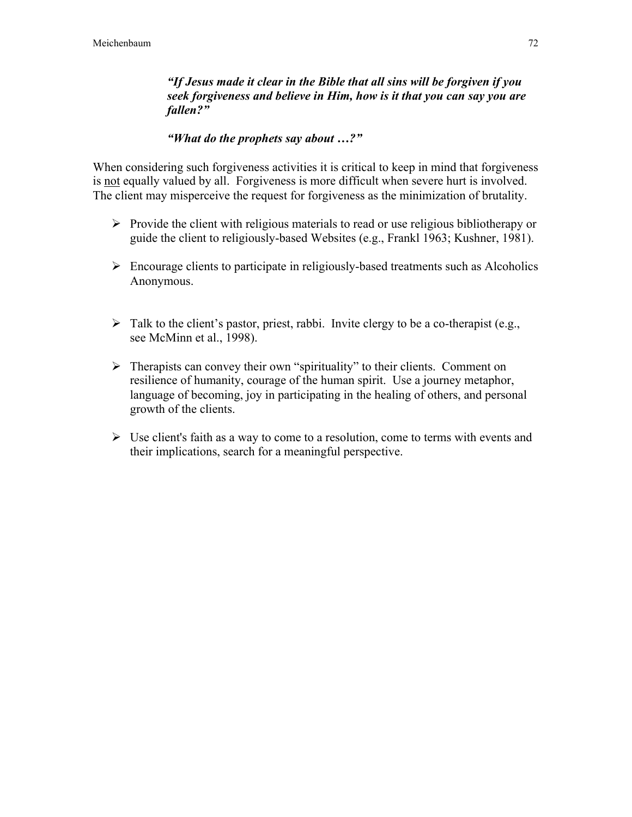*"If Jesus made it clear in the Bible that all sins will be forgiven if you seek forgiveness and believe in Him, how is it that you can say you are fallen?"*

### *"What do the prophets say about …?"*

When considering such forgiveness activities it is critical to keep in mind that forgiveness is not equally valued by all. Forgiveness is more difficult when severe hurt is involved. The client may misperceive the request for forgiveness as the minimization of brutality.

- $\triangleright$  Provide the client with religious materials to read or use religious bibliotherapy or guide the client to religiously-based Websites (e.g., Frankl 1963; Kushner, 1981).
- $\triangleright$  Encourage clients to participate in religiously-based treatments such as Alcoholics Anonymous.
- $\triangleright$  Talk to the client's pastor, priest, rabbi. Invite clergy to be a co-therapist (e.g., see McMinn et al., 1998).
- $\triangleright$  Therapists can convey their own "spirituality" to their clients. Comment on resilience of humanity, courage of the human spirit. Use a journey metaphor, language of becoming, joy in participating in the healing of others, and personal growth of the clients.
- $\triangleright$  Use client's faith as a way to come to a resolution, come to terms with events and their implications, search for a meaningful perspective.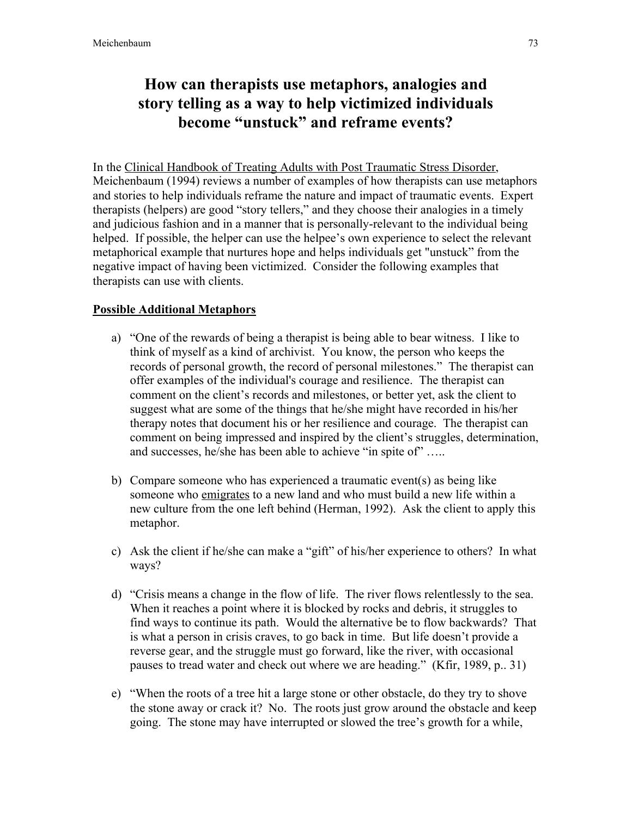## How can therapists use metaphors, analogies and story telling as a way to help victimized individuals become "unstuck" and reframe events?

In the Clinical Handbook of Treating Adults with Post Traumatic Stress Disorder, Meichenbaum (1994) reviews a number of examples of how therapists can use metaphors and stories to help individuals reframe the nature and impact of traumatic events. Expert therapists (helpers) are good "story tellers," and they choose their analogies in a timely and judicious fashion and in a manner that is personally-relevant to the individual being helped. If possible, the helper can use the helpee's own experience to select the relevant metaphorical example that nurtures hope and helps individuals get "unstuck" from the negative impact of having been victimized. Consider the following examples that therapists can use with clients.

### Possible Additional Metaphors

- a) "One of the rewards of being a therapist is being able to bear witness. I like to think of myself as a kind of archivist. You know, the person who keeps the records of personal growth, the record of personal milestones." The therapist can offer examples of the individual's courage and resilience. The therapist can comment on the client's records and milestones, or better yet, ask the client to suggest what are some of the things that he/she might have recorded in his/her therapy notes that document his or her resilience and courage. The therapist can comment on being impressed and inspired by the client's struggles, determination, and successes, he/she has been able to achieve "in spite of" …..
- b) Compare someone who has experienced a traumatic event(s) as being like someone who emigrates to a new land and who must build a new life within a new culture from the one left behind (Herman, 1992). Ask the client to apply this metaphor.
- c) Ask the client if he/she can make a "gift" of his/her experience to others? In what ways?
- d) "Crisis means a change in the flow of life. The river flows relentlessly to the sea. When it reaches a point where it is blocked by rocks and debris, it struggles to find ways to continue its path. Would the alternative be to flow backwards? That is what a person in crisis craves, to go back in time. But life doesn't provide a reverse gear, and the struggle must go forward, like the river, with occasional pauses to tread water and check out where we are heading." (Kfir, 1989, p.. 31)
- e) "When the roots of a tree hit a large stone or other obstacle, do they try to shove the stone away or crack it? No. The roots just grow around the obstacle and keep going. The stone may have interrupted or slowed the tree's growth for a while,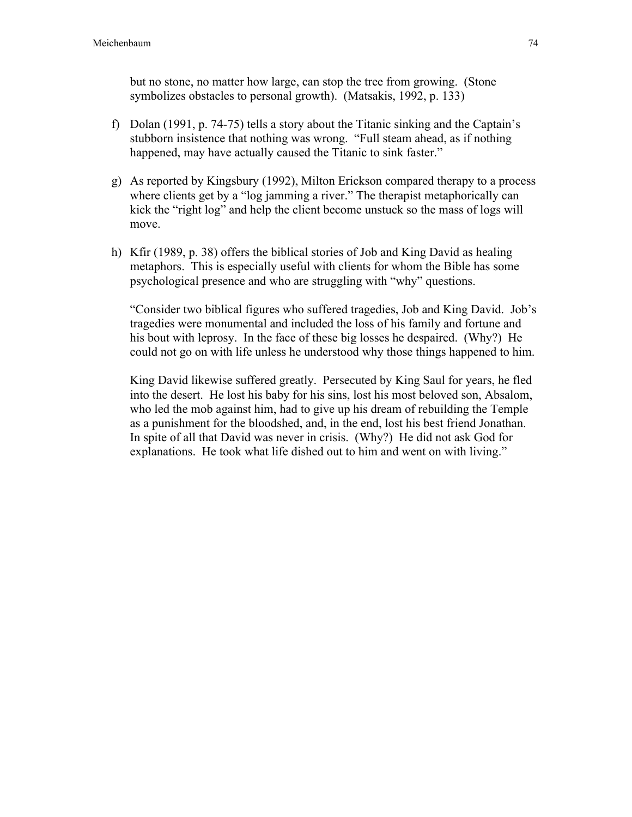but no stone, no matter how large, can stop the tree from growing. (Stone symbolizes obstacles to personal growth). (Matsakis, 1992, p. 133)

- f) Dolan (1991, p. 74-75) tells a story about the Titanic sinking and the Captain's stubborn insistence that nothing was wrong. "Full steam ahead, as if nothing happened, may have actually caused the Titanic to sink faster."
- g) As reported by Kingsbury (1992), Milton Erickson compared therapy to a process where clients get by a "log jamming a river." The therapist metaphorically can kick the "right log" and help the client become unstuck so the mass of logs will move.
- h) Kfir (1989, p. 38) offers the biblical stories of Job and King David as healing metaphors. This is especially useful with clients for whom the Bible has some psychological presence and who are struggling with "why" questions.

"Consider two biblical figures who suffered tragedies, Job and King David. Job's tragedies were monumental and included the loss of his family and fortune and his bout with leprosy. In the face of these big losses he despaired. (Why?) He could not go on with life unless he understood why those things happened to him.

King David likewise suffered greatly. Persecuted by King Saul for years, he fled into the desert. He lost his baby for his sins, lost his most beloved son, Absalom, who led the mob against him, had to give up his dream of rebuilding the Temple as a punishment for the bloodshed, and, in the end, lost his best friend Jonathan. In spite of all that David was never in crisis. (Why?) He did not ask God for explanations. He took what life dished out to him and went on with living."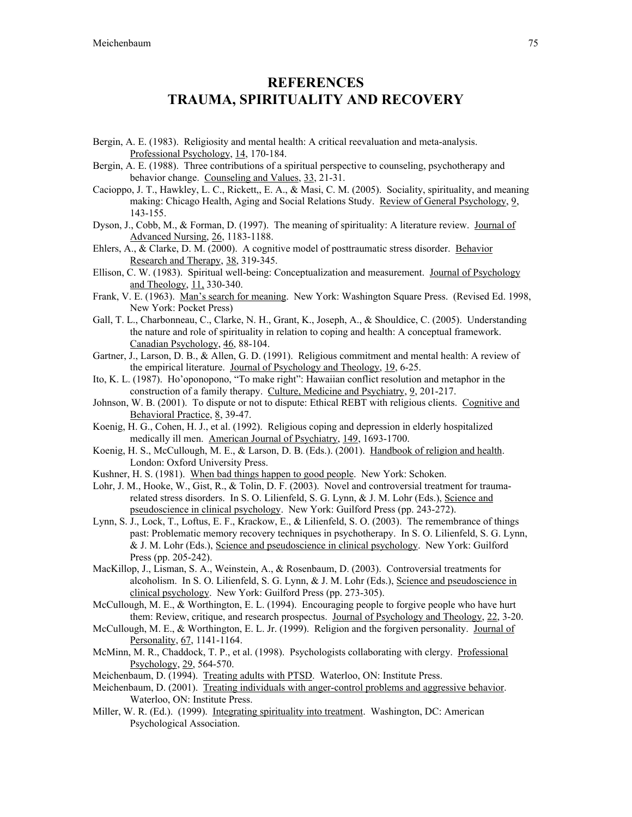### **REFERENCES** TRAUMA, SPIRITUALITY AND RECOVERY

- Bergin, A. E. (1983). Religiosity and mental health: A critical reevaluation and meta-analysis. Professional Psychology, 14, 170-184.
- Bergin, A. E. (1988). Three contributions of a spiritual perspective to counseling, psychotherapy and behavior change. Counseling and Values, 33, 21-31.
- Cacioppo, J. T., Hawkley, L. C., Rickett,, E. A., & Masi, C. M. (2005). Sociality, spirituality, and meaning making: Chicago Health, Aging and Social Relations Study. Review of General Psychology, 9, 143-155.
- Dyson, J., Cobb, M., & Forman, D. (1997). The meaning of spirituality: A literature review. Journal of Advanced Nursing, 26, 1183-1188.
- Ehlers, A., & Clarke, D. M. (2000). A cognitive model of posttraumatic stress disorder. Behavior Research and Therapy, 38, 319-345.
- Ellison, C. W. (1983). Spiritual well-being: Conceptualization and measurement. Journal of Psychology and Theology, 11, 330-340.
- Frank, V. E. (1963). Man's search for meaning. New York: Washington Square Press. (Revised Ed. 1998, New York: Pocket Press)
- Gall, T. L., Charbonneau, C., Clarke, N. H., Grant, K., Joseph, A., & Shouldice, C. (2005). Understanding the nature and role of spirituality in relation to coping and health: A conceptual framework. Canadian Psychology, 46, 88-104.
- Gartner, J., Larson, D. B., & Allen, G. D. (1991). Religious commitment and mental health: A review of the empirical literature. Journal of Psychology and Theology, 19, 6-25.
- Ito, K. L. (1987). Ho'oponopono, "To make right": Hawaiian conflict resolution and metaphor in the construction of a family therapy. Culture, Medicine and Psychiatry, 9, 201-217.
- Johnson, W. B. (2001). To dispute or not to dispute: Ethical REBT with religious clients. Cognitive and Behavioral Practice, 8, 39-47.
- Koenig, H. G., Cohen, H. J., et al. (1992). Religious coping and depression in elderly hospitalized medically ill men. American Journal of Psychiatry, 149, 1693-1700.
- Koenig, H. S., McCullough, M. E., & Larson, D. B. (Eds.). (2001). Handbook of religion and health. London: Oxford University Press.
- Kushner, H. S. (1981). When bad things happen to good people. New York: Schoken.
- Lohr, J. M., Hooke, W., Gist, R., & Tolin, D. F. (2003). Novel and controversial treatment for traumarelated stress disorders. In S. O. Lilienfeld, S. G. Lynn, & J. M. Lohr (Eds.), Science and pseudoscience in clinical psychology. New York: Guilford Press (pp. 243-272).
- Lynn, S. J., Lock, T., Loftus, E. F., Krackow, E., & Lilienfeld, S. O. (2003). The remembrance of things past: Problematic memory recovery techniques in psychotherapy. In S. O. Lilienfeld, S. G. Lynn, & J. M. Lohr (Eds.), Science and pseudoscience in clinical psychology. New York: Guilford Press (pp. 205-242).
- MacKillop, J., Lisman, S. A., Weinstein, A., & Rosenbaum, D. (2003). Controversial treatments for alcoholism. In S. O. Lilienfeld, S. G. Lynn, & J. M. Lohr (Eds.), Science and pseudoscience in clinical psychology. New York: Guilford Press (pp. 273-305).
- McCullough, M. E., & Worthington, E. L. (1994). Encouraging people to forgive people who have hurt them: Review, critique, and research prospectus. Journal of Psychology and Theology, 22, 3-20.
- McCullough, M. E., & Worthington, E. L. Jr. (1999). Religion and the forgiven personality. Journal of Personality, 67, 1141-1164.
- McMinn, M. R., Chaddock, T. P., et al. (1998). Psychologists collaborating with clergy. Professional Psychology, 29, 564-570.
- Meichenbaum, D. (1994). Treating adults with PTSD. Waterloo, ON: Institute Press.
- Meichenbaum, D. (2001). Treating individuals with anger-control problems and aggressive behavior. Waterloo, ON: Institute Press.
- Miller, W. R. (Ed.). (1999). Integrating spirituality into treatment. Washington, DC: American Psychological Association.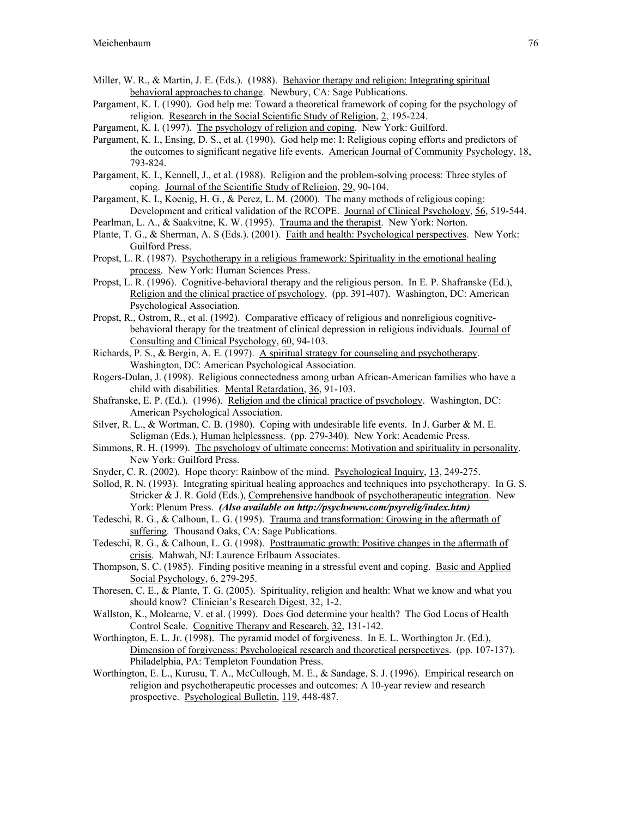- Miller, W. R., & Martin, J. E. (Eds.). (1988). Behavior therapy and religion: Integrating spiritual behavioral approaches to change. Newbury, CA: Sage Publications.
- Pargament, K. I. (1990). God help me: Toward a theoretical framework of coping for the psychology of religion. Research in the Social Scientific Study of Religion, 2, 195-224.
- Pargament, K. I. (1997). The psychology of religion and coping. New York: Guilford.
- Pargament, K. I., Ensing, D. S., et al. (1990). God help me: I: Religious coping efforts and predictors of the outcomes to significant negative life events. American Journal of Community Psychology, 18, 793-824.
- Pargament, K. I., Kennell, J., et al. (1988). Religion and the problem-solving process: Three styles of coping. Journal of the Scientific Study of Religion, 29, 90-104.
- Pargament, K. I., Koenig, H. G., & Perez, L. M. (2000). The many methods of religious coping: Development and critical validation of the RCOPE. Journal of Clinical Psychology, 56, 519-544.
- Pearlman, L. A., & Saakvitne, K. W. (1995). Trauma and the therapist. New York: Norton.
- Plante, T. G., & Sherman, A. S (Eds.). (2001). Faith and health: Psychological perspectives. New York: Guilford Press.
- Propst, L. R. (1987). Psychotherapy in a religious framework: Spirituality in the emotional healing process. New York: Human Sciences Press.
- Propst, L. R. (1996). Cognitive-behavioral therapy and the religious person. In E. P. Shafranske (Ed.), Religion and the clinical practice of psychology. (pp. 391-407). Washington, DC: American Psychological Association.
- Propst, R., Ostrom, R., et al. (1992). Comparative efficacy of religious and nonreligious cognitivebehavioral therapy for the treatment of clinical depression in religious individuals. Journal of Consulting and Clinical Psychology, 60, 94-103.
- Richards, P. S., & Bergin, A. E. (1997). A spiritual strategy for counseling and psychotherapy. Washington, DC: American Psychological Association.
- Rogers-Dulan, J. (1998). Religious connectedness among urban African-American families who have a child with disabilities. Mental Retardation, 36, 91-103.
- Shafranske, E. P. (Ed.). (1996). Religion and the clinical practice of psychology. Washington, DC: American Psychological Association.
- Silver, R. L., & Wortman, C. B. (1980). Coping with undesirable life events. In J. Garber & M. E. Seligman (Eds.), Human helplessness. (pp. 279-340). New York: Academic Press.
- Simmons, R. H. (1999). The psychology of ultimate concerns: Motivation and spirituality in personality. New York: Guilford Press.
- Snyder, C. R. (2002). Hope theory: Rainbow of the mind. Psychological Inquiry, 13, 249-275.
- Sollod, R. N. (1993). Integrating spiritual healing approaches and techniques into psychotherapy. In G. S. Stricker & J. R. Gold (Eds.), Comprehensive handbook of psychotherapeutic integration. New York: Plenum Press. *(Also available on http://psychwww.com/psyrelig/index.htm)*
- Tedeschi, R. G., & Calhoun, L. G. (1995). Trauma and transformation: Growing in the aftermath of suffering. Thousand Oaks, CA: Sage Publications.
- Tedeschi, R. G., & Calhoun, L. G. (1998). Posttraumatic growth: Positive changes in the aftermath of crisis. Mahwah, NJ: Laurence Erlbaum Associates.
- Thompson, S. C. (1985). Finding positive meaning in a stressful event and coping. Basic and Applied Social Psychology, 6, 279-295.
- Thoresen, C. E., & Plante, T. G. (2005). Spirituality, religion and health: What we know and what you should know? Clinician's Research Digest, 32, 1-2.
- Wallston, K., Molcarne, V. et al. (1999). Does God determine your health? The God Locus of Health Control Scale. Cognitive Therapy and Research, 32, 131-142.
- Worthington, E. L. Jr. (1998). The pyramid model of forgiveness. In E. L. Worthington Jr. (Ed.), Dimension of forgiveness: Psychological research and theoretical perspectives. (pp. 107-137). Philadelphia, PA: Templeton Foundation Press.
- Worthington, E. L., Kurusu, T. A., McCullough, M. E., & Sandage, S. J. (1996). Empirical research on religion and psychotherapeutic processes and outcomes: A 10-year review and research prospective. Psychological Bulletin, 119, 448-487.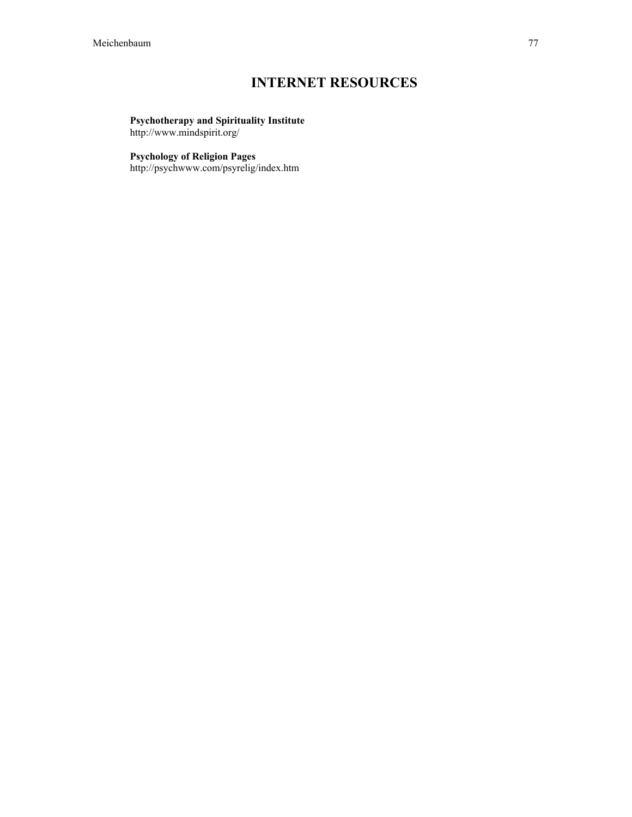## INTERNET RESOURCES

#### Psychotherapy and Spirituality Institute http://www.mindspirit.org/

#### Psychology of Religion Pages

http://psychwww.com/psyrelig/index.htm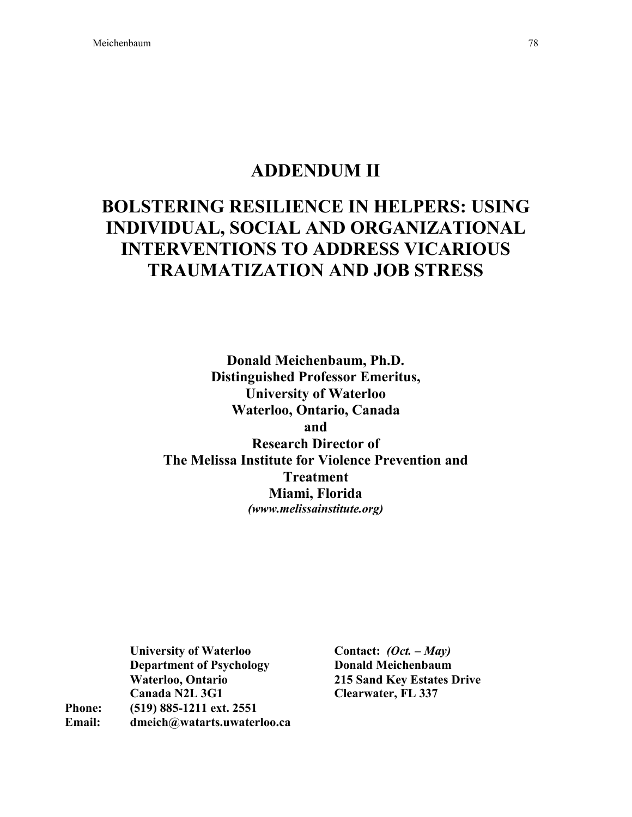## ADDENDUM II

# BOLSTERING RESILIENCE IN HELPERS: USING INDIVIDUAL, SOCIAL AND ORGANIZATIONAL INTERVENTIONS TO ADDRESS VICARIOUS TRAUMATIZATION AND JOB STRESS

Donald Meichenbaum, Ph.D. Distinguished Professor Emeritus, University of Waterloo Waterloo, Ontario, Canada and Research Director of The Melissa Institute for Violence Prevention and Treatment Miami, Florida *(www.melissainstitute.org)*

University of Waterloo Department of Psychology Waterloo, Ontario Canada N2L 3G1 Phone: (519) 885-1211 ext. 2551 Email: dmeich@watarts.uwaterloo.ca

Contact: *(Oct. – May)* Donald Meichenbaum 215 Sand Key Estates Drive Clearwater, FL 337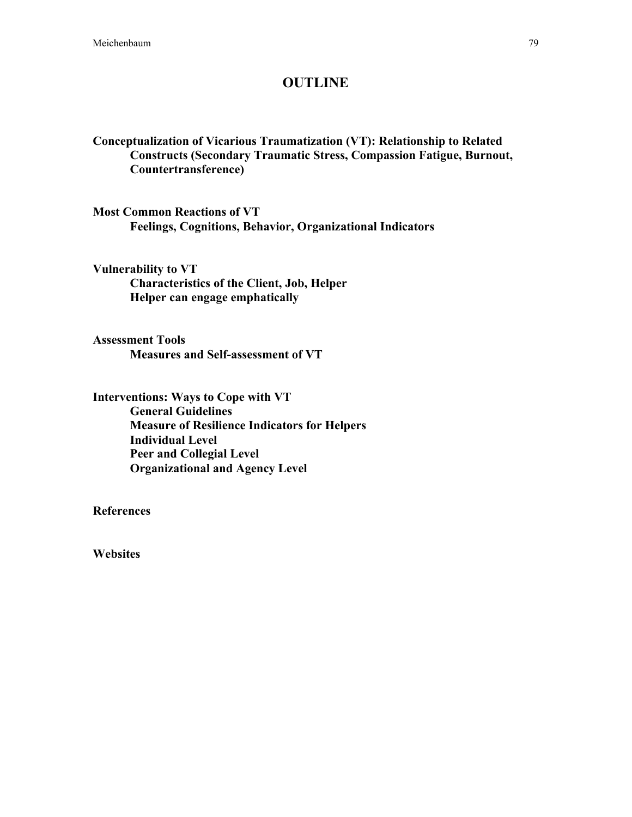#### **OUTLINE**

Conceptualization of Vicarious Traumatization (VT): Relationship to Related Constructs (Secondary Traumatic Stress, Compassion Fatigue, Burnout, Countertransference)

Most Common Reactions of VT Feelings, Cognitions, Behavior, Organizational Indicators

Vulnerability to VT Characteristics of the Client, Job, Helper Helper can engage emphatically

Assessment Tools Measures and Self-assessment of VT

Interventions: Ways to Cope with VT General Guidelines Measure of Resilience Indicators for Helpers Individual Level Peer and Collegial Level Organizational and Agency Level

**References** 

**Websites**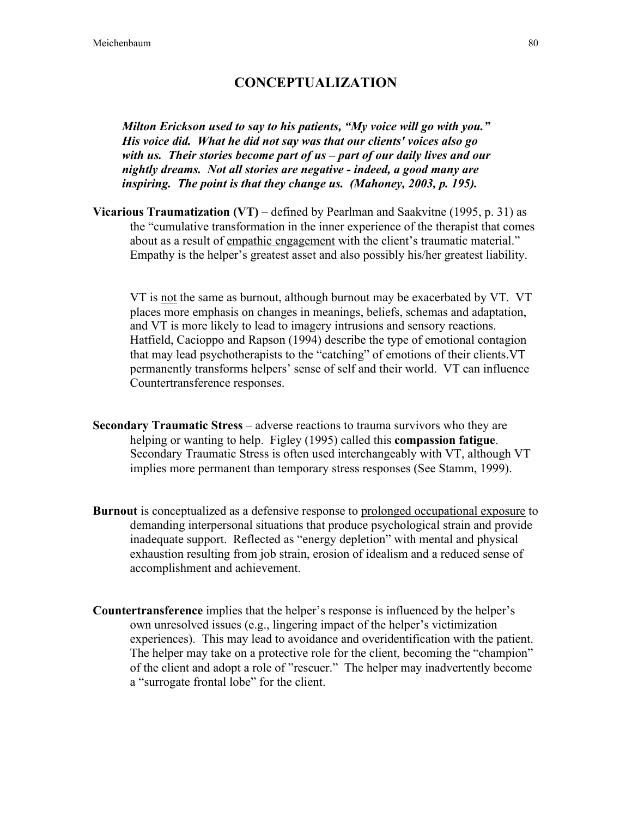### CONCEPTUALIZATION

*Milton Erickson used to say to his patients, "My voice will go with you." His voice did. What he did not say was that our clients' voices also go with us. Their stories become part of us – part of our daily lives and our nightly dreams. Not all stories are negative - indeed, a good many are inspiring. The point is that they change us. (Mahoney, 2003, p. 195).*

**Vicarious Traumatization (VT)** – defined by Pearlman and Saakvitne (1995, p. 31) as the "cumulative transformation in the inner experience of the therapist that comes about as a result of empathic engagement with the client's traumatic material." Empathy is the helper's greatest asset and also possibly his/her greatest liability.

VT is not the same as burnout, although burnout may be exacerbated by VT. VT places more emphasis on changes in meanings, beliefs, schemas and adaptation, and VT is more likely to lead to imagery intrusions and sensory reactions. Hatfield, Cacioppo and Rapson (1994) describe the type of emotional contagion that may lead psychotherapists to the "catching" of emotions of their clients.VT permanently transforms helpers' sense of self and their world. VT can influence Countertransference responses.

- Secondary Traumatic Stress adverse reactions to trauma survivors who they are helping or wanting to help. Figley (1995) called this compassion fatigue. Secondary Traumatic Stress is often used interchangeably with VT, although VT implies more permanent than temporary stress responses (See Stamm, 1999).
- Burnout is conceptualized as a defensive response to prolonged occupational exposure to demanding interpersonal situations that produce psychological strain and provide inadequate support. Reflected as "energy depletion" with mental and physical exhaustion resulting from job strain, erosion of idealism and a reduced sense of accomplishment and achievement.
- Countertransference implies that the helper's response is influenced by the helper's own unresolved issues (e.g., lingering impact of the helper's victimization experiences). This may lead to avoidance and overidentification with the patient. The helper may take on a protective role for the client, becoming the "champion" of the client and adopt a role of "rescuer." The helper may inadvertently become a "surrogate frontal lobe" for the client.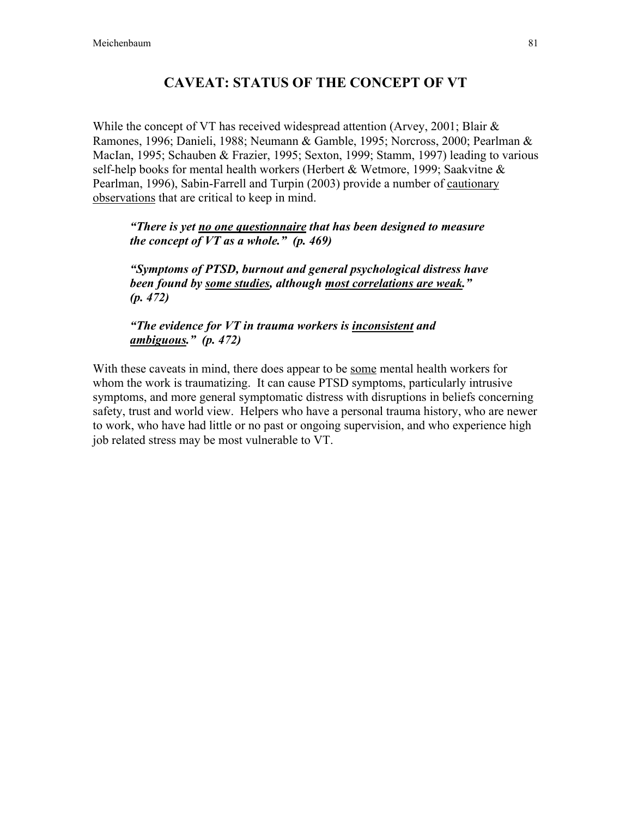## CAVEAT: STATUS OF THE CONCEPT OF VT

While the concept of VT has received widespread attention (Arvey, 2001; Blair & Ramones, 1996; Danieli, 1988; Neumann & Gamble, 1995; Norcross, 2000; Pearlman & MacIan, 1995; Schauben & Frazier, 1995; Sexton, 1999; Stamm, 1997) leading to various self-help books for mental health workers (Herbert & Wetmore, 1999; Saakvitne & Pearlman, 1996), Sabin-Farrell and Turpin (2003) provide a number of cautionary observations that are critical to keep in mind.

*"There is yet no one questionnaire that has been designed to measure the concept of VT as a whole." (p. 469)*

*"Symptoms of PTSD, burnout and general psychological distress have been found by some studies, although most correlations are weak." (p. 472)*

*"The evidence for VT in trauma workers is inconsistent and ambiguous." (p. 472)*

With these caveats in mind, there does appear to be some mental health workers for whom the work is traumatizing. It can cause PTSD symptoms, particularly intrusive symptoms, and more general symptomatic distress with disruptions in beliefs concerning safety, trust and world view. Helpers who have a personal trauma history, who are newer to work, who have had little or no past or ongoing supervision, and who experience high job related stress may be most vulnerable to VT.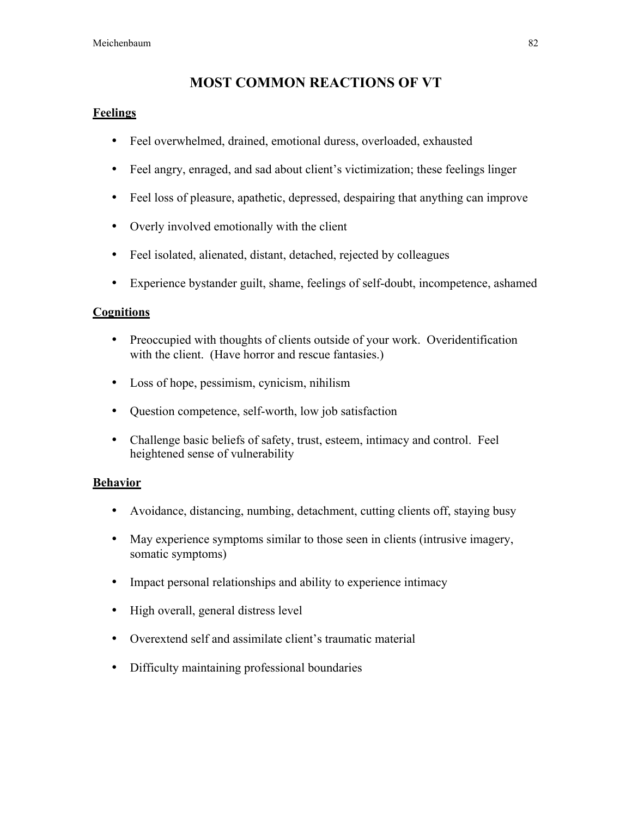### MOST COMMON REACTIONS OF VT

#### Feelings

- Feel overwhelmed, drained, emotional duress, overloaded, exhausted
- Feel angry, enraged, and sad about client's victimization; these feelings linger
- Feel loss of pleasure, apathetic, depressed, despairing that anything can improve
- Overly involved emotionally with the client
- Feel isolated, alienated, distant, detached, rejected by colleagues
- Experience bystander guilt, shame, feelings of self-doubt, incompetence, ashamed

#### **Cognitions**

- Preoccupied with thoughts of clients outside of your work. Overidentification with the client. (Have horror and rescue fantasies.)
- Loss of hope, pessimism, cynicism, nihilism
- Question competence, self-worth, low job satisfaction
- Challenge basic beliefs of safety, trust, esteem, intimacy and control. Feel heightened sense of vulnerability

#### Behavior

- Avoidance, distancing, numbing, detachment, cutting clients off, staying busy
- May experience symptoms similar to those seen in clients (intrusive imagery, somatic symptoms)
- Impact personal relationships and ability to experience intimacy
- High overall, general distress level
- Overextend self and assimilate client's traumatic material
- Difficulty maintaining professional boundaries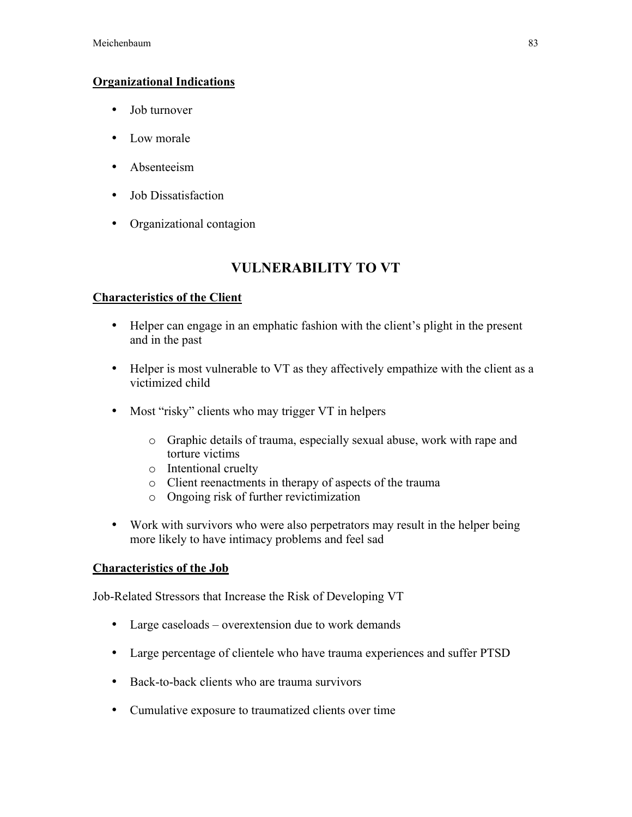#### Organizational Indications

- Job turnover
- Low morale
- Absenteeism
- Job Dissatisfaction
- Organizational contagion

## VULNERABILITY TO VT

#### Characteristics of the Client

- Helper can engage in an emphatic fashion with the client's plight in the present and in the past
- Helper is most vulnerable to VT as they affectively empathize with the client as a victimized child
- Most "risky" clients who may trigger VT in helpers
	- o Graphic details of trauma, especially sexual abuse, work with rape and torture victims
	- o Intentional cruelty
	- o Client reenactments in therapy of aspects of the trauma
	- o Ongoing risk of further revictimization
- Work with survivors who were also perpetrators may result in the helper being more likely to have intimacy problems and feel sad

#### Characteristics of the Job

Job-Related Stressors that Increase the Risk of Developing VT

- Large caseloads overextension due to work demands
- Large percentage of clientele who have trauma experiences and suffer PTSD
- Back-to-back clients who are trauma survivors
- Cumulative exposure to traumatized clients over time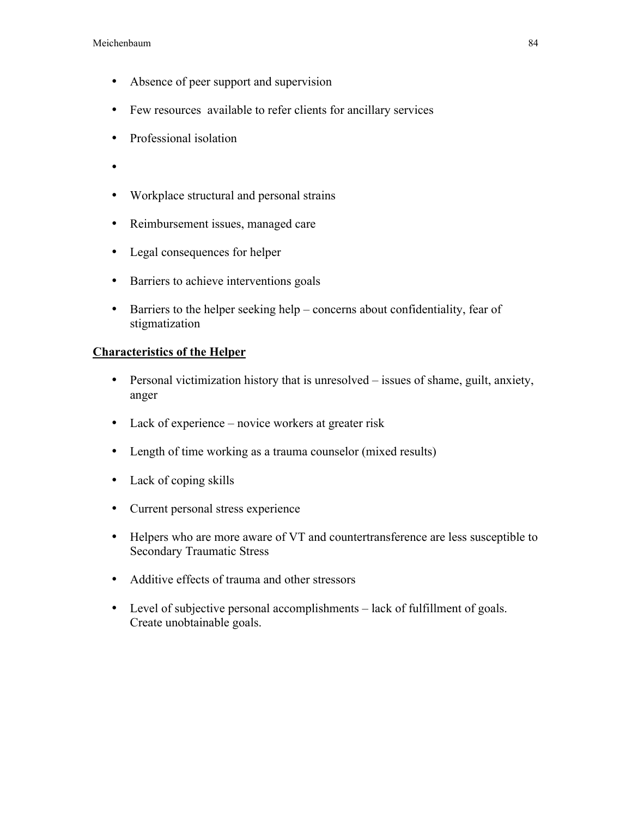- Absence of peer support and supervision
- Few resources available to refer clients for ancillary services
- Professional isolation
- •
- Workplace structural and personal strains
- Reimbursement issues, managed care
- Legal consequences for helper
- Barriers to achieve interventions goals
- Barriers to the helper seeking help concerns about confidentiality, fear of stigmatization

### Characteristics of the Helper

- Personal victimization history that is unresolved issues of shame, guilt, anxiety, anger
- Lack of experience novice workers at greater risk
- Length of time working as a trauma counselor (mixed results)
- Lack of coping skills
- Current personal stress experience
- Helpers who are more aware of VT and countertransference are less susceptible to Secondary Traumatic Stress
- Additive effects of trauma and other stressors
- Level of subjective personal accomplishments lack of fulfillment of goals. Create unobtainable goals.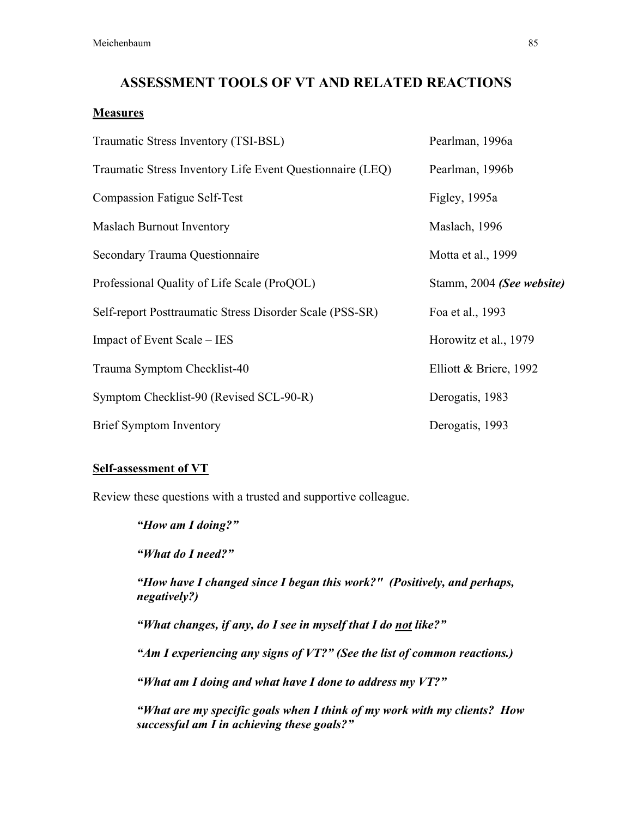#### ASSESSMENT TOOLS OF VT AND RELATED REACTIONS

#### **Measures**

| Traumatic Stress Inventory (TSI-BSL)                      | Pearlman, 1996a           |
|-----------------------------------------------------------|---------------------------|
| Traumatic Stress Inventory Life Event Questionnaire (LEQ) | Pearlman, 1996b           |
| <b>Compassion Fatigue Self-Test</b>                       | Figley, 1995a             |
| <b>Maslach Burnout Inventory</b>                          | Maslach, 1996             |
| Secondary Trauma Questionnaire                            | Motta et al., 1999        |
| Professional Quality of Life Scale (ProQOL)               | Stamm, 2004 (See website) |
| Self-report Posttraumatic Stress Disorder Scale (PSS-SR)  | Foa et al., 1993          |
| Impact of Event Scale – IES                               | Horowitz et al., 1979     |
| Trauma Symptom Checklist-40                               | Elliott & Briere, 1992    |
| Symptom Checklist-90 (Revised SCL-90-R)                   | Derogatis, 1983           |
| <b>Brief Symptom Inventory</b>                            | Derogatis, 1993           |

#### Self-assessment of VT

Review these questions with a trusted and supportive colleague.

*"How am I doing?"*

*"What do I need?"*

*"How have I changed since I began this work?" (Positively, and perhaps, negatively?)*

*"What changes, if any, do I see in myself that I do not like?"*

*"Am I experiencing any signs of VT?" (See the list of common reactions.)*

*"What am I doing and what have I done to address my VT?"*

*"What are my specific goals when I think of my work with my clients? How successful am I in achieving these goals?"*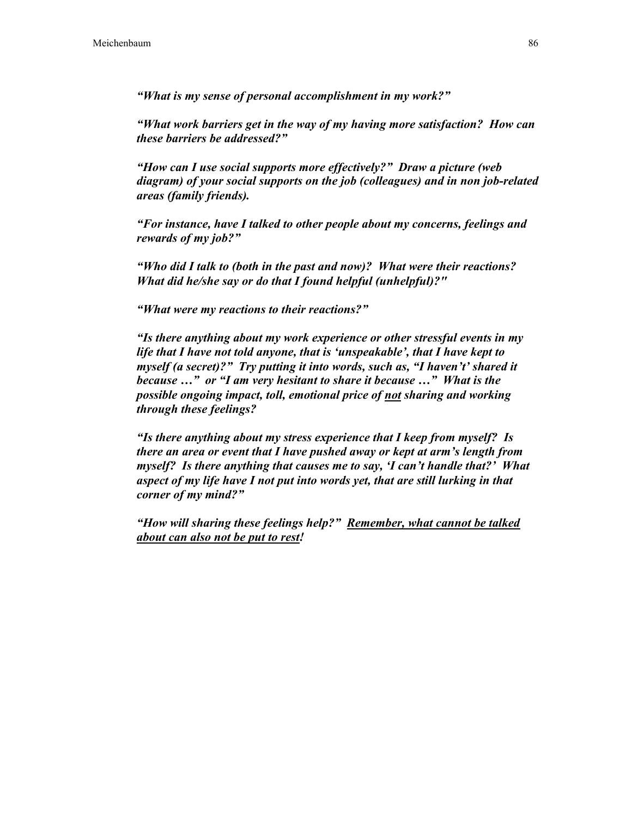*"What is my sense of personal accomplishment in my work?"*

*"What work barriers get in the way of my having more satisfaction? How can these barriers be addressed?"*

*"How can I use social supports more effectively?" Draw a picture (web diagram) of your social supports on the job (colleagues) and in non job-related areas (family friends).*

*"For instance, have I talked to other people about my concerns, feelings and rewards of my job?"*

*"Who did I talk to (both in the past and now)? What were their reactions? What did he/she say or do that I found helpful (unhelpful)?"*

*"What were my reactions to their reactions?"*

*"Is there anything about my work experience or other stressful events in my life that I have not told anyone, that is 'unspeakable', that I have kept to myself (a secret)?" Try putting it into words, such as, "I haven't' shared it because …" or "I am very hesitant to share it because …" What is the possible ongoing impact, toll, emotional price of not sharing and working through these feelings?*

*"Is there anything about my stress experience that I keep from myself? Is there an area or event that I have pushed away or kept at arm's length from myself? Is there anything that causes me to say, 'I can't handle that?' What aspect of my life have I not put into words yet, that are still lurking in that corner of my mind?"*

*"How will sharing these feelings help?" Remember, what cannot be talked about can also not be put to rest!*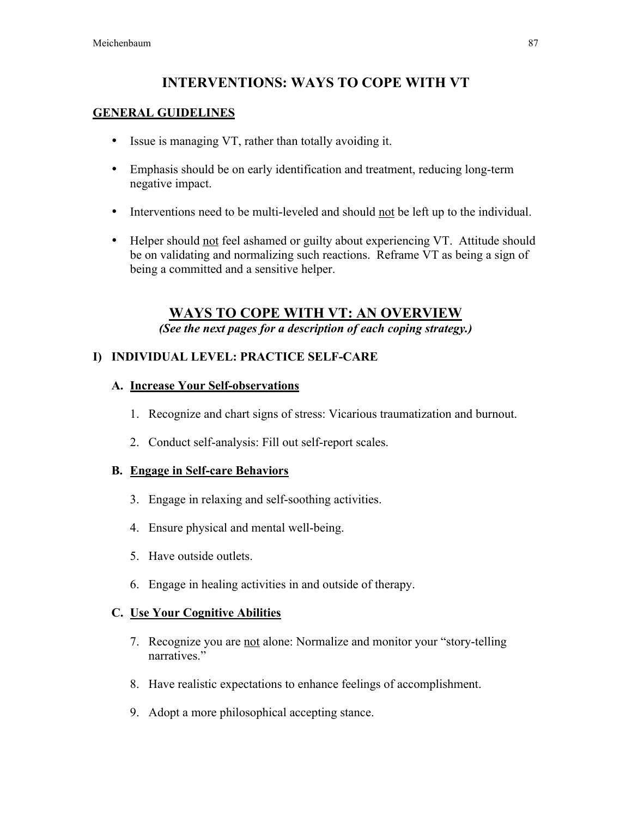## INTERVENTIONS: WAYS TO COPE WITH VT

#### GENERAL GUIDELINES

- Issue is managing VT, rather than totally avoiding it.
- Emphasis should be on early identification and treatment, reducing long-term negative impact.
- Interventions need to be multi-leveled and should not be left up to the individual.
- Helper should not feel ashamed or guilty about experiencing VT. Attitude should be on validating and normalizing such reactions. Reframe VT as being a sign of being a committed and a sensitive helper.

## WAYS TO COPE WITH VT: AN OVERVIEW

*(See the next pages for a description of each coping strategy.)*

### I) INDIVIDUAL LEVEL: PRACTICE SELF-CARE

#### A. Increase Your Self-observations

- 1. Recognize and chart signs of stress: Vicarious traumatization and burnout.
- 2. Conduct self-analysis: Fill out self-report scales.

#### B. Engage in Self-care Behaviors

- 3. Engage in relaxing and self-soothing activities.
- 4. Ensure physical and mental well-being.
- 5. Have outside outlets.
- 6. Engage in healing activities in and outside of therapy.

#### C. Use Your Cognitive Abilities

- 7. Recognize you are not alone: Normalize and monitor your "story-telling narratives."
- 8. Have realistic expectations to enhance feelings of accomplishment.
- 9. Adopt a more philosophical accepting stance.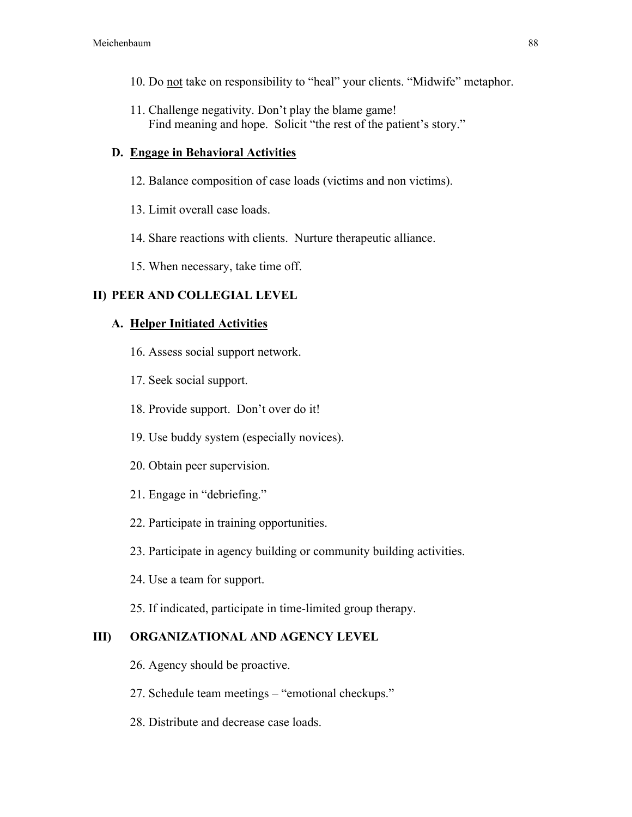- 10. Do not take on responsibility to "heal" your clients. "Midwife" metaphor.
- 11. Challenge negativity. Don't play the blame game! Find meaning and hope. Solicit "the rest of the patient's story."

#### D. Engage in Behavioral Activities

- 12. Balance composition of case loads (victims and non victims).
- 13. Limit overall case loads.
- 14. Share reactions with clients. Nurture therapeutic alliance.
- 15. When necessary, take time off.

#### II) PEER AND COLLEGIAL LEVEL

#### A. Helper Initiated Activities

- 16. Assess social support network.
- 17. Seek social support.
- 18. Provide support. Don't over do it!
- 19. Use buddy system (especially novices).
- 20. Obtain peer supervision.
- 21. Engage in "debriefing."
- 22. Participate in training opportunities.
- 23. Participate in agency building or community building activities.
- 24. Use a team for support.
- 25. If indicated, participate in time-limited group therapy.

#### III) ORGANIZATIONAL AND AGENCY LEVEL

- 26. Agency should be proactive.
- 27. Schedule team meetings "emotional checkups."
- 28. Distribute and decrease case loads.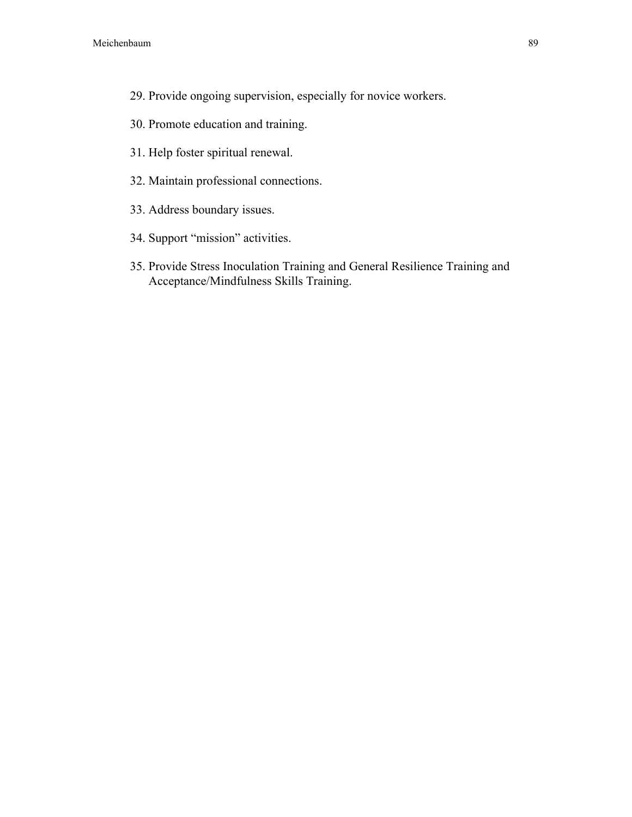- 29. Provide ongoing supervision, especially for novice workers.
- 30. Promote education and training.
- 31. Help foster spiritual renewal.
- 32. Maintain professional connections.
- 33. Address boundary issues.
- 34. Support "mission" activities.
- 35. Provide Stress Inoculation Training and General Resilience Training and Acceptance/Mindfulness Skills Training.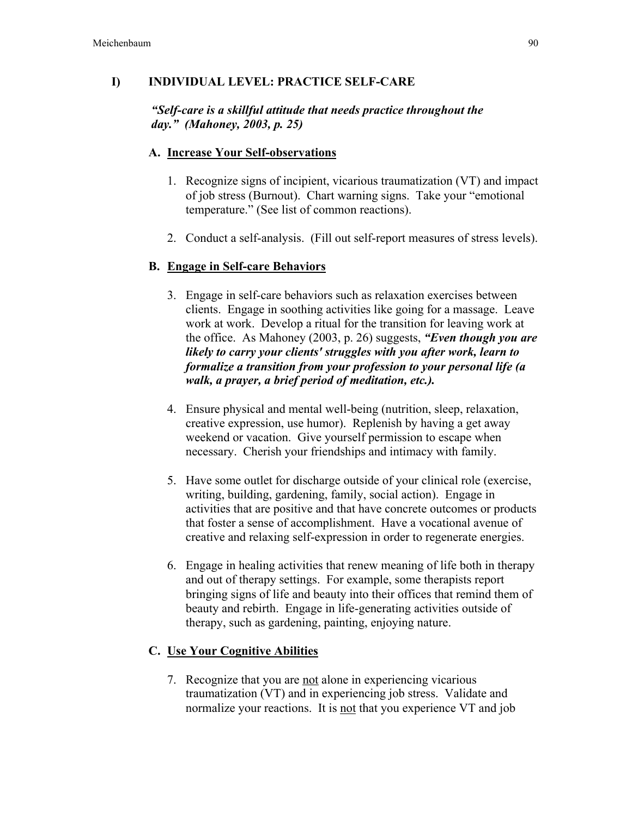#### I) INDIVIDUAL LEVEL: PRACTICE SELF-CARE

#### *"Self-care is a skillful attitude that needs practice throughout the day." (Mahoney, 2003, p. 25)*

#### A. Increase Your Self-observations

- 1. Recognize signs of incipient, vicarious traumatization (VT) and impact of job stress (Burnout). Chart warning signs. Take your "emotional temperature." (See list of common reactions).
- 2. Conduct a self-analysis. (Fill out self-report measures of stress levels).

### B. Engage in Self-care Behaviors

- 3. Engage in self-care behaviors such as relaxation exercises between clients. Engage in soothing activities like going for a massage. Leave work at work. Develop a ritual for the transition for leaving work at the office. As Mahoney (2003, p. 26) suggests, *"Even though you are likely to carry your clients' struggles with you after work, learn to formalize a transition from your profession to your personal life (a walk, a prayer, a brief period of meditation, etc.).*
- 4. Ensure physical and mental well-being (nutrition, sleep, relaxation, creative expression, use humor). Replenish by having a get away weekend or vacation. Give yourself permission to escape when necessary. Cherish your friendships and intimacy with family.
- 5. Have some outlet for discharge outside of your clinical role (exercise, writing, building, gardening, family, social action). Engage in activities that are positive and that have concrete outcomes or products that foster a sense of accomplishment. Have a vocational avenue of creative and relaxing self-expression in order to regenerate energies.
- 6. Engage in healing activities that renew meaning of life both in therapy and out of therapy settings. For example, some therapists report bringing signs of life and beauty into their offices that remind them of beauty and rebirth. Engage in life-generating activities outside of therapy, such as gardening, painting, enjoying nature.

#### C. Use Your Cognitive Abilities

7. Recognize that you are not alone in experiencing vicarious traumatization (VT) and in experiencing job stress. Validate and normalize your reactions. It is not that you experience VT and job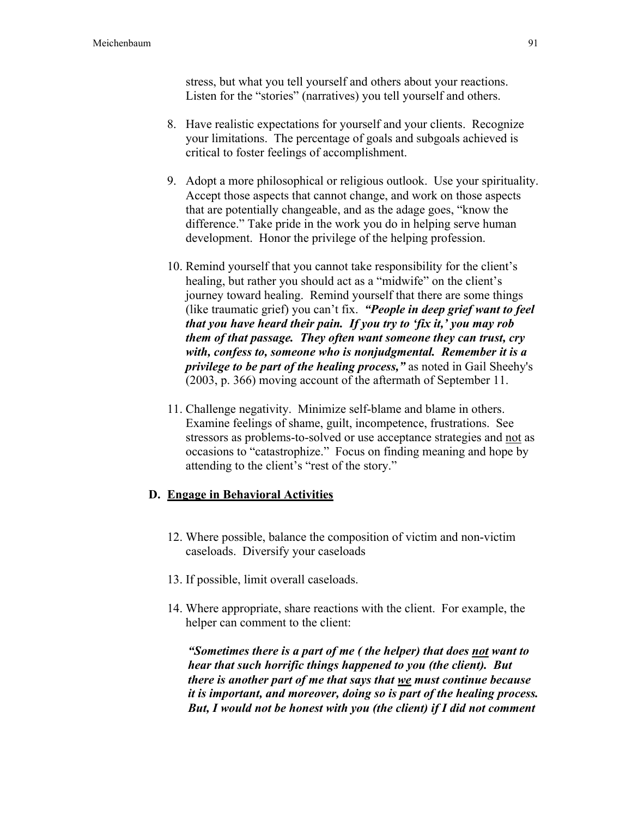stress, but what you tell yourself and others about your reactions. Listen for the "stories" (narratives) you tell yourself and others.

- 8. Have realistic expectations for yourself and your clients. Recognize your limitations. The percentage of goals and subgoals achieved is critical to foster feelings of accomplishment.
- 9. Adopt a more philosophical or religious outlook. Use your spirituality. Accept those aspects that cannot change, and work on those aspects that are potentially changeable, and as the adage goes, "know the difference." Take pride in the work you do in helping serve human development. Honor the privilege of the helping profession.
- 10. Remind yourself that you cannot take responsibility for the client's healing, but rather you should act as a "midwife" on the client's journey toward healing. Remind yourself that there are some things (like traumatic grief) you can't fix. *"People in deep grief want to feel that you have heard their pain. If you try to 'fix it,' you may rob them of that passage. They often want someone they can trust, cry with, confess to, someone who is nonjudgmental. Remember it is a privilege to be part of the healing process,"* as noted in Gail Sheehy's (2003, p. 366) moving account of the aftermath of September 11.
- 11. Challenge negativity. Minimize self-blame and blame in others. Examine feelings of shame, guilt, incompetence, frustrations. See stressors as problems-to-solved or use acceptance strategies and not as occasions to "catastrophize." Focus on finding meaning and hope by attending to the client's "rest of the story."

#### D. Engage in Behavioral Activities

- 12. Where possible, balance the composition of victim and non-victim caseloads. Diversify your caseloads
- 13. If possible, limit overall caseloads.
- 14. Where appropriate, share reactions with the client. For example, the helper can comment to the client:

*"Sometimes there is a part of me ( the helper) that does not want to hear that such horrific things happened to you (the client). But there is another part of me that says that we must continue because it is important, and moreover, doing so is part of the healing process. But, I would not be honest with you (the client) if I did not comment*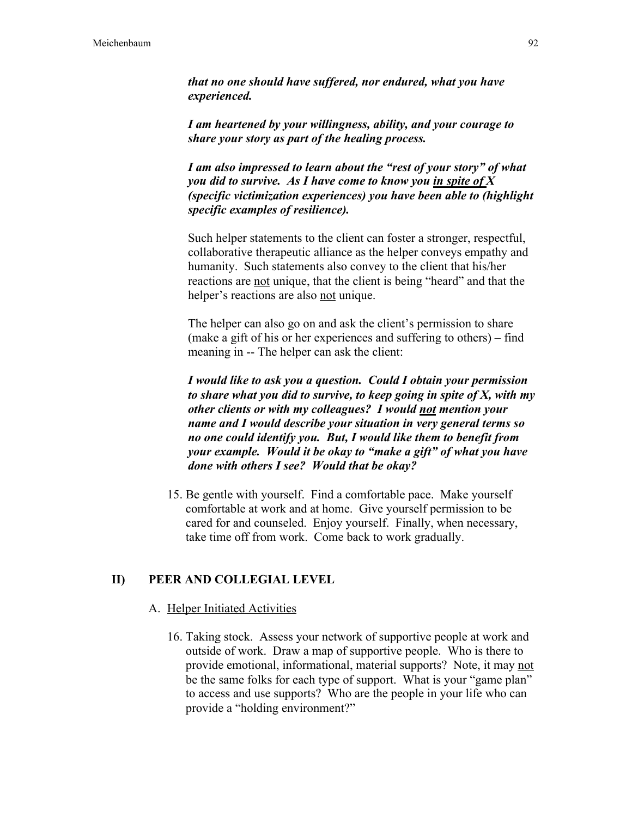*that no one should have suffered, nor endured, what you have experienced.*

*I am heartened by your willingness, ability, and your courage to share your story as part of the healing process.*

*I am also impressed to learn about the "rest of your story" of what you did to survive. As I have come to know you in spite of X (specific victimization experiences) you have been able to (highlight specific examples of resilience).*

Such helper statements to the client can foster a stronger, respectful, collaborative therapeutic alliance as the helper conveys empathy and humanity. Such statements also convey to the client that his/her reactions are not unique, that the client is being "heard" and that the helper's reactions are also not unique.

The helper can also go on and ask the client's permission to share (make a gift of his or her experiences and suffering to others) – find meaning in -- The helper can ask the client:

*I would like to ask you a question. Could I obtain your permission to share what you did to survive, to keep going in spite of X, with my other clients or with my colleagues? I would not mention your name and I would describe your situation in very general terms so no one could identify you. But, I would like them to benefit from your example. Would it be okay to "make a gift" of what you have done with others I see? Would that be okay?*

15. Be gentle with yourself. Find a comfortable pace. Make yourself comfortable at work and at home. Give yourself permission to be cared for and counseled. Enjoy yourself. Finally, when necessary, take time off from work. Come back to work gradually.

#### II) PEER AND COLLEGIAL LEVEL

#### A. Helper Initiated Activities

16. Taking stock. Assess your network of supportive people at work and outside of work. Draw a map of supportive people. Who is there to provide emotional, informational, material supports? Note, it may not be the same folks for each type of support. What is your "game plan" to access and use supports? Who are the people in your life who can provide a "holding environment?"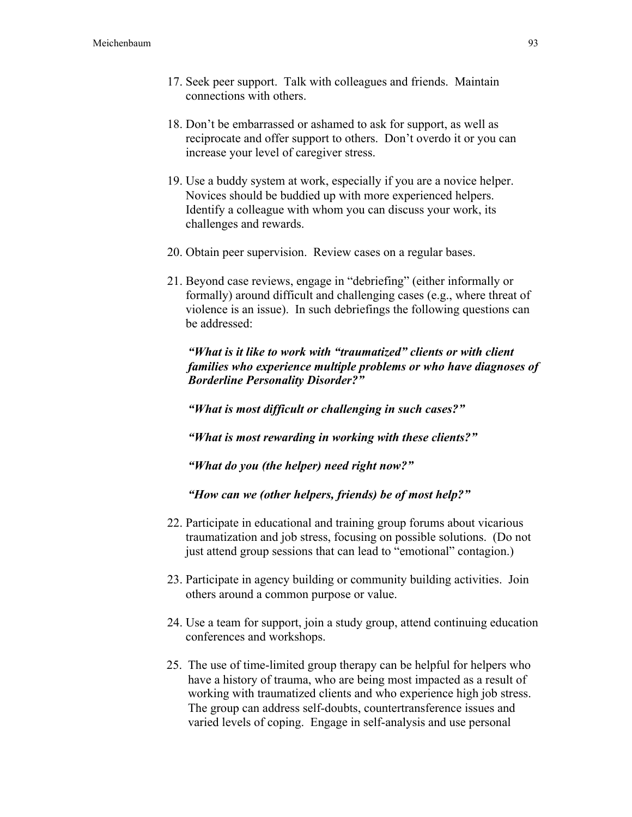- 17. Seek peer support. Talk with colleagues and friends. Maintain connections with others.
- 18. Don't be embarrassed or ashamed to ask for support, as well as reciprocate and offer support to others. Don't overdo it or you can increase your level of caregiver stress.
- 19. Use a buddy system at work, especially if you are a novice helper. Novices should be buddied up with more experienced helpers. Identify a colleague with whom you can discuss your work, its challenges and rewards.
- 20. Obtain peer supervision. Review cases on a regular bases.
- 21. Beyond case reviews, engage in "debriefing" (either informally or formally) around difficult and challenging cases (e.g., where threat of violence is an issue). In such debriefings the following questions can be addressed:

*"What is it like to work with "traumatized" clients or with client families who experience multiple problems or who have diagnoses of Borderline Personality Disorder?"*

*"What is most difficult or challenging in such cases?"*

*"What is most rewarding in working with these clients?"*

*"What do you (the helper) need right now?"*

*"How can we (other helpers, friends) be of most help?"*

- 22. Participate in educational and training group forums about vicarious traumatization and job stress, focusing on possible solutions. (Do not just attend group sessions that can lead to "emotional" contagion.)
- 23. Participate in agency building or community building activities. Join others around a common purpose or value.
- 24. Use a team for support, join a study group, attend continuing education conferences and workshops.
- 25. The use of time-limited group therapy can be helpful for helpers who have a history of trauma, who are being most impacted as a result of working with traumatized clients and who experience high job stress. The group can address self-doubts, countertransference issues and varied levels of coping. Engage in self-analysis and use personal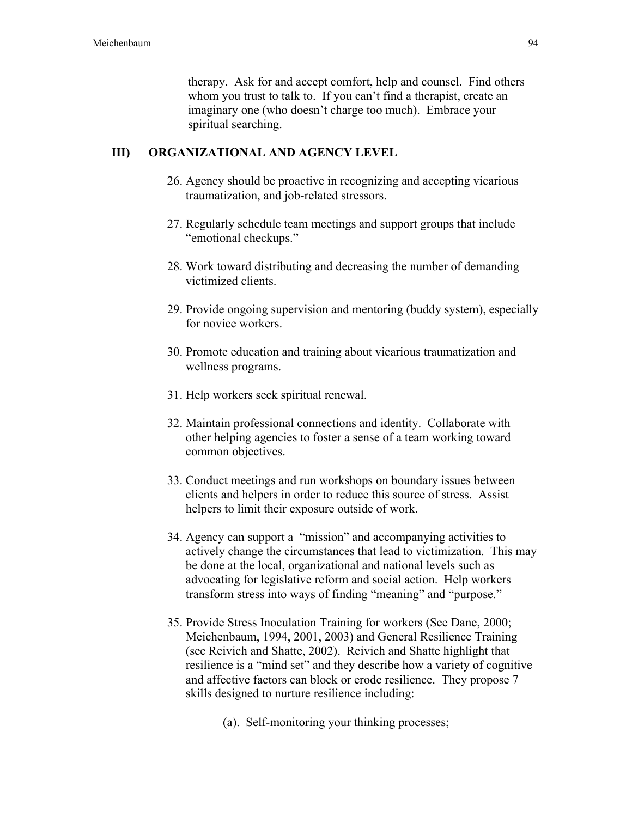therapy. Ask for and accept comfort, help and counsel. Find others whom you trust to talk to. If you can't find a therapist, create an imaginary one (who doesn't charge too much). Embrace your spiritual searching.

#### III) ORGANIZATIONAL AND AGENCY LEVEL

- 26. Agency should be proactive in recognizing and accepting vicarious traumatization, and job-related stressors.
- 27. Regularly schedule team meetings and support groups that include "emotional checkups."
- 28. Work toward distributing and decreasing the number of demanding victimized clients.
- 29. Provide ongoing supervision and mentoring (buddy system), especially for novice workers.
- 30. Promote education and training about vicarious traumatization and wellness programs.
- 31. Help workers seek spiritual renewal.
- 32. Maintain professional connections and identity. Collaborate with other helping agencies to foster a sense of a team working toward common objectives.
- 33. Conduct meetings and run workshops on boundary issues between clients and helpers in order to reduce this source of stress. Assist helpers to limit their exposure outside of work.
- 34. Agency can support a "mission" and accompanying activities to actively change the circumstances that lead to victimization. This may be done at the local, organizational and national levels such as advocating for legislative reform and social action. Help workers transform stress into ways of finding "meaning" and "purpose."
- 35. Provide Stress Inoculation Training for workers (See Dane, 2000; Meichenbaum, 1994, 2001, 2003) and General Resilience Training (see Reivich and Shatte, 2002). Reivich and Shatte highlight that resilience is a "mind set" and they describe how a variety of cognitive and affective factors can block or erode resilience. They propose 7 skills designed to nurture resilience including:
	- (a). Self-monitoring your thinking processes;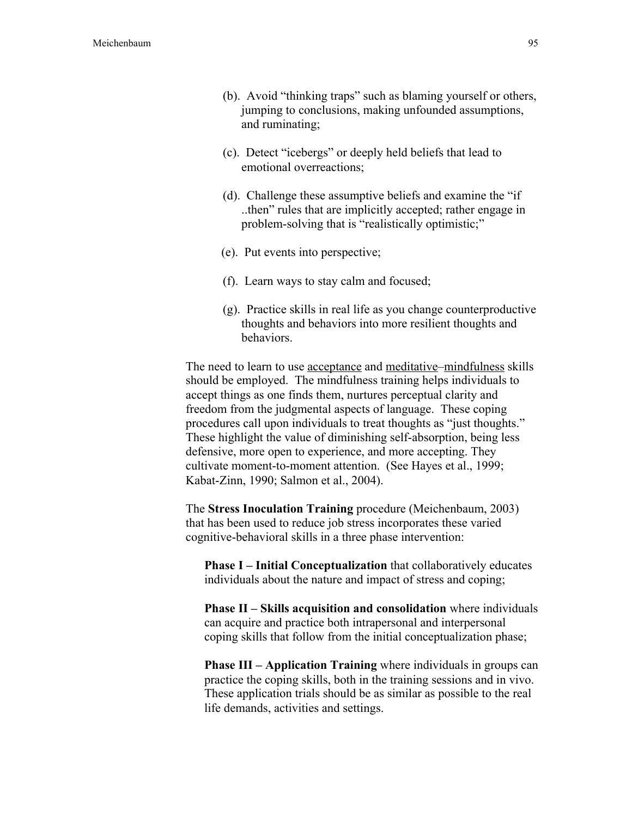- (b). Avoid "thinking traps" such as blaming yourself or others, jumping to conclusions, making unfounded assumptions, and ruminating;
- (c). Detect "icebergs" or deeply held beliefs that lead to emotional overreactions;
- (d). Challenge these assumptive beliefs and examine the "if ..then" rules that are implicitly accepted; rather engage in problem-solving that is "realistically optimistic;"
- (e). Put events into perspective;
- (f). Learn ways to stay calm and focused;
- (g). Practice skills in real life as you change counterproductive thoughts and behaviors into more resilient thoughts and behaviors.

The need to learn to use acceptance and meditative–mindfulness skills should be employed. The mindfulness training helps individuals to accept things as one finds them, nurtures perceptual clarity and freedom from the judgmental aspects of language. These coping procedures call upon individuals to treat thoughts as "just thoughts." These highlight the value of diminishing self-absorption, being less defensive, more open to experience, and more accepting. They cultivate moment-to-moment attention. (See Hayes et al., 1999; Kabat-Zinn, 1990; Salmon et al., 2004).

The Stress Inoculation Training procedure (Meichenbaum, 2003) that has been used to reduce job stress incorporates these varied cognitive-behavioral skills in a three phase intervention:

Phase I – Initial Conceptualization that collaboratively educates individuals about the nature and impact of stress and coping;

Phase II – Skills acquisition and consolidation where individuals can acquire and practice both intrapersonal and interpersonal coping skills that follow from the initial conceptualization phase;

**Phase III – Application Training** where individuals in groups can practice the coping skills, both in the training sessions and in vivo. These application trials should be as similar as possible to the real life demands, activities and settings.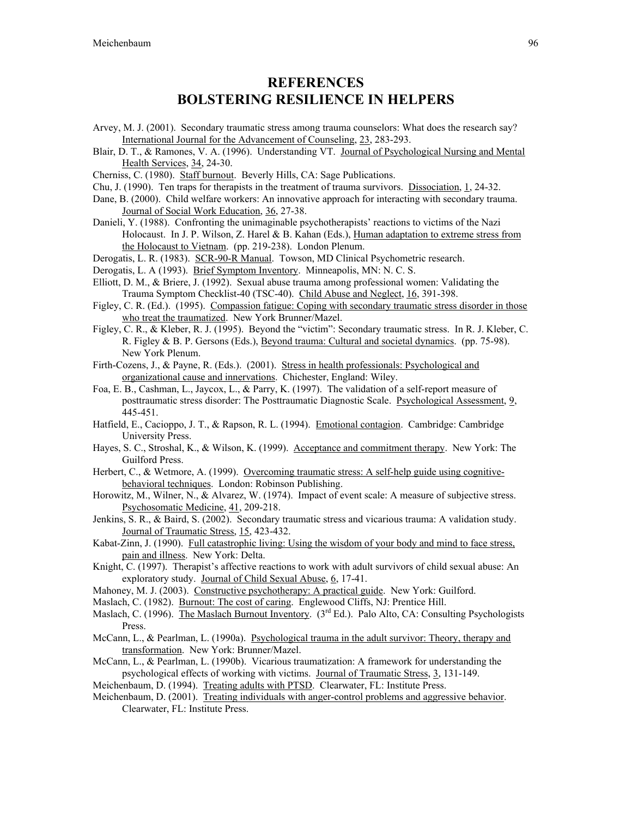### **REFERENCES** BOLSTERING RESILIENCE IN HELPERS

- Arvey, M. J. (2001). Secondary traumatic stress among trauma counselors: What does the research say? International Journal for the Advancement of Counseling, 23, 283-293.
- Blair, D. T., & Ramones, V. A. (1996). Understanding VT. Journal of Psychological Nursing and Mental Health Services, 34, 24-30.
- Cherniss, C. (1980). Staff burnout. Beverly Hills, CA: Sage Publications.
- Chu, J. (1990). Ten traps for therapists in the treatment of trauma survivors. Dissociation, 1, 24-32.
- Dane, B. (2000). Child welfare workers: An innovative approach for interacting with secondary trauma. Journal of Social Work Education, 36, 27-38.
- Danieli, Y. (1988). Confronting the unimaginable psychotherapists' reactions to victims of the Nazi Holocaust. In J. P. Wilson, Z. Harel & B. Kahan (Eds.), Human adaptation to extreme stress from the Holocaust to Vietnam. (pp. 219-238). London Plenum.
- Derogatis, L. R. (1983). SCR-90-R Manual. Towson, MD Clinical Psychometric research.

Derogatis, L. A (1993). Brief Symptom Inventory. Minneapolis, MN: N. C. S.

- Elliott, D. M., & Briere, J. (1992). Sexual abuse trauma among professional women: Validating the Trauma Symptom Checklist-40 (TSC-40). Child Abuse and Neglect, 16, 391-398.
- Figley, C. R. (Ed.). (1995). Compassion fatigue: Coping with secondary traumatic stress disorder in those who treat the traumatized. New York Brunner/Mazel.
- Figley, C. R., & Kleber, R. J. (1995). Beyond the "victim": Secondary traumatic stress. In R. J. Kleber, C. R. Figley & B. P. Gersons (Eds.), Beyond trauma: Cultural and societal dynamics. (pp. 75-98). New York Plenum.
- Firth-Cozens, J., & Payne, R. (Eds.). (2001). Stress in health professionals: Psychological and organizational cause and innervations. Chichester, England: Wiley.
- Foa, E. B., Cashman, L., Jaycox, L., & Parry, K. (1997). The validation of a self-report measure of posttraumatic stress disorder: The Posttraumatic Diagnostic Scale. Psychological Assessment, 9, 445-451.
- Hatfield, E., Cacioppo, J. T., & Rapson, R. L. (1994). Emotional contagion. Cambridge: Cambridge University Press.
- Hayes, S. C., Stroshal, K., & Wilson, K. (1999). Acceptance and commitment therapy. New York: The Guilford Press.
- Herbert, C., & Wetmore, A. (1999). Overcoming traumatic stress: A self-help guide using cognitivebehavioral techniques. London: Robinson Publishing.
- Horowitz, M., Wilner, N., & Alvarez, W. (1974). Impact of event scale: A measure of subjective stress. Psychosomatic Medicine, 41, 209-218.
- Jenkins, S. R., & Baird, S. (2002). Secondary traumatic stress and vicarious trauma: A validation study. Journal of Traumatic Stress, 15, 423-432.
- Kabat-Zinn, J. (1990). Full catastrophic living: Using the wisdom of your body and mind to face stress, pain and illness. New York: Delta.
- Knight, C. (1997). Therapist's affective reactions to work with adult survivors of child sexual abuse: An exploratory study. Journal of Child Sexual Abuse, 6, 17-41.
- Mahoney, M. J. (2003). Constructive psychotherapy: A practical guide. New York: Guilford.
- Maslach, C. (1982). Burnout: The cost of caring. Englewood Cliffs, NJ: Prentice Hill.
- Maslach, C. (1996). The Maslach Burnout Inventory.  $3<sup>rd</sup> Ed$ . Palo Alto, CA: Consulting Psychologists Press.
- McCann, L., & Pearlman, L. (1990a). Psychological trauma in the adult survivor: Theory, therapy and transformation. New York: Brunner/Mazel.
- McCann, L., & Pearlman, L. (1990b). Vicarious traumatization: A framework for understanding the psychological effects of working with victims. Journal of Traumatic Stress, 3, 131-149.
- Meichenbaum, D. (1994). Treating adults with PTSD. Clearwater, FL: Institute Press.
- Meichenbaum, D. (2001). Treating individuals with anger-control problems and aggressive behavior. Clearwater, FL: Institute Press.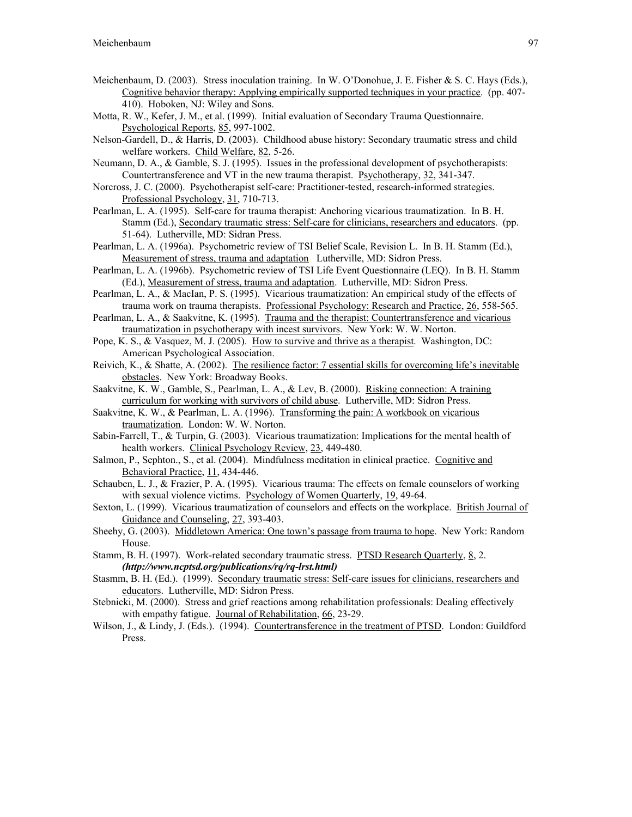- Meichenbaum, D. (2003). Stress inoculation training. In W. O'Donohue, J. E. Fisher & S. C. Hays (Eds.), Cognitive behavior therapy: Applying empirically supported techniques in your practice. (pp. 407- 410). Hoboken, NJ: Wiley and Sons.
- Motta, R. W., Kefer, J. M., et al. (1999). Initial evaluation of Secondary Trauma Questionnaire. Psychological Reports, 85, 997-1002.
- Nelson-Gardell, D., & Harris, D. (2003). Childhood abuse history: Secondary traumatic stress and child welfare workers. Child Welfare, 82, 5-26.
- Neumann, D. A., & Gamble, S. J. (1995). Issues in the professional development of psychotherapists: Countertransference and VT in the new trauma therapist. Psychotherapy, 32, 341-347.
- Norcross, J. C. (2000). Psychotherapist self-care: Practitioner-tested, research-informed strategies. Professional Psychology, 31, 710-713.
- Pearlman, L. A. (1995). Self-care for trauma therapist: Anchoring vicarious traumatization. In B. H. Stamm (Ed.), Secondary traumatic stress: Self-care for clinicians, researchers and educators. (pp. 51-64). Lutherville, MD: Sidran Press.
- Pearlman, L. A. (1996a). Psychometric review of TSI Belief Scale, Revision L. In B. H. Stamm (Ed.), Measurement of stress, trauma and adaptation. Lutherville, MD: Sidron Press.
- Pearlman, L. A. (1996b). Psychometric review of TSI Life Event Questionnaire (LEQ). In B. H. Stamm (Ed.), Measurement of stress, trauma and adaptation. Lutherville, MD: Sidron Press.
- Pearlman, L. A., & MacIan, P. S. (1995). Vicarious traumatization: An empirical study of the effects of trauma work on trauma therapists. Professional Psychology: Research and Practice, 26, 558-565.
- Pearlman, L. A., & Saakvitne, K. (1995). Trauma and the therapist: Countertransference and vicarious traumatization in psychotherapy with incest survivors. New York: W. W. Norton.
- Pope, K. S., & Vasquez, M. J. (2005). How to survive and thrive as a therapist. Washington, DC: American Psychological Association.
- Reivich, K., & Shatte, A. (2002). The resilience factor: 7 essential skills for overcoming life's inevitable obstacles. New York: Broadway Books.
- Saakvitne, K. W., Gamble, S., Pearlman, L. A., & Lev, B. (2000). Risking connection: A training curriculum for working with survivors of child abuse. Lutherville, MD: Sidron Press.
- Saakvitne, K. W., & Pearlman, L. A. (1996). Transforming the pain: A workbook on vicarious traumatization. London: W. W. Norton.
- Sabin-Farrell, T., & Turpin, G. (2003). Vicarious traumatization: Implications for the mental health of health workers. Clinical Psychology Review, 23, 449-480.
- Salmon, P., Sephton., S., et al. (2004). Mindfulness meditation in clinical practice. Cognitive and Behavioral Practice, 11, 434-446.
- Schauben, L. J., & Frazier, P. A. (1995). Vicarious trauma: The effects on female counselors of working with sexual violence victims. Psychology of Women Quarterly, 19, 49-64.
- Sexton, L. (1999). Vicarious traumatization of counselors and effects on the workplace. British Journal of Guidance and Counseling, 27, 393-403.
- Sheehy, G. (2003). Middletown America: One town's passage from trauma to hope. New York: Random House.
- Stamm, B. H. (1997). Work-related secondary traumatic stress. PTSD Research Quarterly, 8, 2. *(http://www.ncptsd.org/publications/rq/rq-lrst.html)*
- Stasmm, B. H. (Ed.). (1999). Secondary traumatic stress: Self-care issues for clinicians, researchers and educators. Lutherville, MD: Sidron Press.
- Stebnicki, M. (2000). Stress and grief reactions among rehabilitation professionals: Dealing effectively with empathy fatigue. Journal of Rehabilitation, 66, 23-29.
- Wilson, J., & Lindy, J. (Eds.). (1994). Countertransference in the treatment of PTSD. London: Guildford Press.